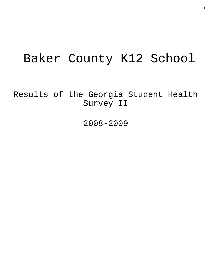# Baker County K12 School

Results of the Georgia Student Health Survey II

2008-2009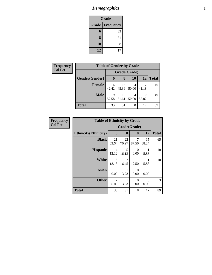# *Demographics* **2**

| Grade                            |    |  |  |  |  |  |
|----------------------------------|----|--|--|--|--|--|
| <b>Grade</b><br><b>Frequency</b> |    |  |  |  |  |  |
| $6\phantom{1}$                   | 33 |  |  |  |  |  |
| 8                                | 31 |  |  |  |  |  |
| 10                               | 8  |  |  |  |  |  |
| 12                               | 17 |  |  |  |  |  |

| <b>Frequency</b> | <b>Table of Gender by Grade</b> |              |             |            |             |       |  |
|------------------|---------------------------------|--------------|-------------|------------|-------------|-------|--|
| <b>Col Pct</b>   |                                 | Grade(Grade) |             |            |             |       |  |
|                  | Gender(Gender)                  | 6            | 8           | 10         | 12          | Total |  |
|                  | <b>Female</b>                   | 14<br>42.42  | 15<br>48.39 | 4<br>50.00 | 41.18       | 40    |  |
|                  | <b>Male</b>                     | 19<br>57.58  | 16<br>51.61 | 4<br>50.00 | 10<br>58.82 | 49    |  |
|                  | <b>Total</b>                    | 33           | 31          | 8          | 17          | 89    |  |

| <b>Frequency</b> | <b>Table of Ethnicity by Grade</b> |                         |                        |                  |                  |              |
|------------------|------------------------------------|-------------------------|------------------------|------------------|------------------|--------------|
| <b>Col Pct</b>   |                                    | Grade(Grade)            |                        |                  |                  |              |
|                  | <b>Ethnicity</b> (Ethnicity)       | 6                       | 8                      | 10               | 12               | <b>Total</b> |
|                  | <b>Black</b>                       | 21<br>63.64             | 22<br>70.97            | 7<br>87.50       | 15<br>88.24      | 65           |
|                  | <b>Hispanic</b>                    | $\overline{4}$<br>12.12 | 5<br>16.13             | $\theta$<br>0.00 | 5.88             | 10           |
|                  | <b>White</b>                       | 6<br>18.18              | $\overline{2}$<br>6.45 | 1<br>12.50       | 5.88             | 10           |
|                  | <b>Asian</b>                       | $\theta$<br>0.00        | 3.23                   | $\theta$<br>0.00 | $\Omega$<br>0.00 |              |
|                  | <b>Other</b>                       | $\overline{2}$<br>6.06  | 3.23                   | $\theta$<br>0.00 | $\Omega$<br>0.00 | 3            |
|                  | <b>Total</b>                       | 33                      | 31                     | 8                | 17               | 89           |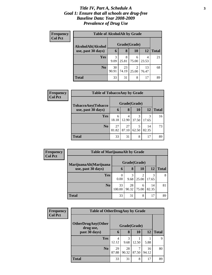#### *Title IV, Part A, Schedule A* **3** *Goal 1: Ensure that all schools are drug-free Baseline Data: Year 2008-2009 Prevalence of Drug Use*

| Frequency<br><b>Col Pct</b> | <b>Table of AlcoholAlt by Grade</b> |             |              |            |             |              |  |  |  |
|-----------------------------|-------------------------------------|-------------|--------------|------------|-------------|--------------|--|--|--|
|                             | AlcoholAlt(Alcohol                  |             | Grade(Grade) |            |             |              |  |  |  |
|                             | use, past 30 days)                  | 6           | 8            | 10         | 12          | <b>Total</b> |  |  |  |
|                             | Yes                                 | 3<br>9.09   | 8<br>25.81   | 6<br>75.00 | 4<br>23.53  | 21           |  |  |  |
|                             | N <sub>0</sub>                      | 30<br>90.91 | 23<br>74.19  | 2<br>25.00 | 13<br>76.47 | 68           |  |  |  |
|                             | Total                               | 33          | 31           | 8          | 17          | 89           |  |  |  |

| Frequency<br><b>Col Pct</b> | <b>Table of TobaccoAny by Grade</b> |              |             |            |             |              |  |  |
|-----------------------------|-------------------------------------|--------------|-------------|------------|-------------|--------------|--|--|
|                             | TobaccoAny(Tobacco                  | Grade(Grade) |             |            |             |              |  |  |
|                             | use, past 30 days)                  | 6            | 8           | 10         | 12          | <b>Total</b> |  |  |
|                             | <b>Yes</b>                          | 6<br>18.18   | 4<br>12.90  | 3<br>37.50 | 3<br>17.65  | 16           |  |  |
|                             | N <sub>0</sub>                      | 27<br>81.82  | 27<br>87.10 | 5<br>62.50 | 14<br>82.35 | 73           |  |  |
|                             | <b>Total</b>                        | 33           | 31          | 8          | 17          | 89           |  |  |

| Frequency      | <b>Table of MarijuanaAlt by Grade</b> |                  |             |            |             |              |
|----------------|---------------------------------------|------------------|-------------|------------|-------------|--------------|
| <b>Col Pct</b> | MarijuanaAlt(Marijuana                | Grade(Grade)     |             |            |             |              |
|                | use, past 30 days)                    | 6                | 8           | 10         | 12          | <b>Total</b> |
|                | <b>Yes</b>                            | $\Omega$<br>0.00 | 3<br>9.68   | 25.00      | 3<br>17.65  | 8            |
|                | N <sub>0</sub>                        | 33<br>100.00     | 28<br>90.32 | 6<br>75.00 | 14<br>82.35 | 81           |
|                | <b>Total</b>                          | 33               | 31          | 8          | 17          | 89           |

| <b>Frequency</b> | <b>Table of OtherDrugAny by Grade</b>  |             |              |            |             |              |  |
|------------------|----------------------------------------|-------------|--------------|------------|-------------|--------------|--|
| <b>Col Pct</b>   | <b>OtherDrugAny(Other</b><br>drug use, |             | Grade(Grade) |            |             |              |  |
|                  | past 30 days)                          | 6           | 8            | 10         | 12          | <b>Total</b> |  |
|                  | Yes                                    | 4<br>12.12  | 3<br>9.68    | 12.50      | 5.88        | 9            |  |
|                  | N <sub>0</sub>                         | 29<br>87.88 | 28<br>90.32  | 7<br>87.50 | 16<br>94.12 | 80           |  |
|                  | <b>Total</b>                           | 33          | 31           | 8          | 17          | 89           |  |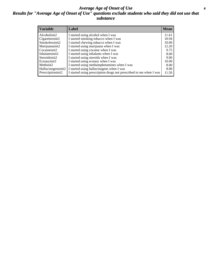#### *Average Age of Onset of Use* **4** *Results for "Average Age of Onset of Use" questions exclude students who said they did not use that substance*

| <b>Variable</b>       | Label                                                              | <b>Mean</b> |
|-----------------------|--------------------------------------------------------------------|-------------|
| Alcoholinit2          | I started using alcohol when I was                                 | 11.61       |
| Cigarettesinit2       | I started smoking tobacco when I was                               | 10.94       |
| Smokelessinit2        | I started chewing tobacco when I was                               | 10.00       |
| Marijuanainit2        | I started using marijuana when I was                               | 12.20       |
| Cocaineinit2          | I started using cocaine when I was                                 | 9.75        |
| Inhalantsinit2        | I started using inhalants when I was                               | 8.00        |
| Steroidsinit2         | I started using steroids when I was                                | 9.00        |
| Ecstasyinit2          | I started using ecstasy when I was                                 | 10.00       |
| Methinit <sub>2</sub> | I started using methamphetamines when I was                        | 8.00        |
| Hallucinogensinit2    | I started using hallucinogens when I was                           | 8.00        |
| Prescriptioninit2     | I started using prescription drugs not prescribed to me when I was | 11.50       |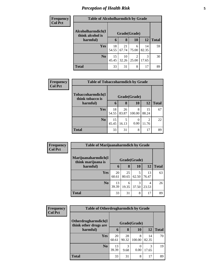# *Perception of Health Risk* **5**

| <b>Frequency</b> | <b>Table of Alcoholharmdich by Grade</b> |              |             |            |             |              |  |
|------------------|------------------------------------------|--------------|-------------|------------|-------------|--------------|--|
| <b>Col Pct</b>   | Alcoholharmdich(I<br>think alcohol is    | Grade(Grade) |             |            |             |              |  |
|                  | harmful)                                 | 6            | 8           | <b>10</b>  | 12          | <b>Total</b> |  |
|                  | <b>Yes</b>                               | 18<br>54.55  | 21<br>67.74 | 6<br>75.00 | 14<br>82.35 | 59           |  |
|                  | N <sub>o</sub>                           | 15<br>45.45  | 10<br>32.26 | 2<br>25.00 | 3<br>17.65  | 30           |  |
|                  | <b>Total</b>                             | 33           | 31          | 8          | 17          | 89           |  |

| Frequency      | <b>Table of Tobaccoharmdich by Grade</b> |              |             |             |             |              |  |
|----------------|------------------------------------------|--------------|-------------|-------------|-------------|--------------|--|
| <b>Col Pct</b> | Tobaccoharmdich(I<br>think tobacco is    | Grade(Grade) |             |             |             |              |  |
|                | harmful)                                 | 6            | 8           | 10          | <b>12</b>   | <b>Total</b> |  |
|                | <b>Yes</b>                               | 18<br>54.55  | 26<br>83.87 | 8<br>100.00 | 15<br>88.24 | 67           |  |
|                | N <sub>0</sub>                           | 15<br>45.45  | 5<br>16.13  | 0.00        | 2<br>11.76  | 22           |  |
|                | <b>Total</b>                             | 33           | 31          | 8           | 17          | 89           |  |

| Frequency<br><b>Col Pct</b> | <b>Table of Marijuanaharmdich by Grade</b> |             |              |            |             |              |
|-----------------------------|--------------------------------------------|-------------|--------------|------------|-------------|--------------|
|                             | Marijuanaharmdich(I<br>think marijuana is  |             | Grade(Grade) |            |             |              |
|                             | harmful)                                   | 6           | 8            | 10         | 12          | <b>Total</b> |
|                             | <b>Yes</b>                                 | 20<br>60.61 | 25<br>80.65  | 5<br>62.50 | 13<br>76.47 | 63           |
|                             | N <sub>0</sub>                             | 13<br>39.39 | 6<br>19.35   | 3<br>37.50 | 4<br>23.53  | 26           |
|                             | <b>Total</b>                               | 33          | 31           | 8          | 17          | 89           |

| Frequency      | <b>Table of Otherdrugharmdich by Grade</b>   |             |             |                  |             |              |
|----------------|----------------------------------------------|-------------|-------------|------------------|-------------|--------------|
| <b>Col Pct</b> | Otherdrugharmdich(I<br>think other drugs are |             |             | Grade(Grade)     |             |              |
|                | harmful)                                     | 6           | 8           | 10               | 12          | <b>Total</b> |
|                | <b>Yes</b>                                   | 20<br>60.61 | 28<br>90.32 | 8<br>100.00      | 14<br>82.35 | 70           |
|                | N <sub>0</sub>                               | 13<br>39.39 | 3<br>9.68   | $\Omega$<br>0.00 | 3<br>17.65  | 19           |
|                | <b>Total</b>                                 | 33          | 31          | 8                | 17          | 89           |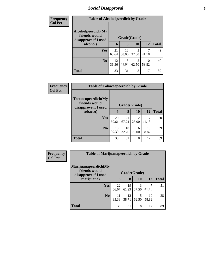### *Social Disapproval* **6**

| <b>Frequency</b> | <b>Table of Alcoholpeerdich by Grade</b> |             |              |            |             |              |  |
|------------------|------------------------------------------|-------------|--------------|------------|-------------|--------------|--|
| <b>Col Pct</b>   |                                          |             |              |            |             |              |  |
|                  | Alcoholpeerdich(My<br>friends would      |             | Grade(Grade) |            |             |              |  |
|                  | disapprove if I used<br>alcohol)         | 6           | 8            | <b>10</b>  | 12          | <b>Total</b> |  |
|                  | Yes                                      | 21<br>63.64 | 18<br>58.06  | 3<br>37.50 | 41.18       | 49           |  |
|                  | N <sub>0</sub>                           | 12<br>36.36 | 13<br>41.94  | 5<br>62.50 | 10<br>58.82 | 40           |  |
|                  | <b>Total</b>                             | 33          | 31           | 8          | 17          | 89           |  |

| <b>Frequency</b> | <b>Table of Tobaccopeerdich by Grade</b>                            |             |              |                         |             |              |
|------------------|---------------------------------------------------------------------|-------------|--------------|-------------------------|-------------|--------------|
| <b>Col Pct</b>   | <b>Tobaccopeerdich</b> (My<br>friends would<br>disapprove if I used |             | Grade(Grade) |                         |             |              |
|                  | tobacco)                                                            | 6           | 8            | 10                      | 12          | <b>Total</b> |
|                  | <b>Yes</b>                                                          | 20<br>60.61 | 21<br>67.74  | $\mathfrak{D}$<br>25.00 | 7<br>41.18  | 50           |
|                  | N <sub>o</sub>                                                      | 13<br>39.39 | 10<br>32.26  | 6<br>75.00              | 10<br>58.82 | 39           |
|                  | <b>Total</b>                                                        | 33          | 31           | 8                       | 17          | 89           |

| Frequency      | <b>Table of Marijuanapeerdich by Grade</b>                    |             |              |            |             |              |
|----------------|---------------------------------------------------------------|-------------|--------------|------------|-------------|--------------|
| <b>Col Pct</b> | Marijuanapeerdich(My<br>friends would<br>disapprove if I used |             | Grade(Grade) |            |             |              |
|                | marijuana)                                                    | 6           | 8            | 10         | 12          | <b>Total</b> |
|                | <b>Yes</b>                                                    | 22<br>66.67 | 19<br>61.29  | 3<br>37.50 | 41.18       | 51           |
|                | N <sub>0</sub>                                                | 11<br>33.33 | 12<br>38.71  | 5<br>62.50 | 10<br>58.82 | 38           |
|                | <b>Total</b>                                                  | 33          | 31           | 8          | 17          | 89           |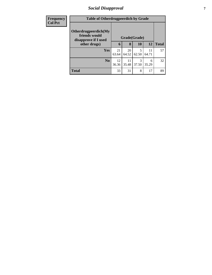### *Social Disapproval* **7**

| <b>Frequency</b> |                                                               | <b>Table of Otherdrugpeerdich by Grade</b> |             |            |             |              |  |
|------------------|---------------------------------------------------------------|--------------------------------------------|-------------|------------|-------------|--------------|--|
| <b>Col Pct</b>   | Otherdrugpeerdich(My<br>friends would<br>disapprove if I used | Grade(Grade)                               |             |            |             |              |  |
|                  | other drugs)                                                  | 6                                          | 8           | <b>10</b>  | <b>12</b>   | <b>Total</b> |  |
|                  | Yes                                                           | 21<br>63.64                                | 20<br>64.52 | 5<br>62.50 | 11<br>64.71 | 57           |  |
|                  | N <sub>0</sub>                                                | 12<br>36.36                                | 11<br>35.48 | 3<br>37.50 | 6<br>35.29  | 32           |  |
|                  | <b>Total</b>                                                  | 33                                         | 31          | 8          | 17          | 89           |  |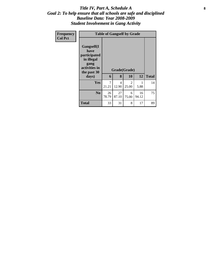#### Title IV, Part A, Schedule A **8** *Goal 2: To help ensure that all schools are safe and disciplined Baseline Data: Year 2008-2009 Student Involvement in Gang Activity*

| Frequency<br><b>Col Pct</b> |                                                                                                   | <b>Table of Gangself by Grade</b> |                         |                    |             |              |  |  |  |  |
|-----------------------------|---------------------------------------------------------------------------------------------------|-----------------------------------|-------------------------|--------------------|-------------|--------------|--|--|--|--|
|                             | Gangself(I<br>have<br>participated<br>in illegal<br>gang<br>activities in<br>the past 30<br>days) | 6                                 | 8                       | Grade(Grade)<br>10 | 12          | <b>Total</b> |  |  |  |  |
|                             | Yes                                                                                               | 7<br>21.21                        | $\overline{4}$<br>12.90 | 2<br>25.00         | 5.88        | 14           |  |  |  |  |
|                             | N <sub>0</sub>                                                                                    | 26<br>78.79                       | 27<br>87.10             | 6<br>75.00         | 16<br>94.12 | 75           |  |  |  |  |
|                             | <b>Total</b>                                                                                      | 33                                | 31                      | 8                  | 17          | 89           |  |  |  |  |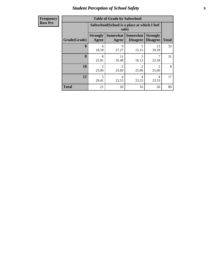# *Student Perception of School Safety* **9**

| <b>Frequency</b> |
|------------------|
| <b>Row Pct</b>   |

| <b>Table of Grade by Safeschool</b> |                          |                                                        |                                    |                                    |              |  |  |  |  |
|-------------------------------------|--------------------------|--------------------------------------------------------|------------------------------------|------------------------------------|--------------|--|--|--|--|
|                                     |                          | Safeschool (School is a place at which I feel<br>safe) |                                    |                                    |              |  |  |  |  |
| Grade(Grade)                        | <b>Strongly</b><br>Agree | <b>Somewhat</b><br>Agree                               | <b>Somewhat</b><br><b>Disagree</b> | <b>Strongly</b><br><b>Disagree</b> | <b>Total</b> |  |  |  |  |
| 6                                   | 6<br>18.18               | 9<br>27.27                                             | 5<br>15.15                         | 13<br>39.39                        | 33           |  |  |  |  |
| 8                                   | 8<br>25.81               | 11<br>35.48                                            | 5<br>16.13                         | 22.58                              | 31           |  |  |  |  |
| 10                                  | $\mathcal{D}$<br>25.00   | $\overline{2}$<br>25.00                                | $\mathfrak{D}$<br>25.00            | $\mathfrak{D}$<br>25.00            | 8            |  |  |  |  |
| 12                                  | 5<br>29.41               | 4<br>4<br>4<br>23.53<br>23.53<br>23.53                 |                                    |                                    |              |  |  |  |  |
| <b>Total</b>                        | 21                       | 26                                                     | 16                                 | 26                                 | 89           |  |  |  |  |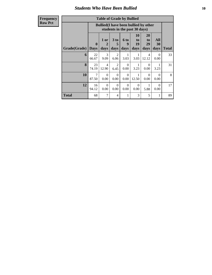#### *Students Who Have Been Bullied* **10**

| <b>Table of Grade by Bullied</b> |                                                                                                                                                                                   |                                                                               |                        |                  |           |                                   |              |    |
|----------------------------------|-----------------------------------------------------------------------------------------------------------------------------------------------------------------------------------|-------------------------------------------------------------------------------|------------------------|------------------|-----------|-----------------------------------|--------------|----|
|                                  |                                                                                                                                                                                   | <b>Bullied</b> (I have been bullied by other<br>students in the past 30 days) |                        |                  |           |                                   |              |    |
| Grade(Grade)                     | 10<br>20<br>3 <sub>to</sub><br>All<br>1 or<br><b>6 to</b><br>to<br>to<br>19<br>29<br>$\bf{0}$<br>9<br>30<br>5<br>2<br>days<br>days<br>days<br>days<br>days<br><b>Days</b><br>days |                                                                               |                        |                  |           |                                   | <b>Total</b> |    |
| 6                                | 22<br>66.67                                                                                                                                                                       | $\mathcal{R}$<br>9.09                                                         | $\mathfrak{D}$<br>6.06 | 1<br>3.03        | 1<br>3.03 | $\overline{\mathcal{A}}$<br>12.12 | 0<br>0.00    | 33 |
| 8                                | 23<br>74.19                                                                                                                                                                       | $\overline{4}$<br>12.90                                                       | 2<br>6.45              | $\Omega$<br>0.00 | 3.23      | $\Omega$<br>0.00                  | 3.23         | 31 |
| 10                               | 7<br>87.50                                                                                                                                                                        | $\Omega$<br>0.00                                                              | $\Omega$<br>0.00       | $\Omega$<br>0.00 | 12.50     | $\Omega$<br>0.00                  | 0<br>0.00    | 8  |
| 12                               | 16<br>94.12                                                                                                                                                                       | $\Omega$<br>0.00                                                              | $\Omega$<br>0.00       | $\Omega$<br>0.00 | 0<br>0.00 | 5.88                              | 0<br>0.00    | 17 |
| Total                            | 68                                                                                                                                                                                | 7                                                                             | 4                      | 1                | 3         | 5                                 | 1            | 89 |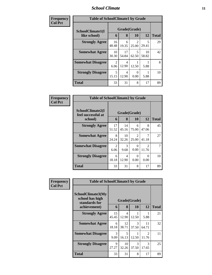#### *School Climate* **11**

| Frequency      | <b>Table of SchoolClimate1 by Grade</b> |                        |             |            |             |              |  |
|----------------|-----------------------------------------|------------------------|-------------|------------|-------------|--------------|--|
| <b>Col Pct</b> | SchoolClimate1(I                        | Grade(Grade)           |             |            |             |              |  |
|                | like school)                            | 6                      | 8           | 10         | 12          | <b>Total</b> |  |
|                | <b>Strongly Agree</b>                   | 16<br>48.48            | 6<br>19.35  | 25.00      | 5<br>29.41  | 29           |  |
|                | <b>Somewhat Agree</b>                   | 10<br>30.30            | 17<br>54.84 | 5<br>62.50 | 10<br>58.82 | 42           |  |
|                | <b>Somewhat Disagree</b>                | $\mathfrak{D}$<br>6.06 | 4<br>12.90  | 12.50      | 5.88        | 8            |  |
|                | <b>Strongly Disagree</b>                | 5<br>15.15             | 4<br>12.90  | 0<br>0.00  | 5.88        | 10           |  |
|                | <b>Total</b>                            | 33                     | 31          | 8          | 17          | 89           |  |

| Frequency      | <b>Table of SchoolClimate2 by Grade</b>           |             |                   |                         |                         |              |
|----------------|---------------------------------------------------|-------------|-------------------|-------------------------|-------------------------|--------------|
| <b>Col Pct</b> | SchoolClimate2(I<br>feel successful at<br>school) | 6           | Grade(Grade)<br>8 | 10                      | 12                      | <b>Total</b> |
|                | <b>Strongly Agree</b>                             | 17<br>51.52 | 14<br>45.16       | 6<br>75.00              | 8<br>47.06              | 45           |
|                | <b>Somewhat Agree</b>                             | 8<br>24.24  | 10<br>32.26       | $\mathfrak{D}$<br>25.00 | 41.18                   | 27           |
|                | <b>Somewhat Disagree</b>                          | 2<br>6.06   | 3<br>9.68         | 0<br>0.00               | $\mathfrak{D}$<br>11.76 |              |
|                | <b>Strongly Disagree</b>                          | 6<br>18.18  | 4<br>12.90        | $\Omega$<br>0.00        | 0<br>0.00               | 10           |
|                | Total                                             | 33          | 31                | 8                       | 17                      | 89           |

| Frequency      | <b>Table of SchoolClimate3 by Grade</b>               |             |              |            |                                      |              |
|----------------|-------------------------------------------------------|-------------|--------------|------------|--------------------------------------|--------------|
| <b>Col Pct</b> | SchoolClimate3(My<br>school has high<br>standards for |             | Grade(Grade) |            |                                      |              |
|                | achievement)                                          | 6           | 8            | <b>10</b>  | 12                                   | <b>Total</b> |
|                | <b>Strongly Agree</b>                                 | 15<br>45.45 | 4<br>12.90   | 12.50      | 5.88                                 | 21           |
|                | <b>Somewhat Agree</b>                                 | 6<br>18.18  | 12<br>38.71  | 3<br>37.50 | 11<br>64.71                          | 32           |
|                | <b>Somewhat Disagree</b>                              | 3<br>9.09   | 5<br>16.13   | 1<br>12.50 | $\mathcal{D}_{\mathcal{L}}$<br>11.76 | 11           |
|                | <b>Strongly Disagree</b>                              | 9<br>27.27  | 10<br>32.26  | 3<br>37.50 | $\mathcal{R}$<br>17.65               | 25           |
|                | <b>Total</b>                                          | 33          | 31           | 8          | 17                                   | 89           |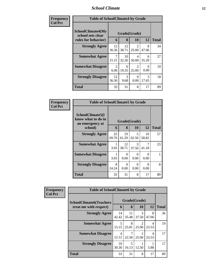#### *School Climate* **12**

| Frequency      | <b>Table of SchoolClimate4 by Grade</b>                              |                        |                   |                                      |                  |              |  |
|----------------|----------------------------------------------------------------------|------------------------|-------------------|--------------------------------------|------------------|--------------|--|
| <b>Col Pct</b> | <b>SchoolClimate4(My</b><br>school sets clear<br>rules for behavior) | 6                      | Grade(Grade)<br>8 | <b>10</b>                            | 12               | <b>Total</b> |  |
|                | <b>Strongly Agree</b>                                                | 12<br>36.36            | 12<br>38.71       | $\mathfrak{D}$<br>25.00              | 8<br>47.06       | 34           |  |
|                | <b>Somewhat Agree</b>                                                | 7<br>21.21             | 10<br>32.26       | 4<br>50.00                           | 6<br>35.29       | 27           |  |
|                | <b>Somewhat Disagree</b>                                             | $\mathfrak{D}$<br>6.06 | 6<br>19.35        | $\mathcal{D}_{\mathcal{L}}$<br>25.00 | $\Omega$<br>0.00 | 10           |  |
|                | <b>Strongly Disagree</b>                                             | 12<br>36.36            | 3<br>9.68         | $\Omega$<br>0.00                     | 3<br>17.65       | 18           |  |
|                | <b>Total</b>                                                         | 33                     | 31                | 8                                    | 17               | 89           |  |

| Frequency      | <b>Table of SchoolClimate5 by Grade</b>                   |              |                  |            |             |              |  |  |
|----------------|-----------------------------------------------------------|--------------|------------------|------------|-------------|--------------|--|--|
| <b>Col Pct</b> | SchoolClimate5(I<br>know what to do in<br>an emergency at | Grade(Grade) |                  |            |             |              |  |  |
|                | school)                                                   | 6            | 8                | 10         | 12          | <b>Total</b> |  |  |
|                | <b>Strongly Agree</b>                                     | 23<br>69.70  | 19<br>61.29      | 5<br>62.50 | 10<br>58.82 | 57           |  |  |
|                | <b>Somewhat Agree</b>                                     | 3.03         | 12<br>38.71      | 3<br>37.50 | 7<br>41.18  | 23           |  |  |
|                | <b>Somewhat Disagree</b>                                  | 3.03         | 0<br>0.00        | 0<br>0.00  | 0<br>0.00   |              |  |  |
|                | <b>Strongly Disagree</b>                                  | 8<br>24.24   | $\Omega$<br>0.00 | 0<br>0.00  | 0<br>0.00   | 8            |  |  |
|                | Total                                                     | 33           | 31               | 8          | 17          | 89           |  |  |

| Frequency      | <b>Table of SchoolClimate6 by Grade</b>                  |                         |                                  |                           |            |              |  |
|----------------|----------------------------------------------------------|-------------------------|----------------------------------|---------------------------|------------|--------------|--|
| <b>Col Pct</b> | <b>SchoolClimate6(Teachers</b><br>treat me with respect) | 6                       | 8                                | Grade(Grade)<br><b>10</b> | 12         | <b>Total</b> |  |
|                | <b>Strongly Agree</b>                                    | 14<br>42.42             | 11<br>35.48                      | 3<br>37.50                | 8<br>47.06 | 36           |  |
|                | <b>Somewhat Agree</b>                                    | 5<br>15.15              | 8<br>25.81                       | 25.00                     | 4<br>23.53 | 19           |  |
|                | <b>Somewhat Disagree</b>                                 | $\overline{4}$<br>12.12 | 22.58                            | 25.00                     | 4<br>23.53 | 17           |  |
|                | <b>Strongly Disagree</b>                                 | 10<br>30.30             | $\overline{\mathbf{z}}$<br>16.13 | 12.50                     | 5.88       | 17           |  |
|                | <b>Total</b>                                             | 33                      | 31                               | 8                         | 17         | 89           |  |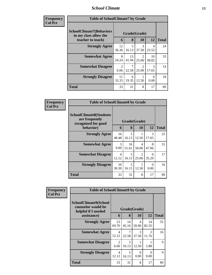#### *School Climate* **13**

| Frequency<br><b>Col Pet</b> |
|-----------------------------|
|-----------------------------|

| ncy | <b>Table of SchoolClimate7 by Grade</b>                  |                        |              |                         |                        |    |  |  |
|-----|----------------------------------------------------------|------------------------|--------------|-------------------------|------------------------|----|--|--|
|     | <b>SchoolClimate7(Behaviors</b><br>in my class allow the | Grade(Grade)<br>6      | <b>Total</b> |                         |                        |    |  |  |
|     | teacher to teach)                                        |                        | 8            | 10                      | 12                     |    |  |  |
|     | <b>Strongly Agree</b>                                    | 12<br>36.36            | 5<br>16.13   | 3<br>37.50              | 4<br>23.53             | 24 |  |  |
|     | <b>Somewhat Agree</b>                                    | 8<br>24.24             | 13<br>41.94  | 2<br>25.00              | 10<br>58.82            | 33 |  |  |
|     | <b>Somewhat Disagree</b>                                 | $\mathfrak{D}$<br>6.06 | 22.58        | $\mathfrak{D}$<br>25.00 | $\mathcal{R}$<br>17.65 | 14 |  |  |
|     | <b>Strongly Disagree</b>                                 | 11<br>33.33            | 6<br>19.35   | 12.50                   | 0.00                   | 18 |  |  |
|     | <b>Total</b>                                             | 33                     | 31           | 8                       | 17                     | 89 |  |  |

| Frequency      | <b>Table of SchoolClimate8 by Grade</b>                                 |                         |              |                         |                        |              |  |
|----------------|-------------------------------------------------------------------------|-------------------------|--------------|-------------------------|------------------------|--------------|--|
| <b>Col Pct</b> | <b>SchoolClimate8(Students</b><br>are frequently<br>recognized for good |                         | Grade(Grade) |                         |                        |              |  |
|                | behavior)                                                               | 6                       | 8            | <b>10</b>               | 12                     | <b>Total</b> |  |
|                | <b>Strongly Agree</b>                                                   | 16<br>48.48             | 5<br>16.13   | 12.50                   | $\mathcal{R}$<br>17.65 | 25           |  |
|                | <b>Somewhat Agree</b>                                                   | 3<br>9.09               | 16<br>51.61  | 4<br>50.00              | 8<br>47.06             | 31           |  |
|                | <b>Somewhat Disagree</b>                                                | $\overline{4}$<br>12.12 | 5<br>16.13   | $\mathfrak{D}$<br>25.00 | 6<br>35.29             | 17           |  |
|                | <b>Strongly Disagree</b>                                                | 10<br>30.30             | 5<br>16.13   | 12.50                   | $\Omega$<br>0.00       | 16           |  |
|                | <b>Total</b>                                                            | 33                      | 31           | 8                       | 17                     | 89           |  |

| Frequency      | <b>Table of SchoolClimate9 by Grade</b>                                   |                                   |              |                         |                                      |              |  |
|----------------|---------------------------------------------------------------------------|-----------------------------------|--------------|-------------------------|--------------------------------------|--------------|--|
| <b>Col Pct</b> | <b>SchoolClimate9(School</b><br>counselor would be<br>helpful if I needed |                                   | Grade(Grade) |                         |                                      |              |  |
|                | assistance)                                                               | 6                                 | 8            | 10                      | 12                                   | <b>Total</b> |  |
|                | <b>Strongly Agree</b>                                                     | 23<br>69.70                       | 14<br>45.16  | $\overline{4}$<br>50.00 | 14<br>82.35                          | 55           |  |
|                | <b>Somewhat Agree</b>                                                     | $\overline{\mathcal{A}}$<br>12.12 | 7<br>22.58   | $\mathcal{R}$<br>37.50  | $\mathcal{D}_{\mathcal{A}}$<br>11.76 | 16           |  |
|                | <b>Somewhat Disagree</b>                                                  | $\mathfrak{D}$<br>6.06            | 5<br>16.13   | 12.50                   | 5.88                                 | 9            |  |
|                | <b>Strongly Disagree</b>                                                  | $\overline{4}$<br>12.12           | 5<br>16.13   | 0<br>0.00               | $\Omega$<br>0.00                     | 9            |  |
|                | <b>Total</b>                                                              | 33                                | 31           | 8                       | 17                                   | 89           |  |

Ŧ.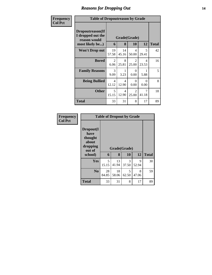# *Reasons for Dropping Out* **14**

| Frequency      |                                                                          | <b>Table of Dropoutreason by Grade</b> |              |                                      |            |    |  |  |  |  |
|----------------|--------------------------------------------------------------------------|----------------------------------------|--------------|--------------------------------------|------------|----|--|--|--|--|
| <b>Col Pct</b> | Dropoutreason(If<br>I dropped out the<br>reason would<br>most likely be) | Grade(Grade)<br>6                      | <b>Total</b> |                                      |            |    |  |  |  |  |
|                | <b>Won't Drop out</b>                                                    | 19<br>57.58                            | 14<br>45.16  | 4<br>50.00                           | 5<br>29.41 | 42 |  |  |  |  |
|                | <b>Bored</b>                                                             | 2<br>6.06                              | 8<br>25.81   | $\mathcal{D}_{\mathcal{L}}$<br>25.00 | 4<br>23.53 | 16 |  |  |  |  |
|                | <b>Family Reasons</b>                                                    | 3<br>9.09                              | 1<br>3.23    | 0<br>0.00                            | 5.88       | 5  |  |  |  |  |
|                | <b>Being Bullied</b>                                                     | $\overline{4}$<br>12.12                | 4<br>12.90   | 0<br>0.00                            | 0<br>0.00  | 8  |  |  |  |  |
|                | <b>Other</b>                                                             | 5<br>15.15                             | 4<br>12.90   | $\mathfrak{D}$<br>25.00              | 7<br>41.18 | 18 |  |  |  |  |
|                | Total                                                                    | 33                                     | 31           | 8                                    | 17         | 89 |  |  |  |  |

| Frequency<br><b>Col Pct</b> | <b>Table of Dropout by Grade</b>                            |             |              |            |            |              |
|-----------------------------|-------------------------------------------------------------|-------------|--------------|------------|------------|--------------|
|                             | Dropout(I<br>have<br>thought<br>about<br>dropping<br>out of |             | Grade(Grade) |            |            |              |
|                             | school)                                                     | 6           | 8            | 10         | 12         | <b>Total</b> |
|                             | Yes                                                         | 5<br>15.15  | 13<br>41.94  | 3<br>37.50 | 9<br>52.94 | 30           |
|                             | N <sub>0</sub>                                              | 28<br>84.85 | 18<br>58.06  | 5<br>62.50 | 8<br>47.06 | 59           |
|                             | <b>Total</b>                                                | 33          | 31           | 8          | 17         | 89           |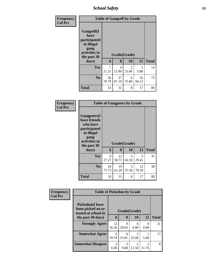*School Safety* **15**

| Frequency<br><b>Col Pct</b> | <b>Table of Gangself by Grade</b>                                                        |             |             |                        |             |              |  |  |
|-----------------------------|------------------------------------------------------------------------------------------|-------------|-------------|------------------------|-------------|--------------|--|--|
|                             | Gangself(I<br>have<br>participated<br>in illegal<br>gang<br>activities in<br>the past 30 |             |             | Grade(Grade)           |             |              |  |  |
|                             | days)                                                                                    | 6           | 8           | 10                     | 12          | <b>Total</b> |  |  |
|                             | Yes                                                                                      | 7<br>21.21  | 4<br>12.90  | $\mathcal{L}$<br>25.00 | 5.88        | 14           |  |  |
|                             | N <sub>0</sub>                                                                           | 26<br>78.79 | 27<br>87.10 | 6<br>75.00             | 16<br>94.12 | 75           |  |  |
|                             | <b>Total</b>                                                                             | 33          | 31          | 8                      | 17          | 89           |  |  |

| <b>Frequency</b> |
|------------------|
| Col Pct          |

| <b>Table of Gangpeers by Grade</b>                                                    |             |              |            |             |              |  |  |  |  |  |
|---------------------------------------------------------------------------------------|-------------|--------------|------------|-------------|--------------|--|--|--|--|--|
| <b>Gangpeers</b> (I<br>have friends<br>who have<br>participated<br>in illegal<br>gang |             |              |            |             |              |  |  |  |  |  |
| activities in<br>the past 30                                                          |             | Grade(Grade) |            |             |              |  |  |  |  |  |
| days)                                                                                 | 6           | 8            | 10         | 12          | <b>Total</b> |  |  |  |  |  |
| Yes                                                                                   | 9<br>27.27  | 12<br>38.71  | 5<br>62.50 | 5<br>29.41  | 31           |  |  |  |  |  |
| N <sub>0</sub>                                                                        | 24<br>72.73 | 19<br>61.29  | 3<br>37.50 | 12<br>70.59 | 58           |  |  |  |  |  |

| Frequency<br><b>Col Pct</b> | <b>Table of Pickedon by Grade</b>                                  |                                     |              |           |                         |              |  |
|-----------------------------|--------------------------------------------------------------------|-------------------------------------|--------------|-----------|-------------------------|--------------|--|
|                             | <b>Pickedon(I have</b><br>been picked on or<br>teased at school in |                                     | Grade(Grade) |           |                         |              |  |
|                             | the past 30 days)                                                  | 6                                   | 8            | 10        | 12                      | <b>Total</b> |  |
|                             | <b>Strongly Agree</b>                                              | 12<br>36.36                         | 9<br>29.03   | 0<br>0.00 | 0<br>0.00               | 21           |  |
|                             | <b>Somewhat Agree</b>                                              | 6<br>18.18                          | 8<br>25.81   | 25.00     | 5.88                    | 17           |  |
|                             | <b>Somewhat Disagree</b>                                           | $\mathcal{D}_{\mathcal{L}}$<br>6.06 | 3<br>9.68    | 12.50     | $\mathfrak{D}$<br>11.76 | 8            |  |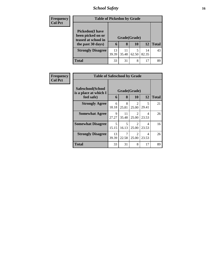# *School Safety* **16**

| <b>Frequency</b> | <b>Table of Pickedon by Grade</b>            |              |       |       |       |              |
|------------------|----------------------------------------------|--------------|-------|-------|-------|--------------|
| <b>Col Pct</b>   | <b>Pickedon</b> (I have<br>been picked on or |              |       |       |       |              |
|                  | teased at school in                          | Grade(Grade) |       |       |       |              |
|                  | the past 30 days)                            | 6            | 8     | 10    | 12    | <b>Total</b> |
|                  | <b>Strongly Disagree</b>                     | 13           | 11    | 5     | 14    | 43           |
|                  |                                              | 39.39        | 35.48 | 62.50 | 82.35 |              |
|                  | <b>Total</b>                                 | 33           | 31    | 8     | 17    | 89           |

| Frequency      | <b>Table of Safeschool by Grade</b>        |              |                                  |                         |                                   |              |
|----------------|--------------------------------------------|--------------|----------------------------------|-------------------------|-----------------------------------|--------------|
| <b>Col Pct</b> | Safeschool(School<br>is a place at which I | Grade(Grade) |                                  |                         |                                   |              |
|                | feel safe)                                 | 6            | 8                                | 10                      | 12                                | <b>Total</b> |
|                | <b>Strongly Agree</b>                      | 6<br>18.18   | 8<br>25.81                       | $\overline{2}$<br>25.00 | $\overline{\mathcal{L}}$<br>29.41 | 21           |
|                | <b>Somewhat Agree</b>                      | 9<br>27.27   | 11<br>35.48                      | 2<br>25.00              | 4<br>23.53                        | 26           |
|                | <b>Somewhat Disagree</b>                   | 5<br>15.15   | $\overline{\mathbf{z}}$<br>16.13 | 2<br>25.00              | 4<br>23.53                        | 16           |
|                | <b>Strongly Disagree</b>                   | 13<br>39.39  | 22.58                            | 2<br>25.00              | 4<br>23.53                        | 26           |
|                | Total                                      | 33           | 31                               | 8                       | 17                                | 89           |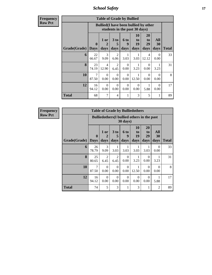*School Safety* **17**

**Frequency Row Pct**

| <b>Table of Grade by Bullied</b> |                             |                         |                        |                          |                               |                                              |                   |              |  |  |  |
|----------------------------------|-----------------------------|-------------------------|------------------------|--------------------------|-------------------------------|----------------------------------------------|-------------------|--------------|--|--|--|
|                                  |                             |                         |                        |                          | students in the past 30 days) | <b>Bullied</b> (I have been bullied by other |                   |              |  |  |  |
| Grade(Grade)                     | $\mathbf{0}$<br><b>Days</b> | 1 or<br>2<br>days       | 3 to<br>5<br>days      | <b>6 to</b><br>q<br>days | <b>10</b><br>to<br>19<br>days | 20<br>to<br>29<br>days                       | All<br>30<br>days | <b>Total</b> |  |  |  |
| 6                                | 22<br>66.67                 | 3<br>9.09               | $\overline{2}$<br>6.06 | 3.03                     | 3.03                          | 4<br>12.12                                   | $\Omega$<br>0.00  | 33           |  |  |  |
| 8                                | 23<br>74.19                 | $\overline{4}$<br>12.90 | 2<br>6.45              | $\Omega$<br>0.00         | 3.23                          | $\Omega$<br>0.00                             | 1<br>3.23         | 31           |  |  |  |
| 10                               | 7<br>87.50                  | $\Omega$<br>0.00        | $\Omega$<br>0.00       | $\Omega$<br>0.00         | 12.50                         | $\Omega$<br>0.00                             | $\Omega$<br>0.00  | 8            |  |  |  |
| 12                               | 16<br>94.12                 | $\Omega$<br>0.00        | $\Omega$<br>0.00       | $\Omega$<br>0.00         | $\Omega$<br>0.00              | 1<br>5.88                                    | $\Omega$<br>0.00  | 17           |  |  |  |
| Total                            | 68                          | 7                       | 4                      | 1                        | 3                             | 5                                            | 1                 | 89           |  |  |  |

| <b>Table of Grade by Bulliedothers</b> |                  |                                                         |                              |                   |                               |                        |                   |       |  |  |  |
|----------------------------------------|------------------|---------------------------------------------------------|------------------------------|-------------------|-------------------------------|------------------------|-------------------|-------|--|--|--|
|                                        |                  | Bulliedothers (I bullied others in the past<br>30 days) |                              |                   |                               |                        |                   |       |  |  |  |
| Grade(Grade)                           | 0<br><b>Days</b> | 1 or<br>2<br>days                                       | 3 <sub>to</sub><br>5<br>days | 6 to<br>9<br>days | <b>10</b><br>to<br>19<br>days | 20<br>to<br>29<br>days | All<br>30<br>days | Total |  |  |  |
| 6                                      | 26<br>78.79      | 3<br>9.09                                               | 3.03                         | 3.03              | 3.03                          | 1<br>3.03              | 0<br>0.00         | 33    |  |  |  |
| 8                                      | 25<br>80.65      | 2<br>6.45                                               | 2<br>6.45                    | $\Omega$<br>0.00  | 3.23                          | $\Omega$<br>0.00       | 3.23              | 31    |  |  |  |
| 10                                     | 7<br>87.50       | $\Omega$<br>0.00                                        | $\Omega$<br>0.00             | $\Omega$<br>0.00  | 12.50                         | $\Omega$<br>0.00       | $\Omega$<br>0.00  | 8     |  |  |  |
| 12                                     | 16<br>94.12      | $\Omega$<br>0.00                                        | $\Omega$<br>0.00             | $\Omega$<br>0.00  | $\Omega$<br>0.00              | $\Omega$<br>0.00       | 5.88              | 17    |  |  |  |
| <b>Total</b>                           | 74               | 5                                                       | 3                            | 1                 | 3                             | 1                      | $\overline{2}$    | 89    |  |  |  |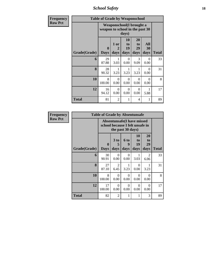*School Safety* **18**

| Frequency      |              | <b>Table of Grade by Weaponschool</b> |                   |                        |                          |                   |       |  |  |  |
|----------------|--------------|---------------------------------------|-------------------|------------------------|--------------------------|-------------------|-------|--|--|--|
| <b>Row Pct</b> |              | weapon to school in the past 30       |                   | days)                  | Weaponschool(I brought a |                   |       |  |  |  |
|                | Grade(Grade) | $\bf{0}$<br><b>Days</b>               | 1 or<br>2<br>days | 10<br>to<br>19<br>days | 20<br>to<br>29<br>days   | All<br>30<br>days | Total |  |  |  |
|                | 6            | 29<br>87.88                           | 1<br>3.03         | $\Omega$<br>0.00       | 3<br>9.09                | $\Omega$<br>0.00  | 33    |  |  |  |
|                | 8            | 28<br>90.32                           | 1<br>3.23         | 1<br>3.23              | 1<br>3.23                | $\Omega$<br>0.00  | 31    |  |  |  |
|                | 10           | 8<br>100.00                           | $\Omega$<br>0.00  | $\Omega$<br>0.00       | $\Omega$<br>0.00         | $\Omega$<br>0.00  | 8     |  |  |  |
|                | 12           | 16<br>94.12                           | $\Omega$<br>0.00  | 0<br>0.00              | $\Omega$<br>0.00         | 5.88              | 17    |  |  |  |
|                | <b>Total</b> | 81                                    | 2                 | 1                      | 4                        | 1                 | 89    |  |  |  |

| <b>Frequency</b> |              | <b>Table of Grade by Absentunsafe</b>                                |                              |                              |                               |                        |              |
|------------------|--------------|----------------------------------------------------------------------|------------------------------|------------------------------|-------------------------------|------------------------|--------------|
| <b>Row Pct</b>   |              | <b>Absentunsafe(I have missed</b><br>school because I felt unsafe in |                              |                              |                               |                        |              |
|                  | Grade(Grade) | $\mathbf{0}$<br><b>Days</b>                                          | 3 <sub>to</sub><br>5<br>days | 6 <sub>to</sub><br>9<br>days | <b>10</b><br>to<br>19<br>days | 20<br>to<br>29<br>days | <b>Total</b> |
|                  | 6            | 30<br>90.91                                                          | $\Omega$<br>0.00             | $\Omega$<br>0.00             | 3.03                          | 2<br>6.06              | 33           |
|                  | 8            | 27<br>87.10                                                          | $\overline{2}$<br>6.45       | 1<br>3.23                    | $\Omega$<br>0.00              | 3.23                   | 31           |
|                  | 10           | 8<br>100.00                                                          | $\Omega$<br>0.00             | $\theta$<br>0.00             | $\Omega$<br>0.00              | $\Omega$<br>0.00       | 8            |
|                  | 12           | 17<br>100.00                                                         | $\Omega$<br>0.00             | $\Omega$<br>0.00             | $\Omega$<br>0.00              | $\Omega$<br>0.00       | 17           |
|                  | <b>Total</b> | 82                                                                   | $\overline{2}$               | 1                            | 1                             | 3                      | 89           |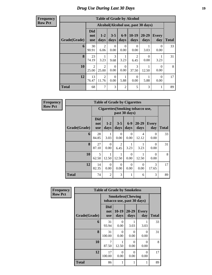### *Drug Use During Last 30 Days* **19**

#### **Frequency Row Pct**

|              | <b>Table of Grade by Alcohol</b> |                 |                  |                  |                        |                                    |                  |              |  |  |  |
|--------------|----------------------------------|-----------------|------------------|------------------|------------------------|------------------------------------|------------------|--------------|--|--|--|
|              |                                  |                 |                  |                  |                        | Alcohol(Alcohol use, past 30 days) |                  |              |  |  |  |
| Grade(Grade) | <b>Did</b><br>not<br><b>use</b>  | $1 - 2$<br>days | $3 - 5$<br>days  | $6 - 9$<br>days  | $10-19$<br>days        | 20-29<br>days                      | Every<br>day     | <b>Total</b> |  |  |  |
| 6            | 30<br>90.91                      | 2<br>6.06       | 0<br>0.00        | 0<br>0.00        | 0<br>0.00              | 3.03                               | $\Omega$<br>0.00 | 33           |  |  |  |
| 8            | 23<br>74.19                      | 3.23            | 3<br>9.68        | 1<br>3.23        | $\overline{2}$<br>6.45 | $\Omega$<br>0.00                   | 3.23             | 31           |  |  |  |
| 10           | 2<br>25.00                       | 2<br>25.00      | $\Omega$<br>0.00 | $\Omega$<br>0.00 | 3<br>37.50             | 12.50                              | $\Omega$<br>0.00 | 8            |  |  |  |
| 12           | 13<br>76.47                      | 2<br>11.76      | 0<br>0.00        | 1<br>5.88        | $\Omega$<br>0.00       | 5.88                               | $\Omega$<br>0.00 | 17           |  |  |  |
| <b>Total</b> | 68                               | 7               | 3                | $\overline{2}$   | 5                      | 3                                  | 1                | 89           |  |  |  |

| <b>Table of Grade by Cigarettes</b> |                                 |                                                                                                 |                       |                  |                         |                  |    |  |  |  |
|-------------------------------------|---------------------------------|-------------------------------------------------------------------------------------------------|-----------------------|------------------|-------------------------|------------------|----|--|--|--|
|                                     |                                 | <b>Cigarettes(Smoking tobacco use,</b><br>past 30 days)                                         |                       |                  |                         |                  |    |  |  |  |
| Grade(Grade)                        | <b>Did</b><br>not<br><b>use</b> | $6-9$<br>$20 - 29$<br>$1 - 2$<br><b>Every</b><br>$3 - 5$<br>days<br>days<br>days<br>day<br>days |                       |                  |                         |                  |    |  |  |  |
| 6                                   | 28<br>84.85                     | 3.03                                                                                            | $\Omega$<br>0.00      | $\Omega$<br>0.00 | $\overline{4}$<br>12.12 | 0<br>0.00        | 33 |  |  |  |
| 8                                   | 27<br>87.10                     | 0<br>0.00                                                                                       | 2<br>6.45             | 3.23             | 3.23                    | $\Omega$<br>0.00 | 31 |  |  |  |
| 10                                  | 5<br>62.50                      | 12.50                                                                                           | $\mathbf{1}$<br>12.50 | $\Omega$<br>0.00 | 12.50                   | $\theta$<br>0.00 | 8  |  |  |  |
| 12                                  | 14<br>82.35                     | 0<br>0.00                                                                                       | $\Omega$<br>0.00      | $\Omega$<br>0.00 | $\Omega$<br>0.00        | 3<br>17.65       | 17 |  |  |  |
| <b>Total</b>                        | 74                              | $\overline{2}$                                                                                  | 3                     | 1                | 6                       | 3                | 89 |  |  |  |

| Frequency      |              | <b>Table of Grade by Smokeless</b> |                                                         |                  |                     |              |
|----------------|--------------|------------------------------------|---------------------------------------------------------|------------------|---------------------|--------------|
| <b>Row Pct</b> |              |                                    | <b>Smokeless</b> (Chewing<br>tobacco use, past 30 days) |                  |                     |              |
|                | Grade(Grade) | Did<br>not<br><b>use</b>           | 10-19<br>days                                           | 20-29<br>days    | <b>Every</b><br>day | <b>Total</b> |
|                | 6            | 31<br>93.94                        | 0<br>0.00                                               | 3.03             | 3.03                | 33           |
|                | 8            | 31<br>100.00                       | $\Omega$<br>0.00                                        | $\Omega$<br>0.00 | $\Omega$<br>0.00    | 31           |
|                | 10           | 7<br>87.50                         | 12.50                                                   | $\Omega$<br>0.00 | $\Omega$<br>0.00    | 8            |
|                | 12           | 17<br>100.00                       | $\Omega$<br>0.00                                        | $\Omega$<br>0.00 | $\theta$<br>0.00    | 17           |
|                | <b>Total</b> | 86                                 |                                                         | 1                | 1                   | 89           |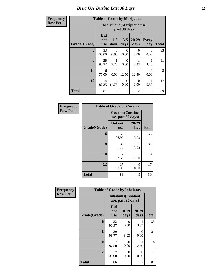| <b>cy</b> | <b>Table of Grade by Marijuana</b> |                                 |                                            |                  |                   |                     |              |  |  |  |  |
|-----------|------------------------------------|---------------------------------|--------------------------------------------|------------------|-------------------|---------------------|--------------|--|--|--|--|
|           |                                    |                                 | Marijuana (Marijuana use,<br>past 30 days) |                  |                   |                     |              |  |  |  |  |
|           | Grade(Grade)                       | <b>Did</b><br>not<br><b>use</b> | $1 - 2$<br>days                            | $3 - 5$<br>days  | $20 - 29$<br>days | <b>Every</b><br>day | <b>Total</b> |  |  |  |  |
|           | 6                                  | 33<br>100.00                    | 0<br>0.00                                  | 0<br>0.00        | 0<br>0.00         | 0<br>0.00           | 33           |  |  |  |  |
|           | 8                                  | 28<br>90.32                     | 3.23                                       | $\Omega$<br>0.00 | 3.23              | 3.23                | 31           |  |  |  |  |
|           | 10                                 | 6<br>75.00                      | $\Omega$<br>0.00                           | 12.50            | 12.50             | $\Omega$<br>0.00    | 8            |  |  |  |  |
|           | 12                                 | 14<br>82.35                     | $\mathfrak{D}$<br>11.76                    | 0<br>0.00        | 0<br>0.00         | 5.88                | 17           |  |  |  |  |
|           | <b>Total</b>                       | 81                              | 3                                          |                  | $\overline{c}$    | $\overline{c}$      | 89           |  |  |  |  |

| Frequency      | <b>Table of Grade by Cocaine</b> |                       |                                               |              |  |  |  |  |  |
|----------------|----------------------------------|-----------------------|-----------------------------------------------|--------------|--|--|--|--|--|
| <b>Row Pct</b> |                                  |                       | <b>Cocaine</b> (Cocaine<br>use, past 30 days) |              |  |  |  |  |  |
|                | Grade(Grade)                     | Did not<br><b>use</b> | 20-29<br>days                                 | <b>Total</b> |  |  |  |  |  |
|                | 6                                | 32<br>96.97           | 3.03                                          | 33           |  |  |  |  |  |
|                | 8                                | 30<br>96.77           | 3.23                                          | 31           |  |  |  |  |  |
|                | 10                               | 7<br>87.50            | 12.50                                         | 8            |  |  |  |  |  |
|                | 12                               | 17<br>100.00          | 0<br>0.00                                     | 17           |  |  |  |  |  |
|                | <b>Total</b>                     | 86                    | 3                                             | 89           |  |  |  |  |  |

| Frequency      | <b>Table of Grade by Inhalants</b> |                                 |                                                  |               |              |  |  |  |  |  |
|----------------|------------------------------------|---------------------------------|--------------------------------------------------|---------------|--------------|--|--|--|--|--|
| <b>Row Pct</b> |                                    |                                 | <b>Inhalants</b> (Inhalant<br>use, past 30 days) |               |              |  |  |  |  |  |
|                | Grade(Grade)                       | <b>Did</b><br>not<br><b>use</b> | $10-19$<br>days                                  | 20-29<br>days | <b>Total</b> |  |  |  |  |  |
|                | 6                                  | 32<br>96.97                     | 0<br>0.00                                        | 3.03          | 33           |  |  |  |  |  |
|                | 8                                  | 30<br>96.77                     | 3.23                                             | 0<br>0.00     | 31           |  |  |  |  |  |
|                | 10                                 | 7<br>87.50                      | $\Omega$<br>0.00                                 | 12.50         | 8            |  |  |  |  |  |
|                | 12                                 | 17<br>100.00                    | $\Omega$<br>0.00                                 | 0<br>0.00     | 17           |  |  |  |  |  |
|                | <b>Total</b>                       | 86                              | 1                                                | 2             | 89           |  |  |  |  |  |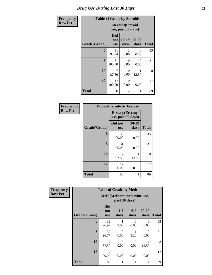# *Drug Use During Last 30 Days* **21**

| Frequency      | <b>Table of Grade by Steroids</b> |                                 |                                                |               |              |  |  |  |
|----------------|-----------------------------------|---------------------------------|------------------------------------------------|---------------|--------------|--|--|--|
| <b>Row Pct</b> |                                   |                                 | <b>Steroids</b> (Steroid<br>use, past 30 days) |               |              |  |  |  |
|                | Grade(Grade)                      | <b>Did</b><br>not<br><b>use</b> | $10-19$<br>days                                | 20-29<br>days | <b>Total</b> |  |  |  |
|                | 6                                 | 31<br>93.94                     | $\mathfrak{D}$<br>6.06                         | 0<br>0.00     | 33           |  |  |  |
|                | 8                                 | 31<br>100.00                    | 0<br>0.00                                      | 0<br>0.00     | 31           |  |  |  |
|                | 10                                | 7<br>87.50                      | $\Omega$<br>0.00                               | 1<br>12.50    | 8            |  |  |  |
|                | 12                                | 17<br>100.00                    | 0<br>0.00                                      | 0<br>0.00     | 17           |  |  |  |
|                | <b>Total</b>                      | 86                              | 2                                              | 1             | 89           |  |  |  |

| Frequency      | <b>Table of Grade by Ecstasy</b> |                                               |               |              |  |  |
|----------------|----------------------------------|-----------------------------------------------|---------------|--------------|--|--|
| <b>Row Pct</b> |                                  | <b>Ecstasy</b> (Ecstasy<br>use, past 30 days) |               |              |  |  |
|                | Grade(Grade)                     | Did not<br><b>use</b>                         | 20-29<br>days | <b>Total</b> |  |  |
|                | 6                                | 33<br>100.00                                  | 0<br>0.00     | 33           |  |  |
|                | 8                                | 31<br>100.00                                  | 0<br>0.00     | 31           |  |  |
|                | 10                               | 7<br>87.50                                    | 12.50         | 8            |  |  |
|                | 12                               | 17<br>100.00                                  | 0<br>0.00     | 17           |  |  |
|                | <b>Total</b>                     | 88                                            |               | 89           |  |  |

| Frequency      | <b>Table of Grade by Meth</b> |                                 |                  |                  |                  |              |  |  |  |  |
|----------------|-------------------------------|---------------------------------|------------------|------------------|------------------|--------------|--|--|--|--|
| <b>Row Pct</b> |                               | Meth(Methamphetamine use,       |                  |                  |                  |              |  |  |  |  |
|                | Grade(Grade)                  | <b>Did</b><br>not<br><b>use</b> | $1-2$<br>days    | $6-9$<br>days    | 20-29<br>days    | <b>Total</b> |  |  |  |  |
|                | 6                             | 32<br>96.97                     | 3.03             | $\Omega$<br>0.00 | $\Omega$<br>0.00 | 33           |  |  |  |  |
|                | 8                             | 30<br>96.77                     | $\Omega$<br>0.00 | 1<br>3.23        | $\Omega$<br>0.00 | 31           |  |  |  |  |
|                | 10                            | 7<br>87.50                      | $\Omega$<br>0.00 | $\Omega$<br>0.00 | 12.50            | 8            |  |  |  |  |
|                | 12                            | 17<br>100.00                    | $\Omega$<br>0.00 | $\Omega$<br>0.00 | $\Omega$<br>0.00 | 17           |  |  |  |  |
|                | <b>Total</b>                  | 86                              | 1                | 1                | 1                | 89           |  |  |  |  |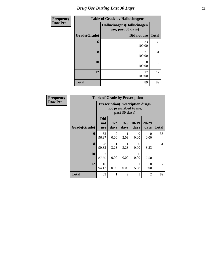# *Drug Use During Last 30 Days* **22**

| <b>Frequency</b> | <b>Table of Grade by Hallucinogens</b> |                                                  |              |  |  |  |  |  |
|------------------|----------------------------------------|--------------------------------------------------|--------------|--|--|--|--|--|
| <b>Row Pct</b>   |                                        | Hallucinogens(Hallucinogen<br>use, past 30 days) |              |  |  |  |  |  |
|                  | Grade(Grade)                           | Did not use                                      | <b>Total</b> |  |  |  |  |  |
|                  | 6                                      | 33<br>100.00                                     | 33           |  |  |  |  |  |
|                  | 8                                      | 31<br>100.00                                     | 31           |  |  |  |  |  |
|                  | 10                                     | 8<br>100.00                                      | 8            |  |  |  |  |  |
|                  | 12                                     | 17<br>100.00                                     | 17           |  |  |  |  |  |
|                  | <b>Total</b>                           | 89                                               | 89           |  |  |  |  |  |

| <b>Frequency</b> | <b>Table of Grade by Prescription</b> |                                                                  |                 |                  |                  |                   |              |
|------------------|---------------------------------------|------------------------------------------------------------------|-----------------|------------------|------------------|-------------------|--------------|
| <b>Row Pct</b>   |                                       | <b>Prescription</b> (Prescription drugs<br>not prescribed to me, |                 |                  |                  |                   |              |
|                  | Grade(Grade)                          | <b>Did</b><br>not<br><b>use</b>                                  | $1 - 2$<br>days | $3 - 5$<br>days  | $10-19$<br>days  | $20 - 29$<br>days | <b>Total</b> |
|                  | 6                                     | 32<br>96.97                                                      | 0<br>0.00       | 1<br>3.03        | $\Omega$<br>0.00 | 0<br>0.00         | 33           |
|                  | 8                                     | 28<br>90.32                                                      | 3.23            | 1<br>3.23        | $\Omega$<br>0.00 | 3.23              | 31           |
|                  | 10                                    | $\overline{7}$<br>87.50                                          | 0<br>0.00       | $\Omega$<br>0.00 | 0<br>0.00        | 12.50             | 8            |
|                  | 12                                    | 16<br>94.12                                                      | 0<br>0.00       | $\Omega$<br>0.00 | 1<br>5.88        | $\Omega$<br>0.00  | 17           |
|                  | Total                                 | 83                                                               | 1               | $\overline{2}$   | 1                | $\overline{2}$    | 89           |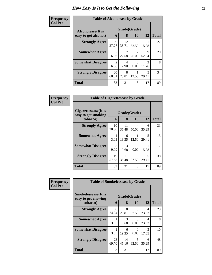#### **Frequency Col Pct**

| <b>ncy</b> | <b>Table of Alcoholease by Grade</b> |             |             |                    |              |    |  |  |  |
|------------|--------------------------------------|-------------|-------------|--------------------|--------------|----|--|--|--|
|            | Alcoholease(It is                    | 6           | 8           | Grade(Grade)<br>10 | <b>Total</b> |    |  |  |  |
|            | easy to get alcohol)                 |             |             |                    | 12           |    |  |  |  |
|            | <b>Strongly Agree</b>                | 9<br>27.27  | 12<br>38.71 | 5<br>62.50         | 5.88         | 27 |  |  |  |
|            | <b>Somewhat Agree</b>                | 2<br>6.06   | 7<br>22.58  | 2<br>25.00         | 9<br>52.94   | 20 |  |  |  |
|            | <b>Somewhat Disagree</b>             | 2<br>6.06   | 4<br>12.90  | 0.00               | 2<br>11.76   | 8  |  |  |  |
|            | <b>Strongly Disagree</b>             | 20<br>60.61 | 8<br>25.81  | 12.50              | 5<br>29.41   | 34 |  |  |  |
|            | <b>Total</b>                         | 33          | 31          | 8                  | 17           | 89 |  |  |  |

| Frequency      | <b>Table of Cigarettesease by Grade</b>                 |             |                   |                  |            |              |
|----------------|---------------------------------------------------------|-------------|-------------------|------------------|------------|--------------|
| <b>Col Pct</b> | Cigarettesease(It is<br>easy to get smoking<br>tobacco) | 6           | Grade(Grade)<br>8 | 10               | 12         | <b>Total</b> |
|                | <b>Strongly Agree</b>                                   | 10<br>30.30 | 11<br>35.48       | 4<br>50.00       | 6<br>35.29 | 31           |
|                | <b>Somewhat Agree</b>                                   | 3.03        | 6<br>19.35        | 12.50            | 5<br>29.41 | 13           |
|                | <b>Somewhat Disagree</b>                                | 3<br>9.09   | 3<br>9.68         | $\Omega$<br>0.00 | 5.88       |              |
|                | <b>Strongly Disagree</b>                                | 19<br>57.58 | 11<br>35.48       | 3<br>37.50       | 29.41      | 38           |
|                | Total                                                   | 33          | 31                | 8                | 17         | 89           |

| <b>Frequency</b> |                                                                | <b>Table of Smokelessease by Grade</b> |             |                           |            |              |  |
|------------------|----------------------------------------------------------------|----------------------------------------|-------------|---------------------------|------------|--------------|--|
| <b>Col Pct</b>   | <b>Smokelessease</b> (It is<br>easy to get chewing<br>tobacco) | 6                                      | 8           | Grade(Grade)<br><b>10</b> | 12         | <b>Total</b> |  |
|                  | <b>Strongly Agree</b>                                          | 8<br>24.24                             | 8<br>25.81  | 3<br>37.50                | 4<br>23.53 | 23           |  |
|                  | <b>Somewhat Agree</b>                                          | 3.03                                   | 3<br>9.68   | $\Omega$<br>0.00          | 4<br>23.53 | 8            |  |
|                  | <b>Somewhat Disagree</b>                                       | 3.03                                   | 6<br>19.35  | 0<br>0.00                 | 3<br>17.65 | 10           |  |
|                  | <b>Strongly Disagree</b>                                       | 23<br>69.70                            | 14<br>45.16 | 5<br>62.50                | 6<br>35.29 | 48           |  |
|                  | <b>Total</b>                                                   | 33                                     | 31          | 8                         | 17         | 89           |  |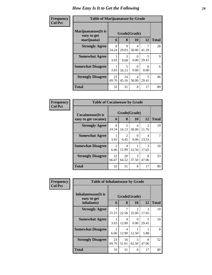| Frequency<br><b>Col Pct</b> | <b>Table of Marijuanaease by Grade</b>           |             |             |                           |                                   |              |  |
|-----------------------------|--------------------------------------------------|-------------|-------------|---------------------------|-----------------------------------|--------------|--|
|                             | Marijuanaease(It is<br>easy to get<br>marijuana) | 6           | 8           | Grade(Grade)<br><b>10</b> | 12                                | <b>Total</b> |  |
|                             | <b>Strongly Agree</b>                            | 8<br>24.24  | 9<br>29.03  | 4<br>50.00                | 7<br>41.18                        | 28           |  |
|                             | <b>Somewhat Agree</b>                            | 3.03        | 3<br>9.68   | 0<br>0.00                 | $\overline{\phantom{1}}$<br>29.41 | 9            |  |
|                             | <b>Somewhat Disagree</b>                         | 3.03        | 5<br>16.13  | 0<br>0.00                 | 0<br>0.00                         | 6            |  |
|                             | <b>Strongly Disagree</b>                         | 23<br>69.70 | 14<br>45.16 | 4<br>50.00                | 5<br>29.41                        | 46           |  |
|                             | Total                                            | 33          | 31          | 8                         | 17                                | 89           |  |

| Frequency      | <b>Table of Cocaineease by Grade</b>              |                        |                         |                    |                         |              |  |
|----------------|---------------------------------------------------|------------------------|-------------------------|--------------------|-------------------------|--------------|--|
| <b>Col Pct</b> | <b>Cocaineease</b> (It is<br>easy to get cocaine) | 6                      | 8                       | Grade(Grade)<br>10 | 12                      | <b>Total</b> |  |
|                | <b>Strongly Agree</b>                             | 8<br>24.24             | 5<br>16.13              | 4<br>50.00         | $\mathfrak{D}$<br>11.76 | 19           |  |
|                | <b>Somewhat Agree</b>                             | 3.03                   | $\mathfrak{D}$<br>6.45  | $\Omega$<br>0.00   | 4<br>23.53              |              |  |
|                | <b>Somewhat Disagree</b>                          | $\mathfrak{D}$<br>6.06 | $\overline{4}$<br>12.90 | 12.50              | 3<br>17.65              | 10           |  |
|                | <b>Strongly Disagree</b>                          | 22<br>66.67            | 20<br>64.52             | 3<br>37.50         | 8<br>47.06              | 53           |  |
|                | <b>Total</b>                                      | 33                     | 31                      | 8                  | 17                      | 89           |  |

| <b>Frequency</b> | <b>Table of Inhalantsease by Grade</b> |                         |                                   |                         |            |              |
|------------------|----------------------------------------|-------------------------|-----------------------------------|-------------------------|------------|--------------|
| <b>Col Pct</b>   | Inhalantsease(It is<br>easy to get     |                         |                                   | Grade(Grade)            |            |              |
|                  | inhalants)                             | 6                       | 8                                 | <b>10</b>               | 12         | <b>Total</b> |
|                  | <b>Strongly Agree</b>                  | $\overline{7}$<br>21.21 | 7<br>22.58                        | $\mathfrak{D}$<br>25.00 | 3<br>17.65 | 19           |
|                  | <b>Somewhat Agree</b>                  | 3.03                    | $\overline{\mathcal{A}}$<br>12.90 | $\Omega$<br>0.00        | 5<br>29.41 | 10           |
|                  | <b>Somewhat Disagree</b>               | 2<br>6.06               | 4<br>12.90                        | 12.50                   | 5.88       | 8            |
|                  | <b>Strongly Disagree</b>               | 23<br>69.70             | 16<br>51.61                       | 5<br>62.50              | 8<br>47.06 | 52           |
|                  | <b>Total</b>                           | 33                      | 31                                | 8                       | 17         | 89           |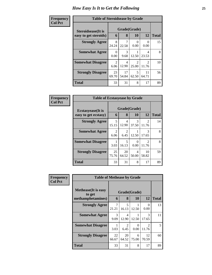| <b>Frequency</b> | <b>Table of Steroidsease by Grade</b> |             |             |                         |                         |              |
|------------------|---------------------------------------|-------------|-------------|-------------------------|-------------------------|--------------|
| <b>Col Pct</b>   | <b>Steroidsease</b> (It is            |             |             | Grade(Grade)            |                         |              |
|                  | easy to get steroids)                 | 6           | 8           | 10                      | 12                      | <b>Total</b> |
|                  | <b>Strongly Agree</b>                 | 8<br>24.24  | 22.58       | $\Omega$<br>0.00        | 0.00                    | 15           |
|                  | <b>Somewhat Agree</b>                 | 0<br>0.00   | 3<br>9.68   | 12.50                   | 4<br>23.53              | 8            |
|                  | <b>Somewhat Disagree</b>              | 2<br>6.06   | 4<br>12.90  | $\mathfrak{D}$<br>25.00 | $\mathfrak{D}$<br>11.76 | 10           |
|                  | <b>Strongly Disagree</b>              | 23<br>69.70 | 17<br>54.84 | 5<br>62.50              | 11<br>64.71             | 56           |
|                  | <b>Total</b>                          | 33          | 31          | 8                       | 17                      | 89           |

| <b>Frequency</b> | <b>Table of Ecstasyease by Grade</b>              |             |                   |            |                                      |              |  |  |
|------------------|---------------------------------------------------|-------------|-------------------|------------|--------------------------------------|--------------|--|--|
| <b>Col Pct</b>   | <b>Ecstasyease</b> (It is<br>easy to get ecstasy) | 6           | Grade(Grade)<br>8 | <b>10</b>  | 12                                   | <b>Total</b> |  |  |
|                  | <b>Strongly Agree</b>                             | 5<br>15.15  | 4<br>12.90        | 3<br>37.50 | $\mathfrak{D}$<br>11.76              | 14           |  |  |
|                  | <b>Somewhat Agree</b>                             | 2<br>6.06   | 6.45              | 12.50      | 3<br>17.65                           | 8            |  |  |
|                  | <b>Somewhat Disagree</b>                          | 3.03        | 5<br>16.13        | 0<br>0.00  | $\mathcal{D}_{\mathcal{L}}$<br>11.76 | 8            |  |  |
|                  | <b>Strongly Disagree</b>                          | 25<br>75.76 | 20<br>64.52       | 4<br>50.00 | 10<br>58.82                          | 59           |  |  |
|                  | <b>Total</b>                                      | 33          | 31                | 8          | 17                                   | 89           |  |  |

| <b>Frequency</b> | <b>Table of Methease by Grade</b>     |                       |             |            |                        |                |  |
|------------------|---------------------------------------|-----------------------|-------------|------------|------------------------|----------------|--|
| <b>Col Pct</b>   | <b>Methease</b> (It is easy<br>to get | Grade(Grade)          |             |            |                        |                |  |
|                  | methamphetamines)                     | 6                     | 8           | 10         | 12                     | <b>Total</b>   |  |
|                  | <b>Strongly Agree</b>                 | 7<br>21.21            | 5<br>16.13  | 12.50      | 0<br>0.00              | 13             |  |
|                  | <b>Somewhat Agree</b>                 | $\mathcal{R}$<br>9.09 | 4<br>12.90  | 12.50      | 3<br>17.65             | 11             |  |
|                  | <b>Somewhat Disagree</b>              | 3.03                  | 2<br>6.45   | 0<br>0.00  | $\mathcal{L}$<br>11.76 | $\mathfrak{H}$ |  |
|                  | <b>Strongly Disagree</b>              | 22<br>66.67           | 20<br>64.52 | 6<br>75.00 | 12<br>70.59            | 60             |  |
|                  | <b>Total</b>                          | 33                    | 31          | 8          | 17                     | 89             |  |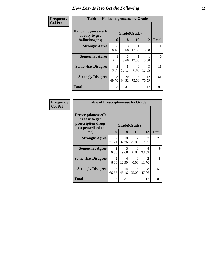| Frequency<br><b>Col Pct</b> | <b>Table of Hallucinogensease by Grade</b>                |             |                       |            |             |              |  |
|-----------------------------|-----------------------------------------------------------|-------------|-----------------------|------------|-------------|--------------|--|
|                             | Hallucinogensease(It)<br>is easy to get<br>hallucinogens) | 6           | Grade(Grade)<br>8     | 10         | 12          | <b>Total</b> |  |
|                             | <b>Strongly Agree</b>                                     | 6<br>18.18  | 3<br>9.68             | 12.50      | 5.88        | 11           |  |
|                             | <b>Somewhat Agree</b>                                     | 3.03        | $\mathcal{R}$<br>9.68 | 12.50      | 5.88        | 6            |  |
|                             | <b>Somewhat Disagree</b>                                  | 3<br>9.09   | 5<br>16.13            | 0<br>0.00  | 3<br>17.65  | 11           |  |
|                             | <b>Strongly Disagree</b>                                  | 23<br>69.70 | 20<br>64.52           | 6<br>75.00 | 12<br>70.59 | 61           |  |
|                             | Total                                                     | 33          | 31                    | 8          | 17          | 89           |  |

| Frequency      | <b>Table of Prescriptionease by Grade</b>                                                |                        |             |                         |                                      |              |  |  |
|----------------|------------------------------------------------------------------------------------------|------------------------|-------------|-------------------------|--------------------------------------|--------------|--|--|
| <b>Col Pct</b> | <b>Prescriptionease</b> (It<br>is easy to get<br>prescription drugs<br>not prescribed to | Grade(Grade)           |             |                         |                                      |              |  |  |
|                | me)                                                                                      | 6                      | 8           | <b>10</b>               | 12                                   | <b>Total</b> |  |  |
|                | <b>Strongly Agree</b>                                                                    | 7<br>21.21             | 10<br>32.26 | $\mathfrak{D}$<br>25.00 | $\mathcal{F}$<br>17.65               | 22           |  |  |
|                | <b>Somewhat Agree</b>                                                                    | $\mathfrak{D}$<br>6.06 | 3<br>9.68   | $\Omega$<br>0.00        | 4<br>23.53                           | 9            |  |  |
|                | <b>Somewhat Disagree</b>                                                                 | $\mathfrak{D}$<br>6.06 | 4<br>12.90  | 0<br>0.00               | $\mathcal{D}_{\mathcal{L}}$<br>11.76 | 8            |  |  |
|                | <b>Strongly Disagree</b>                                                                 | 22<br>66.67            | 14<br>45.16 | 6<br>75.00              | 8<br>47.06                           | 50           |  |  |
|                | <b>Total</b>                                                                             | 33                     | 31          | 8                       | 17                                   | 89           |  |  |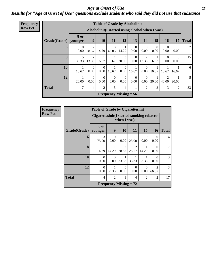#### *Age at Onset of Use* **27** *Results for "Age at Onset of Use" questions exclude students who said they did not use that substance*

| <b>Frequency</b> |
|------------------|
| <b>Row Pct</b>   |

| <b>Table of Grade by Alcoholinit</b> |                          |                                                 |                  |                  |                  |                  |                         |                  |                         |                  |              |
|--------------------------------------|--------------------------|-------------------------------------------------|------------------|------------------|------------------|------------------|-------------------------|------------------|-------------------------|------------------|--------------|
|                                      |                          | Alcoholinit(I started using alcohol when I was) |                  |                  |                  |                  |                         |                  |                         |                  |              |
| Grade(Grade)                         | 8 or<br>younger          | 9                                               | 10               | 11               | 12               | 13               | 14                      | 15               | <b>16</b>               | 17               | <b>Total</b> |
| 6                                    | $\theta$<br>0.00         | $\overline{c}$<br>28.57                         | 14.29            | 3<br>42.86       | 14.29            | $\theta$<br>0.00 | $\theta$<br>0.00        | $\theta$<br>0.00 | 0<br>0.00               | $\Omega$<br>0.00 | 7            |
| 8                                    | 5<br>33.33               | 2<br>13.33                                      | 6.67             | 1<br>6.67        | 3<br>20.00       | $\theta$<br>0.00 | $\overline{2}$<br>13.33 | 6.67             | $\overline{0}$<br>0.00  | $\Omega$<br>0.00 | 15           |
| 10                                   | 1<br>16.67               | $\Omega$<br>0.00                                | $\Omega$<br>0.00 | 1<br>16.67       | $\Omega$<br>0.00 | 16.67            | $\Omega$<br>0.00        | 16.67            | 16.67                   | 16.67            | 6            |
| 12                                   | 20.00                    | $\Omega$<br>0.00                                | $\theta$<br>0.00 | $\theta$<br>0.00 | $\Omega$<br>0.00 | $\theta$<br>0.00 | $\Omega$<br>0.00        | 20.00            | $\overline{2}$<br>40.00 | 20.00            | 5            |
| <b>Total</b>                         | 7                        | 4                                               | 2                | 5                | 4                | 1                | $\overline{c}$          | 3                | 3                       | $\overline{c}$   | 33           |
|                                      | Frequency Missing $= 56$ |                                                 |                  |                  |                  |                  |                         |                  |                         |                  |              |

| <b>Table of Grade by Cigarettesinit</b> |                               |                                                         |                         |                         |                |                         |    |  |  |
|-----------------------------------------|-------------------------------|---------------------------------------------------------|-------------------------|-------------------------|----------------|-------------------------|----|--|--|
|                                         |                               | Cigarettesinit(I started smoking tobacco<br>when I was) |                         |                         |                |                         |    |  |  |
| Grade(Grade)                            | 8 or<br>  younger             | 9<br>11<br>15<br><b>10</b><br><b>Total</b><br>16        |                         |                         |                |                         |    |  |  |
| 6                                       | 3<br>75.00                    | 0<br>0.00                                               | 0<br>0.00               | 25.00                   | 0<br>0.00      | $\Omega$<br>0.00        | 4  |  |  |
| 8                                       | 14.29                         | 14.29                                                   | $\mathfrak{D}$<br>28.57 | $\mathfrak{D}$<br>28.57 | 14.29          | $\Omega$<br>0.00        |    |  |  |
| 10                                      | $\Omega$<br>0.00              | 0<br>0.00                                               | 33.33                   | 33.33                   | 33.33          | 0<br>0.00               | 3  |  |  |
| 12                                      | $\Omega$<br>0.00              | 33.33                                                   | $\Omega$<br>0.00        | $\Omega$<br>0.00        | 0<br>0.00      | $\mathfrak{D}$<br>66.67 | 3  |  |  |
| <b>Total</b>                            | $\overline{4}$                | $\overline{c}$                                          | 3                       | 4                       | $\overline{c}$ | $\overline{2}$          | 17 |  |  |
|                                         | <b>Frequency Missing = 72</b> |                                                         |                         |                         |                |                         |    |  |  |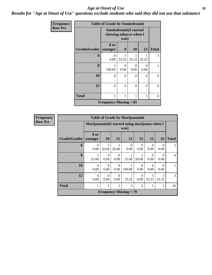*Results for "Age at Onset of Use" questions exclude students who said they did not use that substance*

| Frequency      |              | <b>Table of Grade by Smokelessinit</b>                           |           |           |           |              |  |
|----------------|--------------|------------------------------------------------------------------|-----------|-----------|-----------|--------------|--|
| <b>Row Pct</b> |              | <b>Smokelessinit(I started</b><br>chewing tobacco when I<br>was) |           |           |           |              |  |
|                | Grade(Grade) | 8 or<br>younger                                                  | 9         | <b>10</b> | 13        | <b>Total</b> |  |
|                | 6            | 0<br>0.00                                                        | 33.33     | 33.33     | 33.33     | 3            |  |
|                | 8            | 1<br>100.00                                                      | 0<br>0.00 | 0<br>0.00 | 0<br>0.00 | 1            |  |
|                | 10           | $\Omega$                                                         | $\theta$  | $\Omega$  | $\Omega$  | $\Omega$     |  |
|                | 12           | $\Omega$                                                         | $\theta$  | $\Omega$  | 0         | $\Omega$     |  |
|                | <b>Total</b> | 1                                                                | 1         | 1         | 1         | 4            |  |
|                |              | <b>Frequency Missing = 85</b>                                    |           |           |           |              |  |

| <b>Frequency</b> |                        |                  |                                                         |                  | <b>Table of Grade by Marijuanainit</b> |                  |                  |                  |                |
|------------------|------------------------|------------------|---------------------------------------------------------|------------------|----------------------------------------|------------------|------------------|------------------|----------------|
| <b>Row Pct</b>   |                        |                  | Marijuanainit (I started using marijuana when I<br>was) |                  |                                        |                  |                  |                  |                |
|                  | Grade(Grade)   younger | 8 or             | <b>10</b>                                               | 11               | 12                                     | 13               | 15               | <b>16</b>        | <b>Total</b>   |
|                  | 6                      | $\Omega$<br>0.00 | 1<br>50.00                                              | 50.00            | $\Omega$<br>0.00                       | $\Omega$<br>0.00 | $\Omega$<br>0.00 | $\Omega$<br>0.00 | $\overline{2}$ |
|                  | 8                      | 25.00            | $\Omega$<br>0.00                                        | $\Omega$<br>0.00 | 1<br>25.00                             | 2<br>50.00       | $\Omega$<br>0.00 | $\Omega$<br>0.00 | $\overline{4}$ |
|                  | 10                     | $\Omega$<br>0.00 | $\Omega$<br>0.00                                        | $\Omega$<br>0.00 | 1<br>100.00                            | $\Omega$<br>0.00 | $\Omega$<br>0.00 | $\Omega$<br>0.00 |                |
|                  | 12                     | $\Omega$<br>0.00 | $\Omega$<br>0.00                                        | $\Omega$<br>0.00 | 1<br>33.33                             | $\Omega$<br>0.00 | 33.33            | 33.33            | 3              |
|                  | <b>Total</b>           | 1                | $\mathbf{1}$                                            | 1                | 3                                      | $\overline{2}$   | 1                |                  | 10             |
|                  |                        |                  |                                                         |                  | <b>Frequency Missing = 79</b>          |                  |                  |                  |                |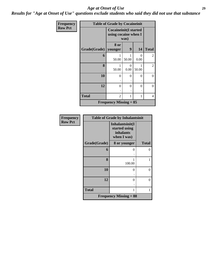*Results for "Age at Onset of Use" questions exclude students who said they did not use that substance*

| Frequency      |              | <b>Table of Grade by Cocaineinit</b>                         |                  |           |                |
|----------------|--------------|--------------------------------------------------------------|------------------|-----------|----------------|
| <b>Row Pct</b> |              | <b>Cocaineinit(I started</b><br>using cocaine when I<br>was) |                  |           |                |
|                | Grade(Grade) | 8 or<br>younger                                              | 9                | 14        | <b>Total</b>   |
|                | 6            | 50.00                                                        | 50.00            | 0<br>0.00 | 2              |
|                | 8            | 50.00                                                        | $\Omega$<br>0.00 | 50.00     | 2              |
|                | 10           | $\Omega$                                                     | 0                | 0         | $\overline{0}$ |
|                | 12           | $\theta$                                                     | 0                | 0         | $\theta$       |
|                | Total        | $\overline{2}$                                               | 1                | 1         | 4              |
|                |              | <b>Frequency Missing = 85</b>                                |                  |           |                |

| Frequency      | <b>Table of Grade by Inhalantsinit</b> |                                                                     |              |  |  |  |  |
|----------------|----------------------------------------|---------------------------------------------------------------------|--------------|--|--|--|--|
| <b>Row Pct</b> |                                        | Inhalantsinit(I<br>started using<br><i>inhalants</i><br>when I was) |              |  |  |  |  |
|                | Grade(Grade)                           | 8 or younger                                                        | <b>Total</b> |  |  |  |  |
|                | 6                                      | 0                                                                   | $\theta$     |  |  |  |  |
|                | 8                                      | 100.00                                                              | 1            |  |  |  |  |
|                | 10                                     | 0                                                                   | 0            |  |  |  |  |
|                | 12                                     | 0                                                                   | 0            |  |  |  |  |
|                | <b>Total</b>                           | 1                                                                   | 1            |  |  |  |  |
|                |                                        | <b>Frequency Missing = 88</b>                                       |              |  |  |  |  |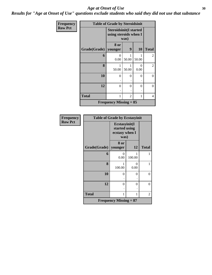*Results for "Age at Onset of Use" questions exclude students who said they did not use that substance*

| Frequency      |              | <b>Table of Grade by Steroidsinit</b>                          |       |                  |                |
|----------------|--------------|----------------------------------------------------------------|-------|------------------|----------------|
| <b>Row Pct</b> |              | <b>Steroidsinit(I started</b><br>using steroids when I<br>was) |       |                  |                |
|                | Grade(Grade) | <b>8 or</b><br>younger                                         | 9     | <b>10</b>        | <b>Total</b>   |
|                | 6            | 0<br>0.00                                                      | 50.00 | 50.00            | 2              |
|                | 8            | 50.00                                                          | 50.00 | $\Omega$<br>0.00 | 2              |
|                | 10           | $\Omega$                                                       | 0     | 0                | $\overline{0}$ |
|                | 12           | $\Omega$                                                       | 0     | 0                | $\Omega$       |
|                | <b>Total</b> | 1                                                              | 2     | 1                | 4              |
|                |              | <b>Frequency Missing = 85</b>                                  |       |                  |                |

| Frequency      | <b>Table of Grade by Ecstasyinit</b> |                               |                  |                |  |  |
|----------------|--------------------------------------|-------------------------------|------------------|----------------|--|--|
| <b>Row Pct</b> |                                      |                               |                  |                |  |  |
|                | Grade(Grade)   younger               | 8 or                          | 12               | <b>Total</b>   |  |  |
|                | 6                                    | 0<br>0.00                     | 100.00           | 1              |  |  |
|                | 8                                    | 1<br>100.00                   | $\theta$<br>0.00 | 1              |  |  |
|                | 10                                   | 0                             | $\overline{0}$   | $\overline{0}$ |  |  |
|                | 12                                   | 0                             | $\theta$         | $\overline{0}$ |  |  |
|                | Total                                | 1                             | 2                |                |  |  |
|                |                                      | <b>Frequency Missing = 87</b> |                  |                |  |  |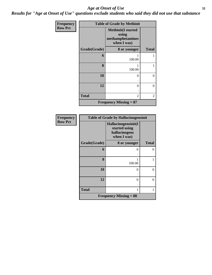*Results for "Age at Onset of Use" questions exclude students who said they did not use that substance*

| Frequency      |              | <b>Table of Grade by Methinit</b>                                     |                |
|----------------|--------------|-----------------------------------------------------------------------|----------------|
| <b>Row Pct</b> |              | <b>Methinit(I started</b><br>using<br>methamphetamines<br>when I was) |                |
|                | Grade(Grade) | 8 or younger                                                          | <b>Total</b>   |
|                | 6            | 100.00                                                                |                |
|                | 8            | 100.00                                                                | 1              |
|                | 10           | $\theta$                                                              | $\theta$       |
|                | 12           | 0                                                                     | $\theta$       |
|                | <b>Total</b> | $\overline{2}$                                                        | $\overline{c}$ |
|                |              | <b>Frequency Missing = 87</b>                                         |                |

| <b>Frequency</b> | <b>Table of Grade by Hallucinogensinit</b> |                                                                      |              |  |  |  |
|------------------|--------------------------------------------|----------------------------------------------------------------------|--------------|--|--|--|
| <b>Row Pct</b>   |                                            | Hallucinogensinit(I<br>started using<br>hallucinogens<br>when I was) |              |  |  |  |
|                  | Grade(Grade)                               | 8 or younger                                                         | <b>Total</b> |  |  |  |
|                  | 6                                          | $\mathbf{0}$                                                         | $\Omega$     |  |  |  |
|                  | 8                                          | 100.00                                                               |              |  |  |  |
|                  | 10                                         | ∩                                                                    | 0            |  |  |  |
|                  | 12                                         | 0                                                                    | $\Omega$     |  |  |  |
|                  | <b>Total</b>                               | 1                                                                    |              |  |  |  |
|                  |                                            | <b>Frequency Missing = 88</b>                                        |              |  |  |  |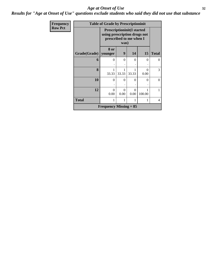*Results for "Age at Onset of Use" questions exclude students who said they did not use that substance*

| Frequency      |              | <b>Table of Grade by Prescriptioninit</b>                                                    |                  |                  |           |              |
|----------------|--------------|----------------------------------------------------------------------------------------------|------------------|------------------|-----------|--------------|
| <b>Row Pct</b> |              | <b>Prescriptioninit(I started</b><br>using prescription drugs not<br>prescribed to me when I |                  |                  |           |              |
|                | Grade(Grade) | 8 or<br>younger                                                                              | 9                | 14               | 15        | <b>Total</b> |
|                | 6            | $\theta$                                                                                     | $\Omega$         | 0                | 0         | 0            |
|                | 8            | 1<br>33.33                                                                                   | 33.33            | 33.33            | 0<br>0.00 | 3            |
|                | 10           | $\theta$                                                                                     | 0                | $\Omega$         | 0         | 0            |
|                | 12           | 0<br>0.00                                                                                    | $\Omega$<br>0.00 | $\Omega$<br>0.00 | 100.00    |              |
|                | <b>Total</b> | 1                                                                                            | $\overline{4}$   |                  |           |              |
|                |              | Frequency Missing $= 85$                                                                     |                  |                  |           |              |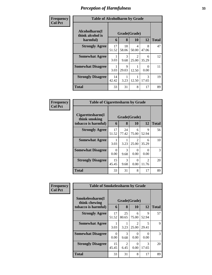| Frequency      | <b>Table of Alcoholharm by Grade</b>          |             |                      |                        |                        |              |
|----------------|-----------------------------------------------|-------------|----------------------|------------------------|------------------------|--------------|
| <b>Col Pct</b> | Alcoholharm(I<br>think alcohol is<br>harmful) | 6           | Grade(Grade)<br>8    | <b>10</b>              | 12                     | <b>Total</b> |
|                | <b>Strongly Agree</b>                         | 17<br>51.52 | 18<br>58.06          | 4<br>50.00             | 8<br>47.06             | 47           |
|                | <b>Somewhat Agree</b>                         | 3.03        | 3<br>9.68            | $\mathcal{D}$<br>25.00 | 6<br>35.29             | 12           |
|                | <b>Somewhat Disagree</b>                      | 3.03        | $\mathbf Q$<br>29.03 | 12.50                  | 0<br>0.00              | 11           |
|                | <b>Strongly Disagree</b>                      | 14<br>42.42 | 3.23                 | 12.50                  | $\mathcal{R}$<br>17.65 | 19           |
|                | Total                                         | 33          | 31                   | 8                      | 17                     | 89           |

| Frequency      | <b>Table of Cigarettesharm by Grade</b>                  |             |             |                                      |                         |              |
|----------------|----------------------------------------------------------|-------------|-------------|--------------------------------------|-------------------------|--------------|
| <b>Col Pct</b> | Cigarettesharm(I<br>think smoking<br>tobacco is harmful) | 6           | 8           | Grade(Grade)<br>10                   | 12                      | <b>Total</b> |
|                | <b>Strongly Agree</b>                                    | 17<br>51.52 | 24<br>77.42 | 6<br>75.00                           | 9<br>52.94              | 56           |
|                | <b>Somewhat Agree</b>                                    | 3.03        | 3.23        | $\mathcal{D}_{\mathcal{L}}$<br>25.00 | 6<br>35.29              | 10           |
|                | <b>Somewhat Disagree</b>                                 | 0<br>0.00   | 3<br>9.68   | 0<br>0.00                            | 0.00                    | 3            |
|                | <b>Strongly Disagree</b>                                 | 15<br>45.45 | 3<br>9.68   | 0<br>0.00                            | $\mathfrak{D}$<br>11.76 | 20           |
|                | <b>Total</b>                                             | 33          | 31          | 8                                    | 17                      | 89           |

| Frequency      | <b>Table of Smokelessharm by Grade</b> |             |             |                         |                        |              |  |
|----------------|----------------------------------------|-------------|-------------|-------------------------|------------------------|--------------|--|
| <b>Col Pct</b> | Smokelessharm(I<br>think chewing       |             |             | Grade(Grade)            |                        |              |  |
|                | tobacco is harmful)                    | 6           | 8           | 10                      | 12                     | <b>Total</b> |  |
|                | <b>Strongly Agree</b>                  | 17<br>51.52 | 25<br>80.65 | 6<br>75.00              | 9<br>52.94             | 57           |  |
|                | <b>Somewhat Agree</b>                  | 3.03        | 3.23        | $\mathfrak{D}$<br>25.00 | 5<br>29.41             | 9            |  |
|                | <b>Somewhat Disagree</b>               | 0<br>0.00   | 3<br>9.68   | 0<br>0.00               | 0.00                   | 3            |  |
|                | <b>Strongly Disagree</b>               | 15<br>45.45 | 2<br>6.45   | 0<br>0.00               | $\mathcal{R}$<br>17.65 | 20           |  |
|                | <b>Total</b>                           | 33          | 31          | 8                       | 17                     | 89           |  |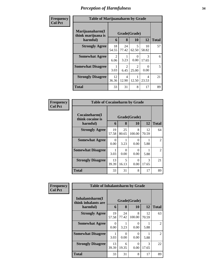| Frequency      | <b>Table of Marijuanaharm by Grade</b>            |             |                        |                                      |                        |              |
|----------------|---------------------------------------------------|-------------|------------------------|--------------------------------------|------------------------|--------------|
| <b>Col Pct</b> | Marijuanaharm(I<br>think marijuana is<br>harmful) | 6           | Grade(Grade)<br>8      | 10                                   | 12                     | <b>Total</b> |
|                | <b>Strongly Agree</b>                             | 18<br>54.55 | 24<br>77.42            | 5<br>62.50                           | 10<br>58.82            | 57           |
|                | <b>Somewhat Agree</b>                             | 2<br>6.06   | 3.23                   | 0<br>0.00                            | $\mathcal{R}$<br>17.65 | 6            |
|                | <b>Somewhat Disagree</b>                          | 3.03        | $\overline{2}$<br>6.45 | $\mathcal{D}_{\mathcal{L}}$<br>25.00 | $\Omega$<br>0.00       | 5            |
|                | <b>Strongly Disagree</b>                          | 12<br>36.36 | 4<br>12.90             | 12.50                                | 4<br>23.53             | 21           |
|                | <b>Total</b>                                      | 33          | 31                     | 8                                    | 17                     | 89           |

| Frequency      | <b>Table of Cocaineharm by Grade</b>          |             |             |                           |             |                |
|----------------|-----------------------------------------------|-------------|-------------|---------------------------|-------------|----------------|
| <b>Col Pct</b> | Cocaineharm(I<br>think cocaine is<br>harmful) | 6           | 8           | Grade(Grade)<br>10        | 12          | <b>Total</b>   |
|                | <b>Strongly Agree</b>                         | 19<br>57.58 | 25<br>80.65 | 8<br>100.00               | 12<br>70.59 | 64             |
|                | <b>Somewhat Agree</b>                         | O<br>0.00   | 3.23        | $\mathcal{O}$<br>0.00     | 5.88        | $\mathfrak{D}$ |
|                | <b>Somewhat Disagree</b>                      | 3.03        | 0<br>0.00   | $\mathbf{\Omega}$<br>0.00 | 5.88        | $\mathfrak{D}$ |
|                | <b>Strongly Disagree</b>                      | 13<br>39.39 | 5<br>16.13  | 0<br>0.00                 | 3<br>17.65  | 21             |
|                | <b>Total</b>                                  | 33          | 31          | 8                         | 17          | 89             |

| Frequency      | <b>Table of Inhalantsharm by Grade</b> |                      |                           |                           |             |                |
|----------------|----------------------------------------|----------------------|---------------------------|---------------------------|-------------|----------------|
| <b>Col Pct</b> | Inhalantsharm(I<br>think inhalants are |                      |                           | Grade(Grade)              |             |                |
|                | harmful)                               | 6                    | 8                         | <b>10</b>                 | 12          | <b>Total</b>   |
|                | <b>Strongly Agree</b>                  | 19<br>57.58          | 24<br>77.42               | 8<br>100.00               | 12<br>70.59 | 63             |
|                | <b>Somewhat Agree</b>                  | $\mathbf{0}$<br>0.00 | 3.23                      | $\mathbf{\Omega}$<br>0.00 | 5.88        | $\mathfrak{D}$ |
|                | <b>Somewhat Disagree</b>               | 3.03                 | $\mathbf{\Omega}$<br>0.00 | $\mathcal{O}$<br>0.00     | 5.88        | $\mathfrak{D}$ |
|                | <b>Strongly Disagree</b>               | 13<br>39.39          | 6<br>19.35                | 0<br>0.00                 | 3<br>17.65  | 22             |
|                | <b>Total</b>                           | 33                   | 31                        | 8                         | 17          | 89             |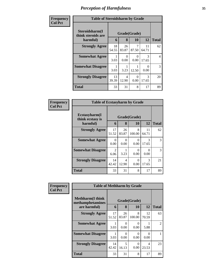| Frequency      | <b>Table of Steroidsharm by Grade</b>            |             |             |                    |                        |                |
|----------------|--------------------------------------------------|-------------|-------------|--------------------|------------------------|----------------|
| <b>Col Pct</b> | Steroidsharm(I<br>think steroids are<br>harmful) | 6           | 8           | Grade(Grade)<br>10 | 12                     | <b>Total</b>   |
|                | <b>Strongly Agree</b>                            | 18<br>54.55 | 26<br>83.87 | 87.50              | 11<br>64.71            | 62             |
|                | <b>Somewhat Agree</b>                            | 3.03        | 0<br>0.00   | 0<br>0.00          | $\mathcal{R}$<br>17.65 | $\overline{4}$ |
|                | <b>Somewhat Disagree</b>                         | 3.03        | 3.23        | 12.50              | 0<br>0.00              | 3              |
|                | <b>Strongly Disagree</b>                         | 13<br>39.39 | 4<br>12.90  | 0<br>0.00          | $\mathcal{R}$<br>17.65 | 20             |
|                | <b>Total</b>                                     | 33          | 31          | 8                  | 17                     | 89             |

| Frequency      | <b>Table of Ecstasyharm by Grade</b>          |             |             |                    |             |               |
|----------------|-----------------------------------------------|-------------|-------------|--------------------|-------------|---------------|
| <b>Col Pct</b> | Ecstasyharm(I<br>think ecstasy is<br>harmful) | 6           | 8           | Grade(Grade)<br>10 | 12          | <b>Total</b>  |
|                | <b>Strongly Agree</b>                         | 17<br>51.52 | 26<br>83.87 | 8<br>100.00        | 11<br>64.71 | 62            |
|                | <b>Somewhat Agree</b>                         | ∩<br>0.00   | 0<br>0.00   | 0<br>0.00          | 3<br>17.65  | $\mathcal{R}$ |
|                | <b>Somewhat Disagree</b>                      | 2<br>6.06   | 3.23        | 0<br>0.00          | 0<br>0.00   | 3             |
|                | <b>Strongly Disagree</b>                      | 14<br>42.42 | 4<br>12.90  | 0<br>0.00          | 3<br>17.65  | 21            |
|                | <b>Total</b>                                  | 33          | 31          | 8                  | 17          | 89            |

| Frequency      | <b>Table of Methharm by Grade</b>            |              |                      |             |             |                |  |
|----------------|----------------------------------------------|--------------|----------------------|-------------|-------------|----------------|--|
| <b>Col Pct</b> | <b>Methharm</b> (I think<br>methamphetamines | Grade(Grade) |                      |             |             |                |  |
|                | are harmful)                                 | 6            | 8                    | 10          | 12          | <b>Total</b>   |  |
|                | <b>Strongly Agree</b>                        | 17<br>51.52  | 26<br>83.87          | 8<br>100.00 | 12<br>70.59 | 63             |  |
|                | <b>Somewhat Agree</b>                        | 3.03         | 0<br>0.00            | 0.00        | 5.88        | $\mathfrak{D}$ |  |
|                | <b>Somewhat Disagree</b>                     | 3.03         | $\mathbf{0}$<br>0.00 | 0.00        | 0.00        |                |  |
|                | <b>Strongly Disagree</b>                     | 14<br>42.42  | 5<br>16.13           | 0.00        | 4<br>23.53  | 23             |  |
|                | <b>Total</b>                                 | 33           | 31                   | 8           | 17          | 89             |  |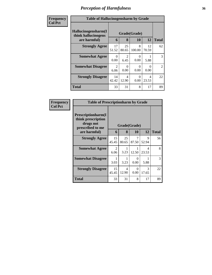| <b>Frequency</b> | <b>Table of Hallucinogensharm by Grade</b>                 |                   |                        |                   |                   |                |
|------------------|------------------------------------------------------------|-------------------|------------------------|-------------------|-------------------|----------------|
| <b>Col Pct</b>   | Hallucinogensharm(I<br>think hallucinogens<br>are harmful) | Grade(Grade)<br>6 | <b>Total</b>           |                   |                   |                |
|                  | <b>Strongly Agree</b>                                      | 17<br>51.52       | 8<br>25<br>80.65       | 10<br>8<br>100.00 | 12<br>12<br>70.59 | 62             |
|                  | <b>Somewhat Agree</b>                                      | $\Omega$<br>0.00  | $\overline{c}$<br>6.45 | $\Omega$<br>0.00  | 5.88              | 3              |
|                  | <b>Somewhat Disagree</b>                                   | 2<br>6.06         | $\Omega$<br>0.00       | $\Omega$<br>0.00  | $\Omega$<br>0.00  | $\overline{2}$ |
|                  | <b>Strongly Disagree</b>                                   | 14<br>42.42       | 4<br>12.90             | $\Omega$<br>0.00  | 4<br>23.53        | 22             |
|                  | <b>Total</b>                                               | 33                | 31                     | 8                 | 17                | 89             |

| Frequency      | <b>Table of Prescriptionharm by Grade</b>                                 |                        |             |            |                        |              |  |
|----------------|---------------------------------------------------------------------------|------------------------|-------------|------------|------------------------|--------------|--|
| <b>Col Pct</b> | Prescriptionharm(I<br>think prescription<br>drugs not<br>prescribed to me | Grade(Grade)           |             |            |                        |              |  |
|                | are harmful)                                                              | 6                      | 8           | 10         | 12                     | <b>Total</b> |  |
|                | <b>Strongly Agree</b>                                                     | 15<br>45.45            | 25<br>80.65 | 7<br>87.50 | 9<br>52.94             | 56           |  |
|                | <b>Somewhat Agree</b>                                                     | $\mathfrak{D}$<br>6.06 | 1<br>3.23   | 12.50      | 4<br>23.53             | 8            |  |
|                | <b>Somewhat Disagree</b>                                                  | 3.03                   | 3.23        | 0<br>0.00  | 5.88                   | 3            |  |
|                | <b>Strongly Disagree</b>                                                  | 15<br>45.45            | 4<br>12.90  | 0<br>0.00  | $\mathcal{R}$<br>17.65 | 22           |  |
|                | Total                                                                     | 33                     | 31          | 8          | 17                     | 89           |  |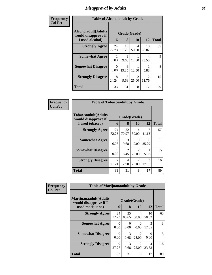## *Disapproval by Adults* **37**

| <b>Frequency</b> | <b>Table of Alcoholadult by Grade</b>                                 |                  |                   |                                      |                         |              |  |  |
|------------------|-----------------------------------------------------------------------|------------------|-------------------|--------------------------------------|-------------------------|--------------|--|--|
| <b>Col Pct</b>   | <b>Alcoholadult</b> (Adults<br>would disapprove if<br>I used alcohol) | 6                | Grade(Grade)<br>8 | <b>10</b>                            | 12                      | <b>Total</b> |  |  |
|                  | <b>Strongly Agree</b>                                                 | 24<br>72.73      | 19<br>61.29       | 4<br>50.00                           | 10<br>58.82             | 57           |  |  |
|                  | <b>Somewhat Agree</b>                                                 | 3.03             | 3<br>9.68         | 12.50                                | 4<br>23.53              | $\mathbf Q$  |  |  |
|                  | <b>Somewhat Disagree</b>                                              | $\Omega$<br>0.00 | 6<br>19.35        | 12.50                                | 5.88                    | 8            |  |  |
|                  | <b>Strongly Disagree</b>                                              | 8<br>24.24       | 3<br>9.68         | $\mathcal{D}_{\mathcal{L}}$<br>25.00 | $\mathfrak{D}$<br>11.76 | 15           |  |  |
|                  | <b>Total</b>                                                          | 33               | 31                | 8                                    | 17                      | 89           |  |  |

| Frequency      | <b>Table of Tobaccoadult by Grade</b>                         |                        |                       |                                                                                                                                                                          |            |              |  |
|----------------|---------------------------------------------------------------|------------------------|-----------------------|--------------------------------------------------------------------------------------------------------------------------------------------------------------------------|------------|--------------|--|
| <b>Col Pct</b> | Tobaccoadult(Adults<br>would disapprove if<br>I used tobacco) | 6                      | 8                     | Grade(Grade)<br><b>10</b>                                                                                                                                                | 12         | <b>Total</b> |  |
|                | <b>Strongly Agree</b>                                         | 24<br>72.73            | 22<br>70.97           | 4<br>50.00                                                                                                                                                               | 41.18      | 57           |  |
|                | <b>Somewhat Agree</b>                                         | $\overline{2}$<br>6.06 | 3<br>9.68             | $\Omega$<br>0.00                                                                                                                                                         | 6<br>35.29 | 11           |  |
|                | <b>Somewhat Disagree</b>                                      | $\Omega$<br>0.00       | $\mathcal{D}$<br>6.45 | $\mathcal{D}_{\mathcal{A}}^{\mathcal{A}}(\mathcal{A})=\mathcal{D}_{\mathcal{A}}^{\mathcal{A}}(\mathcal{A})\mathcal{D}_{\mathcal{A}}^{\mathcal{A}}(\mathcal{A})$<br>25.00 | 5.88       | 5            |  |
|                | <b>Strongly Disagree</b>                                      | 7<br>21.21             | 4<br>12.90            | $\mathcal{D}_{\mathcal{A}}^{\mathcal{A}}(\mathcal{A})=\mathcal{D}_{\mathcal{A}}^{\mathcal{A}}(\mathcal{A})\mathcal{D}_{\mathcal{A}}^{\mathcal{A}}(\mathcal{A})$<br>25.00 | 3<br>17.65 | 16           |  |
|                | <b>Total</b>                                                  | 33                     | 31                    | 8                                                                                                                                                                        | 17         | 89           |  |

| Frequency      | <b>Table of Marijuanaadult by Grade</b>        |                      |                       |                         |             |              |
|----------------|------------------------------------------------|----------------------|-----------------------|-------------------------|-------------|--------------|
| <b>Col Pct</b> | Marijuanaadult(Adults<br>would disapprove if I | Grade(Grade)         |                       |                         |             |              |
|                | used marijuana)                                | 6                    | 8                     | 10                      | 12          | <b>Total</b> |
|                | <b>Strongly Agree</b>                          | 24<br>72.73          | 25<br>80.65           | 4<br>50.00              | 10<br>58.82 | 63           |
|                | <b>Somewhat Agree</b>                          | $\Omega$<br>0.00     | $\Omega$<br>0.00      | 0<br>0.00               | 3<br>17.65  | 3            |
|                | <b>Somewhat Disagree</b>                       | 0<br>0.00            | $\mathcal{R}$<br>9.68 | $\mathfrak{D}$<br>25.00 | 0<br>0.00   | 5            |
|                | <b>Strongly Disagree</b>                       | $\mathbf Q$<br>27.27 | 3<br>9.68             | $\mathfrak{D}$<br>25.00 | 4<br>23.53  | 18           |
|                | <b>Total</b>                                   | 33                   | 31                    | 8                       | 17          | 89           |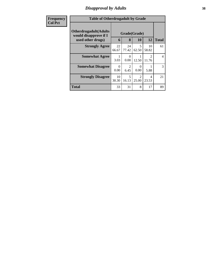## *Disapproval by Adults* **38**

| <b>Frequency</b> |                                                                             | <b>Table of Otherdrugadult by Grade</b> |                   |                                      |             |              |  |  |
|------------------|-----------------------------------------------------------------------------|-----------------------------------------|-------------------|--------------------------------------|-------------|--------------|--|--|
| <b>Col Pct</b>   | <b>Otherdrugadult</b> (Adults<br>would disapprove if I<br>used other drugs) | 6                                       | Grade(Grade)<br>8 | 10                                   | 12          | <b>Total</b> |  |  |
|                  | <b>Strongly Agree</b>                                                       | 22<br>66.67                             | 24<br>77.42       | 5<br>62.50                           | 10<br>58.82 | 61           |  |  |
|                  | <b>Somewhat Agree</b>                                                       | 1<br>3.03                               | $\Omega$<br>0.00  | 12.50                                | 2<br>11.76  | 4            |  |  |
|                  | <b>Somewhat Disagree</b>                                                    | $\Omega$<br>0.00                        | 2<br>6.45         | 0<br>0.00                            | 5.88        | 3            |  |  |
|                  | <b>Strongly Disagree</b>                                                    | 10<br>30.30                             | 5<br>16.13        | $\mathcal{D}_{\mathcal{A}}$<br>25.00 | 4<br>23.53  | 21           |  |  |
|                  | <b>Total</b>                                                                | 33                                      | 31                | 8                                    | 17          | 89           |  |  |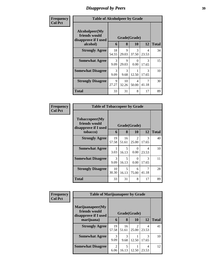# *Disapproval by Peers* **39**

| Frequency      | <b>Table of Alcoholpeer by Grade</b>                    |                       |              |            |                        |              |  |
|----------------|---------------------------------------------------------|-----------------------|--------------|------------|------------------------|--------------|--|
| <b>Col Pct</b> | Alcoholpeer(My<br>friends would<br>disapprove if I used |                       | Grade(Grade) |            |                        |              |  |
|                | alcohol)                                                | 6                     | 8            | 10         | 12                     | <b>Total</b> |  |
|                | <b>Strongly Agree</b>                                   | 18<br>54.55           | 9<br>29.03   | 3<br>37.50 | 4<br>23.53             | 34           |  |
|                | <b>Somewhat Agree</b>                                   | $\mathcal{F}$<br>9.09 | 9<br>29.03   | 0<br>0.00  | $\mathcal{F}$<br>17.65 | 15           |  |
|                | <b>Somewhat Disagree</b>                                | $\mathcal{R}$<br>9.09 | 3<br>9.68    | 12.50      | $\mathcal{R}$<br>17.65 | 10           |  |
|                | <b>Strongly Disagree</b>                                | 9<br>27.27            | 10<br>32.26  | 4<br>50.00 | 41.18                  | 30           |  |
|                | Total                                                   | 33                    | 31           | 8          | 17                     | 89           |  |

| Frequency      | <b>Table of Tobaccopeer by Grade</b>                    |                       |             |                        |            |              |
|----------------|---------------------------------------------------------|-----------------------|-------------|------------------------|------------|--------------|
| <b>Col Pct</b> | Tobaccopeer(My<br>friends would<br>disapprove if I used | Grade(Grade)          |             |                        |            |              |
|                | tobacco)                                                | 6                     | 8           | 10                     | 12         | <b>Total</b> |
|                | <b>Strongly Agree</b>                                   | 19<br>57.58           | 16<br>51.61 | $\mathcal{L}$<br>25.00 | 3<br>17.65 | 40           |
|                | <b>Somewhat Agree</b>                                   | 3.03                  | 5<br>16.13  | 0<br>0.00              | 4<br>23.53 | 10           |
|                | <b>Somewhat Disagree</b>                                | $\mathcal{E}$<br>9.09 | 5<br>16.13  | 0<br>0.00              | 3<br>17.65 | 11           |
|                | <b>Strongly Disagree</b>                                | 10<br>30.30           | 5<br>16.13  | 6<br>75.00             | 41.18      | 28           |
|                | Total                                                   | 33                    | 31          | 8                      | 17         | 89           |

| Frequency      | <b>Table of Marijuanapeer by Grade</b>                                    |                                     |             |       |            |              |  |  |
|----------------|---------------------------------------------------------------------------|-------------------------------------|-------------|-------|------------|--------------|--|--|
| <b>Col Pct</b> | Marijuanapeer(My<br>friends would<br>Grade(Grade)<br>disapprove if I used |                                     |             |       |            |              |  |  |
|                | marijuana)                                                                | 6                                   | 8           | 10    | 12         | <b>Total</b> |  |  |
|                | <b>Strongly Agree</b>                                                     | 19<br>57.58                         | 16<br>51.61 | 25.00 | 4<br>23.53 | 41           |  |  |
|                | <b>Somewhat Agree</b>                                                     | 3<br>9.09                           | 3<br>9.68   | 12.50 | 17.65      | 10           |  |  |
|                | <b>Somewhat Disagree</b>                                                  | $\mathcal{D}_{\mathcal{A}}$<br>6.06 | 5<br>16.13  | 12.50 | 4<br>23.53 | 12           |  |  |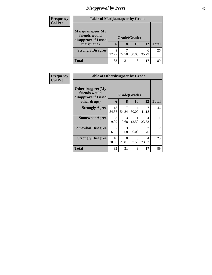## *Disapproval by Peers* **40**

| <b>Frequency</b><br><b>Col Pct</b> | <b>Table of Marijuanapeer by Grade</b> |              |       |            |            |              |
|------------------------------------|----------------------------------------|--------------|-------|------------|------------|--------------|
|                                    | Marijuanapeer(My<br>friends would      | Grade(Grade) |       |            |            |              |
|                                    | disapprove if I used<br>marijuana)     | 6            | 8     | 10         | 12         | <b>Total</b> |
|                                    | <b>Strongly Disagree</b>               | Q<br>27.27   | 22.58 | 4<br>50.00 | 6<br>35.29 | 26           |
|                                    | <b>Total</b>                           | 33           | 31    | 8          | 17         | 89           |

| <b>Frequency</b> | <b>Table of Otherdrugpeer by Grade</b>                                    |                        |                   |                  |                         |              |
|------------------|---------------------------------------------------------------------------|------------------------|-------------------|------------------|-------------------------|--------------|
| <b>Col Pct</b>   | Otherdrugpeer(My<br>friends would<br>disapprove if I used<br>other drugs) | 6                      | Grade(Grade)<br>8 | 10               | 12                      | <b>Total</b> |
|                  | <b>Strongly Agree</b>                                                     | 18<br>54.55            | 17<br>54.84       | 4<br>50.00       | 41.18                   | 46           |
|                  | <b>Somewhat Agree</b>                                                     | 3<br>9.09              | 3<br>9.68         | 12.50            | 4<br>23.53              | 11           |
|                  | <b>Somewhat Disagree</b>                                                  | $\overline{2}$<br>6.06 | 3<br>9.68         | $\Omega$<br>0.00 | $\mathfrak{D}$<br>11.76 | 7            |
|                  | <b>Strongly Disagree</b>                                                  | 10<br>30.30            | 8<br>25.81        | 3<br>37.50       | 4<br>23.53              | 25           |
|                  | Total                                                                     | 33                     | 31                | 8                | 17                      | 89           |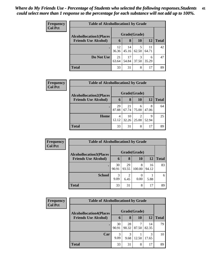| Frequency<br><b>Col Pct</b> | <b>Table of Alcohollocation1 by Grade</b> |              |             |            |             |              |  |  |
|-----------------------------|-------------------------------------------|--------------|-------------|------------|-------------|--------------|--|--|
|                             | <b>Alcohollocation1(Places</b>            | Grade(Grade) |             |            |             |              |  |  |
|                             | <b>Friends Use Alcohol)</b>               | 6            | 8           | <b>10</b>  | <b>12</b>   | <b>Total</b> |  |  |
|                             |                                           | 12<br>36.36  | 14<br>45.16 | 62.50      | 11<br>64.71 | 42           |  |  |
|                             | Do Not Use                                | 21<br>63.64  | 17<br>54.84 | 3<br>37.50 | 6<br>35.29  | 47           |  |  |
|                             | <b>Total</b>                              | 33           | 31          | 8          | 17          | 89           |  |  |

| Frequency      | <b>Table of Alcohollocation2 by Grade</b> |              |             |            |            |              |  |
|----------------|-------------------------------------------|--------------|-------------|------------|------------|--------------|--|
| <b>Col Pct</b> | <b>Alcohollocation2(Places</b>            | Grade(Grade) |             |            |            |              |  |
|                | <b>Friends Use Alcohol)</b>               | 6            | 8           | <b>10</b>  | <b>12</b>  | <b>Total</b> |  |
|                |                                           | 29<br>87.88  | 21<br>67.74 | 6<br>75.00 | 8<br>47.06 | 64           |  |
|                | Home                                      | 4<br>12.12   | 10<br>32.26 | 25.00      | 9<br>52.94 | 25           |  |
|                | <b>Total</b>                              | 33           | 31          | 8          | 17         | 89           |  |

| <b>Frequency</b> | <b>Table of Alcohollocation 3 by Grade</b> |             |              |             |             |              |  |  |
|------------------|--------------------------------------------|-------------|--------------|-------------|-------------|--------------|--|--|
| <b>Col Pct</b>   | <b>Alcohollocation3(Places</b>             |             | Grade(Grade) |             |             |              |  |  |
|                  | <b>Friends Use Alcohol)</b>                | 6           | 8            | 10          | 12          | <b>Total</b> |  |  |
|                  |                                            | 30<br>90.91 | 29<br>93.55  | 8<br>100.00 | 16<br>94.12 | 83           |  |  |
|                  | <b>School</b>                              | 3<br>9.09   | 2<br>6.45    | 0.00        | 5.88        | 6            |  |  |
|                  | <b>Total</b>                               | 33          | 31           | 8           | 17          | 89           |  |  |

| Frequency      | <b>Table of Alcohollocation4 by Grade</b> |              |             |       |             |              |  |  |
|----------------|-------------------------------------------|--------------|-------------|-------|-------------|--------------|--|--|
| <b>Col Pct</b> | <b>Alcohollocation4(Places</b>            | Grade(Grade) |             |       |             |              |  |  |
|                | <b>Friends Use Alcohol)</b>               | 6            | 8           | 10    | 12          | <b>Total</b> |  |  |
|                |                                           | 30<br>90.91  | 28<br>90.32 | 87.50 | 14<br>82.35 | 79           |  |  |
|                | Car                                       | 3<br>9.09    | 3<br>9.68   | 12.50 | 3<br>17.65  | 10           |  |  |
|                | <b>Total</b>                              | 33           | 31          | 8     | 17          | 89           |  |  |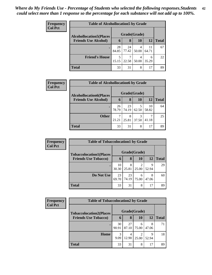| <b>Frequency</b> | <b>Table of Alcohollocation5 by Grade</b> |              |             |            |             |       |  |  |  |
|------------------|-------------------------------------------|--------------|-------------|------------|-------------|-------|--|--|--|
| <b>Col Pct</b>   | <b>Alcohollocation5(Places</b>            | Grade(Grade) |             |            |             |       |  |  |  |
|                  | <b>Friends Use Alcohol)</b>               | 6            | 8           | 10         | 12          | Total |  |  |  |
|                  |                                           | 28<br>84.85  | 24<br>77.42 | 4<br>50.00 | 11<br>64.71 | 67    |  |  |  |
|                  | <b>Friend's House</b>                     | 5<br>15.15   | 22.58       | 50.00      | 6<br>35.29  | 22    |  |  |  |
|                  | <b>Total</b>                              | 33           | 31          | 8          | 17          | 89    |  |  |  |

| Frequency      |                                | <b>Table of Alcohollocation6 by Grade</b> |             |           |             |              |  |  |  |
|----------------|--------------------------------|-------------------------------------------|-------------|-----------|-------------|--------------|--|--|--|
| <b>Col Pct</b> | <b>Alcohollocation6(Places</b> | Grade(Grade)                              |             |           |             |              |  |  |  |
|                | <b>Friends Use Alcohol)</b>    | 6                                         | 8           | <b>10</b> | <b>12</b>   | <b>Total</b> |  |  |  |
|                |                                | 26<br>78.79                               | 23<br>74.19 | 62.50     | 10<br>58.82 | 64           |  |  |  |
|                | <b>Other</b>                   | 21.21                                     | 8<br>25.81  | 37.50     | 41.18       | 25           |  |  |  |
|                | <b>Total</b>                   | 33                                        | 31          | 8         | 17          | 89           |  |  |  |

| Frequency      |                                | <b>Table of Tobaccolocation1 by Grade</b> |             |                         |            |              |  |  |  |
|----------------|--------------------------------|-------------------------------------------|-------------|-------------------------|------------|--------------|--|--|--|
| <b>Col Pct</b> | <b>Tobaccolocation1(Places</b> | Grade(Grade)                              |             |                         |            |              |  |  |  |
|                | <b>Friends Use Tobacco)</b>    | 6                                         | 8           | 10                      | 12         | <b>Total</b> |  |  |  |
|                |                                | 10<br>30.30                               | 8<br>25.81  | $\overline{2}$<br>25.00 | Q<br>52.94 | 29           |  |  |  |
|                | Do Not Use                     | 23<br>69.70                               | 23<br>74.19 | 6<br>75.00              | 8<br>47.06 | 60           |  |  |  |
|                | <b>Total</b>                   | 33                                        | 31          | 8                       | 17         | 89           |  |  |  |

| <b>Frequency</b> |                                | <b>Table of Tobaccolocation2 by Grade</b> |             |            |            |              |  |  |  |  |
|------------------|--------------------------------|-------------------------------------------|-------------|------------|------------|--------------|--|--|--|--|
| <b>Col Pct</b>   | <b>Tobaccolocation2(Places</b> | Grade(Grade)                              |             |            |            |              |  |  |  |  |
|                  | <b>Friends Use Tobacco)</b>    | 6                                         | 8           | 10         | 12         | <b>Total</b> |  |  |  |  |
|                  |                                | 30<br>90.91                               | 27<br>87.10 | 6<br>75.00 | 8<br>47.06 | 71           |  |  |  |  |
|                  | Home                           | 3<br>9.09                                 | 4<br>12.90  | 25.00      | q<br>52.94 | 18           |  |  |  |  |
|                  | <b>Total</b>                   | 33                                        | 31          | 8          | 17         | 89           |  |  |  |  |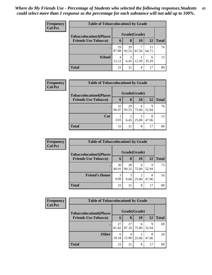| <b>Frequency</b><br><b>Col Pct</b> | <b>Table of Tobaccolocation 3 by Grade</b> |              |             |       |             |              |  |  |  |
|------------------------------------|--------------------------------------------|--------------|-------------|-------|-------------|--------------|--|--|--|
|                                    | <b>Tobaccolocation3(Places</b>             | Grade(Grade) |             |       |             |              |  |  |  |
|                                    | <b>Friends Use Tobacco)</b>                | 6            | 8           | 10    | 12          | <b>Total</b> |  |  |  |
|                                    |                                            | 29<br>87.88  | 29<br>93.55 | 87.50 | 11<br>64.71 | 76           |  |  |  |
|                                    | <b>School</b>                              | 4<br>12.12   | റ<br>6.45   | 12.50 | 6<br>35.29  | 13           |  |  |  |
|                                    | <b>Total</b>                               | 33           | 31          | 8     | 17          | 89           |  |  |  |

| <b>Frequency</b> | <b>Table of Tobaccolocation4 by Grade</b> |              |             |                         |            |              |
|------------------|-------------------------------------------|--------------|-------------|-------------------------|------------|--------------|
| <b>Col Pct</b>   | <b>Tobaccolocation4(Places</b>            | Grade(Grade) |             |                         |            |              |
|                  | <b>Friends Use Tobacco)</b>               | 6            | 8           | 10                      | <b>12</b>  | <b>Total</b> |
|                  |                                           | 32<br>96.97  | 29<br>93.55 | 6<br>75.00              | 9<br>52.94 | 76           |
|                  | Car                                       | 3.03         | ∍<br>6.45   | $\overline{2}$<br>25.00 | 8<br>47.06 | 13           |
|                  | <b>Total</b>                              | 33           | 31          | 8                       | 17         | 89           |

| <b>Frequency</b> | <b>Table of Tobaccolocation5 by Grade</b> |             |              |            |            |              |  |  |
|------------------|-------------------------------------------|-------------|--------------|------------|------------|--------------|--|--|
| <b>Col Pct</b>   | <b>Tobaccolocation5(Places</b>            |             | Grade(Grade) |            |            |              |  |  |
|                  | <b>Friends Use Tobacco)</b>               | 6           | 8            | <b>10</b>  | 12         | <b>Total</b> |  |  |
|                  |                                           | 30<br>90.91 | 28<br>90.32  | 6<br>75.00 | 9<br>52.94 | 73           |  |  |
|                  | <b>Friend's House</b>                     | 3<br>9.09   | 3<br>9.68    | 25.00      | 8<br>47.06 | 16           |  |  |
|                  | <b>Total</b>                              | 33          | 31           | 8          | 17         | 89           |  |  |

| Frequency      |                                | <b>Table of Tobaccolocation6 by Grade</b> |             |            |            |              |  |  |  |  |
|----------------|--------------------------------|-------------------------------------------|-------------|------------|------------|--------------|--|--|--|--|
| <b>Col Pct</b> | <b>Tobaccolocation6(Places</b> | Grade(Grade)                              |             |            |            |              |  |  |  |  |
|                | <b>Friends Use Tobacco)</b>    | 6                                         | 8           | 10         | 12         | <b>Total</b> |  |  |  |  |
|                |                                | 27<br>81.82                               | 27<br>87.10 | 6<br>75.00 | 9<br>52.94 | 69           |  |  |  |  |
|                | <b>Other</b>                   | 6<br>18.18                                | 4<br>12.90  | 25.00      | 8<br>47.06 | 20           |  |  |  |  |
|                | <b>Total</b>                   | 33                                        | 31          | 8          | 17         | 89           |  |  |  |  |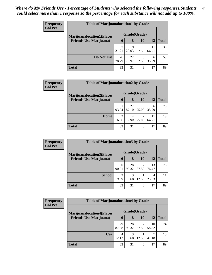| <b>Frequency</b> | <b>Table of Marijuanalocation1 by Grade</b> |              |             |            |             |              |  |  |  |
|------------------|---------------------------------------------|--------------|-------------|------------|-------------|--------------|--|--|--|
| <b>Col Pct</b>   | <b>Marijuanalocation1(Places</b>            | Grade(Grade) |             |            |             |              |  |  |  |
|                  | <b>Friends Use Marijuana</b> )              | 6            | 8           | 10         | 12          | <b>Total</b> |  |  |  |
|                  |                                             | 21.21        | 9<br>29.03  | 3<br>37.50 | 11<br>64.71 | 30           |  |  |  |
|                  | Do Not Use                                  | 26<br>78.79  | 22<br>70.97 | 5<br>62.50 | 6<br>35.29  | 59           |  |  |  |
|                  | <b>Total</b>                                | 33           | 31          | 8          | 17          | 89           |  |  |  |

| Frequency      |                                                                    | <b>Table of Marijuanalocation2 by Grade</b> |                   |            |             |              |  |  |  |  |
|----------------|--------------------------------------------------------------------|---------------------------------------------|-------------------|------------|-------------|--------------|--|--|--|--|
| <b>Col Pct</b> | <b>Marijuanalocation2(Places</b><br><b>Friends Use Marijuana</b> ) | 6                                           | Grade(Grade)<br>8 | 10         | 12          | <b>Total</b> |  |  |  |  |
|                |                                                                    |                                             |                   |            |             |              |  |  |  |  |
|                | ٠                                                                  | 31<br>93.94                                 | 27<br>87.10       | 6<br>75.00 | 6<br>35.29  | 70           |  |  |  |  |
|                | Home                                                               | 2<br>6.06                                   | 4<br>12.90        | 25.00      | 11<br>64.71 | 19           |  |  |  |  |
|                | <b>Total</b>                                                       | 33                                          | 31                | 8          | 17          | 89           |  |  |  |  |

| Frequency      | <b>Table of Marijuanalocation3 by Grade</b> |              |             |           |             |              |  |  |  |
|----------------|---------------------------------------------|--------------|-------------|-----------|-------------|--------------|--|--|--|
| <b>Col Pct</b> | <b>Marijuanalocation3(Places)</b>           | Grade(Grade) |             |           |             |              |  |  |  |
|                | <b>Friends Use Marijuana</b> )              | 6            | 8           | <b>10</b> | 12          | <b>Total</b> |  |  |  |
|                |                                             | 30<br>90.91  | 28<br>90.32 | 87.50     | 13<br>76.47 | 78           |  |  |  |
|                | <b>School</b>                               | 3<br>9.09    | 3<br>9.68   | 12.50     | 4<br>23.53  |              |  |  |  |
|                | <b>Total</b>                                | 33           | 31          | 8         | 17          | 89           |  |  |  |

| Frequency      | <b>Table of Marijuanalocation4 by Grade</b> |              |             |           |             |              |  |  |
|----------------|---------------------------------------------|--------------|-------------|-----------|-------------|--------------|--|--|
| <b>Col Pct</b> | <b>Marijuanalocation4(Places)</b>           | Grade(Grade) |             |           |             |              |  |  |
|                | <b>Friends Use Marijuana</b> )              | 6            | 8           | <b>10</b> | 12          | <b>Total</b> |  |  |
|                |                                             | 29<br>87.88  | 28<br>90.32 | 87.50     | 10<br>58.82 | 74           |  |  |
|                | Car                                         | 4<br>12.12   | 3<br>9.68   | 12.50     | 41.18       | 15           |  |  |
|                | <b>Total</b>                                | 33           | 31          | 8         | 17          | 89           |  |  |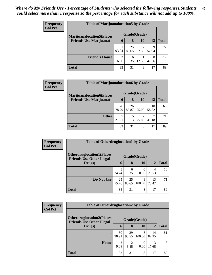| <b>Frequency</b> |                                   | <b>Table of Marijuanalocation5 by Grade</b> |             |       |            |              |  |  |  |  |
|------------------|-----------------------------------|---------------------------------------------|-------------|-------|------------|--------------|--|--|--|--|
| <b>Col Pct</b>   | <b>Marijuanalocation5</b> (Places | Grade(Grade)                                |             |       |            |              |  |  |  |  |
|                  | <b>Friends Use Marijuana</b> )    | 6                                           | 8           | 10    | 12         | <b>Total</b> |  |  |  |  |
|                  |                                   | 31<br>93.94                                 | 25<br>80.65 | 87.50 | 9<br>52.94 | 72           |  |  |  |  |
|                  | <b>Friend's House</b>             | $\overline{2}$<br>6.06                      | 6<br>19.35  | 12.50 | 8<br>47.06 | 17           |  |  |  |  |
|                  | <b>Total</b>                      | 33                                          | 31          | 8     | 17         | 89           |  |  |  |  |

| Frequency      |                                  | <b>Table of Marijuanalocation6 by Grade</b> |             |            |             |              |  |  |
|----------------|----------------------------------|---------------------------------------------|-------------|------------|-------------|--------------|--|--|
| <b>Col Pct</b> | <b>Marijuanalocation6(Places</b> | Grade(Grade)                                |             |            |             |              |  |  |
|                | <b>Friends Use Marijuana</b> )   | 6                                           | 8           | 10         | 12          | <b>Total</b> |  |  |
|                | $\bullet$                        | 26<br>78.79                                 | 26<br>83.87 | 6<br>75.00 | 10<br>58.82 | 68           |  |  |
|                | <b>Other</b>                     | ┑<br>21.21                                  | 16.13       | 25.00      | ⇁<br>41.18  | 21           |  |  |
|                | <b>Total</b>                     | 33                                          | 31          | 8          | 17          | 89           |  |  |

| Frequency      |                                                                      | <b>Table of Otherdruglocation1 by Grade</b> |             |              |             |              |
|----------------|----------------------------------------------------------------------|---------------------------------------------|-------------|--------------|-------------|--------------|
| <b>Col Pct</b> |                                                                      |                                             |             |              |             |              |
|                | <b>Otherdruglocation1(Places</b><br><b>Friends Use Other Illegal</b> |                                             |             | Grade(Grade) |             |              |
|                | Drugs)                                                               | 6                                           | 8           | <b>10</b>    | <b>12</b>   | <b>Total</b> |
|                |                                                                      | 8<br>24.24                                  | 6<br>19.35  | 0.00         | 4<br>23.53  | 18           |
|                | Do Not Use                                                           | 25<br>75.76                                 | 25<br>80.65 | 8<br>100.00  | 13<br>76.47 | 71           |
|                | <b>Total</b>                                                         | 33                                          | 31          | 8            | 17          | 89           |

| uency | <b>Table of Otherdruglocation2 by Grade</b>                          |              |                        |             |             |              |  |  |
|-------|----------------------------------------------------------------------|--------------|------------------------|-------------|-------------|--------------|--|--|
| Pct   | <b>Otherdruglocation2(Places</b><br><b>Friends Use Other Illegal</b> | Grade(Grade) |                        |             |             |              |  |  |
|       | Drugs)                                                               | 6            | 8                      | 10          | 12          | <b>Total</b> |  |  |
|       |                                                                      | 30<br>90.91  | 29<br>93.55            | 8<br>100.00 | 14<br>82.35 | 81           |  |  |
|       | Home                                                                 | 3<br>9.09    | $\overline{c}$<br>6.45 | 0.00        | 3<br>17.65  | 8            |  |  |
|       | <b>Total</b>                                                         | 33           | 31                     | 8           | 17          | 89           |  |  |

**Freq**  $Col$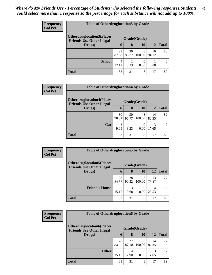| <b>Frequency</b> | <b>Table of Otherdruglocation 3 by Grade</b>                          |              |             |             |             |              |  |
|------------------|-----------------------------------------------------------------------|--------------|-------------|-------------|-------------|--------------|--|
| <b>Col Pct</b>   | <b>Otherdruglocation3(Places)</b><br><b>Friends Use Other Illegal</b> | Grade(Grade) |             |             |             |              |  |
|                  | Drugs)                                                                | 6            | 8           | 10          | 12          | <b>Total</b> |  |
|                  |                                                                       | 29<br>87.88  | 30<br>96.77 | 8<br>100.00 | 16<br>94.12 | 83           |  |
|                  | <b>School</b>                                                         | 4<br>12.12   | 3.23        | 0.00        | 5.88        | 6            |  |
|                  | <b>Total</b>                                                          | 33           | 31          | 8           | 17          | 89           |  |

| <b>Frequency</b> | <b>Table of Otherdruglocation4 by Grade</b>                           |              |             |                  |             |              |  |
|------------------|-----------------------------------------------------------------------|--------------|-------------|------------------|-------------|--------------|--|
| <b>Col Pct</b>   | <b>Otherdruglocation4(Places)</b><br><b>Friends Use Other Illegal</b> | Grade(Grade) |             |                  |             |              |  |
|                  | Drugs)                                                                | 6            | 8           | 10               | 12          | <b>Total</b> |  |
|                  |                                                                       | 30<br>90.91  | 30<br>96.77 | 8<br>100.00      | 14<br>82.35 | 82           |  |
|                  | Car                                                                   | 3<br>9.09    | 3.23        | $\Omega$<br>0.00 | 3<br>17.65  |              |  |
|                  | <b>Total</b>                                                          | 33           | 31          | 8                | 17          | 89           |  |

| Frequency<br><b>Col Pct</b> | <b>Table of Otherdruglocation5 by Grade</b>                           |             |              |             |             |              |  |
|-----------------------------|-----------------------------------------------------------------------|-------------|--------------|-------------|-------------|--------------|--|
|                             | <b>Otherdruglocation5</b> (Places<br><b>Friends Use Other Illegal</b> |             | Grade(Grade) |             |             |              |  |
|                             | Drugs)                                                                | 6           | 8            | 10          | 12          | <b>Total</b> |  |
|                             |                                                                       | 28<br>84.85 | 28<br>90.32  | 8<br>100.00 | 13<br>76.47 | 77           |  |
|                             | <b>Friend's House</b>                                                 | 5<br>15.15  | 3<br>9.68    | 0.00        | 4<br>23.53  | 12           |  |
|                             | <b>Total</b>                                                          | 33          | 31           | 8           | 17          | 89           |  |

| <b>Frequency</b> | <b>Table of Otherdruglocation6 by Grade</b>                          |              |             |             |             |              |
|------------------|----------------------------------------------------------------------|--------------|-------------|-------------|-------------|--------------|
| <b>Col Pct</b>   | <b>Otherdruglocation6(Places</b><br><b>Friends Use Other Illegal</b> | Grade(Grade) |             |             |             |              |
|                  | Drugs)                                                               | 6            | 8           | 10          | <b>12</b>   | <b>Total</b> |
|                  |                                                                      | 28<br>84.85  | 27<br>87.10 | 8<br>100.00 | 14<br>82.35 | 77           |
|                  | <b>Other</b>                                                         | 5<br>15.15   | 4<br>12.90  | 0.00        | 3<br>17.65  | 12           |
|                  | <b>Total</b>                                                         | 33           | 31          | 8           | 17          | 89           |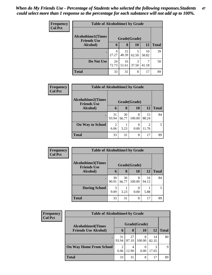| <b>Frequency</b> | <b>Table of Alcoholtime1 by Grade</b>           |              |             |            |             |              |  |  |
|------------------|-------------------------------------------------|--------------|-------------|------------|-------------|--------------|--|--|
| <b>Col Pct</b>   | <b>Alcoholtime1(Times</b><br><b>Friends Use</b> | Grade(Grade) |             |            |             |              |  |  |
|                  | Alcohol)                                        | 6            | 8           | 10         | 12          | <b>Total</b> |  |  |
|                  |                                                 | 9<br>27.27   | 15<br>48.39 | 5<br>62.50 | 10<br>58.82 | 39           |  |  |
|                  | Do Not Use                                      | 24<br>72.73  | 16<br>51.61 | 3<br>37.50 | 41.18       | 50           |  |  |
|                  | <b>Total</b>                                    | 33           | 31          | 8          | 17          | 89           |  |  |

| Frequency<br><b>Col Pct</b> | <b>Table of Alcoholtime2 by Grade</b>           |                        |             |             |                                   |              |
|-----------------------------|-------------------------------------------------|------------------------|-------------|-------------|-----------------------------------|--------------|
|                             | <b>Alcoholtime2(Times</b><br><b>Friends Use</b> | Grade(Grade)           |             |             |                                   |              |
|                             | <b>Alcohol</b> )                                | 6                      | 8           | 10          | 12                                | <b>Total</b> |
|                             | ٠                                               | 31<br>93.94            | 30<br>96.77 | 8<br>100.00 | 15<br>88.24                       | 84           |
|                             | <b>On Way to School</b>                         | $\mathfrak{D}$<br>6.06 | 3.23        | 0<br>0.00   | $\overline{\mathcal{L}}$<br>11.76 | 5.           |
|                             | <b>Total</b>                                    | 33                     | 31          | 8           | 17                                | 89           |

| Frequency<br><b>Col Pct</b> | <b>Table of Alcoholtime3 by Grade</b>           |             |             |              |             |              |
|-----------------------------|-------------------------------------------------|-------------|-------------|--------------|-------------|--------------|
|                             | <b>Alcoholtime3(Times</b><br><b>Friends Use</b> |             |             | Grade(Grade) |             |              |
|                             | <b>Alcohol</b> )                                | 6           | 8           | 10           | 12          | <b>Total</b> |
|                             | $\bullet$                                       | 30<br>90.91 | 30<br>96.77 | 8<br>100.00  | 16<br>94.12 | 84           |
|                             | <b>During School</b>                            | 3<br>9.09   | 3.23        | 0.00         | 5.88        | 5            |
|                             | <b>Total</b>                                    | 33          | 31          | 8            | 17          | 89           |

| <b>Frequency</b> | <b>Table of Alcoholtime4 by Grade</b> |              |             |                  |             |              |  |
|------------------|---------------------------------------|--------------|-------------|------------------|-------------|--------------|--|
| <b>Col Pct</b>   | <b>Alcoholtime4(Times</b>             | Grade(Grade) |             |                  |             |              |  |
|                  | <b>Friends Use Alcohol)</b>           | 6            | 8           | 10               | 12          | <b>Total</b> |  |
|                  | ٠                                     | 31<br>93.94  | 27<br>87.10 | 8<br>100.00      | 14<br>82.35 | 80           |  |
|                  | <b>On Way Home From School</b>        | 2<br>6.06    | 4<br>12.90  | $\theta$<br>0.00 | 3<br>17.65  | 9            |  |
|                  | <b>Total</b>                          | 33           | 31          | 8                | 17          | 89           |  |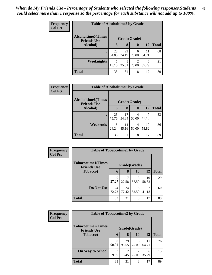| <b>Frequency</b> | <b>Table of Alcoholtime5 by Grade</b>           |              |             |            |             |              |  |  |
|------------------|-------------------------------------------------|--------------|-------------|------------|-------------|--------------|--|--|
| <b>Col Pct</b>   | <b>Alcoholtime5(Times</b><br><b>Friends Use</b> | Grade(Grade) |             |            |             |              |  |  |
|                  | Alcohol)                                        | 6            | 8           | 10         | 12          | <b>Total</b> |  |  |
|                  |                                                 | 28<br>84.85  | 23<br>74.19 | 6<br>75.00 | 11<br>64.71 | 68           |  |  |
|                  | <b>Weeknights</b>                               | 5<br>15.15   | 8<br>25.81  | 2<br>25.00 | 6<br>35.29  | 21           |  |  |
|                  | <b>Total</b>                                    | 33           | 31          | 8          | 17          | 89           |  |  |

| <b>Frequency</b> | <b>Table of Alcoholtime6 by Grade</b>           |             |              |            |             |              |
|------------------|-------------------------------------------------|-------------|--------------|------------|-------------|--------------|
| <b>Col Pct</b>   | <b>Alcoholtime6(Times</b><br><b>Friends Use</b> |             | Grade(Grade) |            |             |              |
|                  | <b>Alcohol</b> )                                | 6           | 8            | 10         | 12          | <b>Total</b> |
|                  |                                                 | 25<br>75.76 | 17<br>54.84  | 4<br>50.00 | 41.18       | 53           |
|                  | Weekends                                        | 8<br>24.24  | 14<br>45.16  | 4<br>50.00 | 10<br>58.82 | 36           |
|                  | <b>Total</b>                                    | 33          | 31           | 8          | 17          | 89           |

| <b>Frequency</b> |                                                 | <b>Table of Tobaccotime1 by Grade</b> |             |            |             |              |  |  |  |
|------------------|-------------------------------------------------|---------------------------------------|-------------|------------|-------------|--------------|--|--|--|
| <b>Col Pct</b>   | <b>Tobaccotime1(Times</b><br><b>Friends Use</b> | Grade(Grade)                          |             |            |             |              |  |  |  |
|                  | <b>Tobacco</b> )                                | 6                                     | 8           | 10         | 12          | <b>Total</b> |  |  |  |
|                  |                                                 | Q<br>27.27                            | 22.58       | 3<br>37.50 | 10<br>58.82 | 29           |  |  |  |
|                  | Do Not Use                                      | 24<br>72.73                           | 24<br>77.42 | 5<br>62.50 | 41.18       | 60           |  |  |  |
|                  | <b>Total</b>                                    | 33                                    | 31          | 8          | 17          | 89           |  |  |  |

| Frequency      | <b>Table of Tobaccotime2 by Grade</b>                           |             |                        |                         |             |              |  |  |  |
|----------------|-----------------------------------------------------------------|-------------|------------------------|-------------------------|-------------|--------------|--|--|--|
| <b>Col Pct</b> | <b>Tobaccotime2(Times</b><br>Grade(Grade)<br><b>Friends Use</b> |             |                        |                         |             |              |  |  |  |
|                | <b>Tobacco</b> )                                                | 6           | 8                      | 10                      | 12          | <b>Total</b> |  |  |  |
|                |                                                                 | 30<br>90.91 | 29<br>93.55            | 6<br>75.00              | 11<br>64.71 | 76           |  |  |  |
|                | <b>On Way to School</b>                                         | 3<br>9.09   | $\overline{2}$<br>6.45 | $\overline{2}$<br>25.00 | 6<br>35.29  | 13           |  |  |  |
|                | <b>Total</b>                                                    | 33          | 31                     | 8                       | 17          | 89           |  |  |  |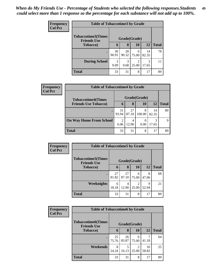| <b>Frequency</b> | <b>Table of Tobaccotime3 by Grade</b>                           |             |             |                         |             |              |  |  |
|------------------|-----------------------------------------------------------------|-------------|-------------|-------------------------|-------------|--------------|--|--|
| <b>Col Pct</b>   | <b>Tobaccotime3(Times</b><br>Grade(Grade)<br><b>Friends Use</b> |             |             |                         |             |              |  |  |
|                  | <b>Tobacco</b> )                                                | 6           | 8           | 10                      | 12          | <b>Total</b> |  |  |
|                  | ٠                                                               | 30<br>90.91 | 28<br>90.32 | 6<br>75.00              | 14<br>82.35 | 78           |  |  |
|                  | <b>During School</b>                                            | 3<br>9.09   | 3<br>9.68   | $\overline{2}$<br>25.00 | 3<br>17.65  | 11           |  |  |
|                  | <b>Total</b>                                                    | 33          | 31          | 8                       | 17          | 89           |  |  |

| Frequency<br><b>Col Pct</b> | <b>Table of Tobaccotime4 by Grade</b> |                        |             |             |             |              |  |
|-----------------------------|---------------------------------------|------------------------|-------------|-------------|-------------|--------------|--|
|                             | <b>Tobaccotime4(Times</b>             | Grade(Grade)           |             |             |             |              |  |
|                             | <b>Friends Use Tobacco)</b>           | 6                      | 8           | 10          | 12          | <b>Total</b> |  |
|                             | ٠                                     | 31<br>93.94            | 27<br>87.10 | 8<br>100.00 | 14<br>82.35 | 80           |  |
|                             | <b>On Way Home From School</b>        | $\overline{c}$<br>6.06 | 4<br>12.90  | 0.00        | 3<br>17.65  | Q            |  |
|                             | <b>Total</b>                          | 33                     | 31          | 8           | 17          | 89           |  |

| <b>Frequency</b> | <b>Table of Tobaccotime5 by Grade</b>                            |             |             |                         |            |              |
|------------------|------------------------------------------------------------------|-------------|-------------|-------------------------|------------|--------------|
| <b>Col Pct</b>   | <b>Tobaccotime5</b> (Times<br>Grade(Grade)<br><b>Friends Use</b> |             |             |                         |            |              |
|                  | Tobacco)                                                         | 6           | 8           | 10                      | 12         | <b>Total</b> |
|                  |                                                                  | 27<br>81.82 | 27<br>87.10 | 6<br>75.00              | 8<br>47.06 | 68           |
|                  | <b>Weeknights</b>                                                | 6<br>18.18  | 4<br>12.90  | $\mathfrak{D}$<br>25.00 | Q<br>52.94 | 21           |
|                  | <b>Total</b>                                                     | 33          | 31          | 8                       | 17         | 89           |

| <b>Frequency</b> | <b>Table of Tobaccotime6 by Grade</b>                           |             |             |                         |             |              |  |  |
|------------------|-----------------------------------------------------------------|-------------|-------------|-------------------------|-------------|--------------|--|--|
| <b>Col Pct</b>   | <b>Tobaccotime6(Times</b><br>Grade(Grade)<br><b>Friends Use</b> |             |             |                         |             |              |  |  |
|                  | Tobacco)                                                        | 6           | 8           | 10                      | 12          | <b>Total</b> |  |  |
|                  |                                                                 | 25<br>75.76 | 26<br>83.87 | 6<br>75.00              | 41.18       | 64           |  |  |
|                  | Weekends                                                        | 8<br>24.24  | 16.13       | $\overline{2}$<br>25.00 | 10<br>58.82 | 25           |  |  |
|                  | <b>Total</b>                                                    | 33          | 31          | 8                       | 17          | 89           |  |  |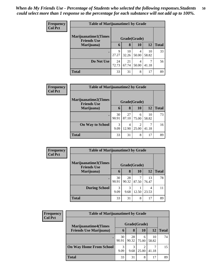| <b>Frequency</b> | <b>Table of Marijuanatime1 by Grade</b>                            |             |             |            |             |              |  |
|------------------|--------------------------------------------------------------------|-------------|-------------|------------|-------------|--------------|--|
| <b>Col Pct</b>   | <b>Marijuanatime1</b> (Times<br>Grade(Grade)<br><b>Friends Use</b> |             |             |            |             |              |  |
|                  | Marijuana)                                                         | 6           | 8           | 10         | 12          | <b>Total</b> |  |
|                  |                                                                    | 9<br>27.27  | 10<br>32.26 | 4<br>50.00 | 10<br>58.82 | 33           |  |
|                  | Do Not Use                                                         | 24<br>72.73 | 21<br>67.74 | 4<br>50.00 | 41.18       | 56           |  |
|                  | <b>Total</b>                                                       | 33          | 31          | 8          | 17          | 89           |  |

| Frequency | <b>Table of Marijuanatime2 by Grade</b>           |              |             |                         |             |              |  |  |
|-----------|---------------------------------------------------|--------------|-------------|-------------------------|-------------|--------------|--|--|
| Col Pct   | <b>Marijuanatime2(Times</b><br><b>Friends Use</b> | Grade(Grade) |             |                         |             |              |  |  |
|           | Marijuana)                                        | 6            | 8           | 10                      | 12          | <b>Total</b> |  |  |
|           |                                                   | 30<br>90.91  | 27<br>87.10 | 6<br>75.00              | 10<br>58.82 | 73           |  |  |
|           | <b>On Way to School</b>                           | 3<br>9.09    | 4<br>12.90  | $\mathfrak{D}$<br>25.00 | 41.18       | 16           |  |  |
|           | <b>Total</b>                                      | 33           | 31          | 8                       | 17          | 89           |  |  |

| <b>Frequency</b> | <b>Table of Marijuanatime3 by Grade</b>    |              |           |                      |             |              |  |
|------------------|--------------------------------------------|--------------|-----------|----------------------|-------------|--------------|--|
| <b>Col Pct</b>   | Marijuanatime3(Times<br><b>Friends Use</b> | Grade(Grade) |           |                      |             |              |  |
|                  | Marijuana)                                 | 6            | 8         | 10                   | <b>12</b>   | <b>Total</b> |  |
|                  |                                            | 30<br>90.91  | 28        | $90.32 \times 87.50$ | 13<br>76.47 | 78           |  |
|                  | <b>During School</b>                       | 3<br>9.09    | 3<br>9.68 | 12.50                | 4<br>23.53  | 11           |  |
|                  | <b>Total</b>                               | 33           | 31        | 8                    | 17          | 89           |  |

| <b>Frequency</b><br><b>Col Pct</b> | <b>Table of Marijuanatime4 by Grade</b> |              |             |            |             |              |  |  |
|------------------------------------|-----------------------------------------|--------------|-------------|------------|-------------|--------------|--|--|
|                                    | <b>Marijuanatime4</b> (Times            | Grade(Grade) |             |            |             |              |  |  |
|                                    | <b>Friends Use Marijuana</b> )          | O            | 8           | 10         | 12          | <b>Total</b> |  |  |
|                                    |                                         | 30<br>90.91  | 28<br>90.32 | 6<br>75.00 | 10<br>58.82 | 74           |  |  |
|                                    | <b>On Way Home From School</b>          | 3<br>9.09    | 3<br>9.68   | 25.00      | 41.18       | 15           |  |  |
|                                    | <b>Total</b>                            | 33           | 31          | 8          | 17          | 89           |  |  |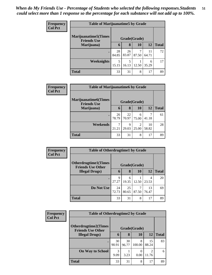| <b>Frequency</b> | <b>Table of Marijuanatime5 by Grade</b>            |              |             |       |             |              |  |
|------------------|----------------------------------------------------|--------------|-------------|-------|-------------|--------------|--|
| <b>Col Pct</b>   | <b>Marijuanatime5</b> (Times<br><b>Friends Use</b> | Grade(Grade) |             |       |             |              |  |
|                  | Marijuana)                                         | 6            | 8           | 10    | 12          | <b>Total</b> |  |
|                  | $\bullet$                                          | 28<br>84.85  | 26<br>83.87 | 87.50 | 11<br>64.71 | 72           |  |
|                  | Weeknights                                         | 5<br>15.15   | 5<br>16.13  | 12.50 | 6<br>35.29  | 17           |  |
|                  | <b>Total</b>                                       | 33           | 31          | 8     | 17          | 89           |  |

| Frequency      | <b>Table of Marijuanatime6 by Grade</b>           |              |             |            |             |              |  |  |
|----------------|---------------------------------------------------|--------------|-------------|------------|-------------|--------------|--|--|
| <b>Col Pct</b> | <b>Marijuanatime6(Times</b><br><b>Friends Use</b> | Grade(Grade) |             |            |             |              |  |  |
|                | Marijuana)                                        | 6            | 8           | <b>10</b>  | 12          | <b>Total</b> |  |  |
|                |                                                   | 26<br>78.79  | 22<br>70.97 | 6<br>75.00 | 41.18       | 61           |  |  |
|                | Weekends                                          | 21.21        | 9<br>29.03  | 25.00      | 10<br>58.82 | 28           |  |  |
|                | <b>Total</b>                                      | 33           | 31          | 8          | 17          | 89           |  |  |

| Frequency<br><b>Col Pct</b> | <b>Table of Otherdrugtime1 by Grade</b>                 |              |             |            |             |              |  |  |
|-----------------------------|---------------------------------------------------------|--------------|-------------|------------|-------------|--------------|--|--|
|                             | <b>Otherdrugtime1(Times</b><br><b>Friends Use Other</b> | Grade(Grade) |             |            |             |              |  |  |
|                             | <b>Illegal Drugs</b> )                                  | 6            | 8           | 10         | 12          | <b>Total</b> |  |  |
|                             | ٠                                                       | 9<br>27.27   | 6<br>19.35  | 12.50      | 4<br>23.53  | 20           |  |  |
|                             | Do Not Use                                              | 24<br>72.73  | 25<br>80.65 | 7<br>87.50 | 13<br>76.47 | 69           |  |  |
|                             | <b>Total</b>                                            | 33           | 31          | 8          | 17          | 89           |  |  |

| <b>Frequency</b> | <b>Table of Otherdrugtime2 by Grade</b>                 |              |             |             |             |              |  |
|------------------|---------------------------------------------------------|--------------|-------------|-------------|-------------|--------------|--|
| <b>Col Pct</b>   | <b>Otherdrugtime2(Times</b><br><b>Friends Use Other</b> | Grade(Grade) |             |             |             |              |  |
|                  | <b>Illegal Drugs</b> )                                  | 6            | 8           | <b>10</b>   | 12          | <b>Total</b> |  |
|                  |                                                         | 30<br>90.91  | 30<br>96.77 | 8<br>100.00 | 15<br>88.24 | 83           |  |
|                  | <b>On Way to School</b>                                 | 3<br>9.09    | 3.23        | 0.00        | 11.76       | 6            |  |
|                  | <b>Total</b>                                            | 33           | 31          | 8           | 17          | 89           |  |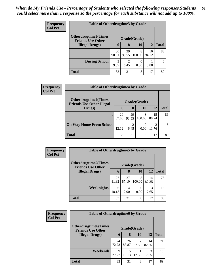| <b>Frequency</b> | <b>Table of Otherdrugtime3 by Grade</b>          |             |              |             |             |              |  |
|------------------|--------------------------------------------------|-------------|--------------|-------------|-------------|--------------|--|
| <b>Col Pct</b>   | Otherdrugtime3(Times<br><b>Friends Use Other</b> |             | Grade(Grade) |             |             |              |  |
|                  | <b>Illegal Drugs</b> )                           | $\mathbf b$ | 8            | 10          | <b>12</b>   | <b>Total</b> |  |
|                  |                                                  | 30<br>90.91 | 29<br>93.55  | 8<br>100.00 | 16<br>94.12 | 83           |  |
|                  | <b>During School</b>                             | 3<br>9.09   | ◠<br>6.45    | 0.00        | 5.88        | 6            |  |
|                  | <b>Total</b>                                     | 33          | 31           | 8           | 17          | 89           |  |

| Frequency      | <b>Table of Otherdrugtime4 by Grade</b>                         |              |             |                  |             |              |  |
|----------------|-----------------------------------------------------------------|--------------|-------------|------------------|-------------|--------------|--|
| <b>Col Pct</b> | <b>Otherdrugtime4(Times</b><br><b>Friends Use Other Illegal</b> | Grade(Grade) |             |                  |             |              |  |
|                | Drugs)                                                          | 6            | 8           | 10               | 12          | <b>Total</b> |  |
|                |                                                                 | 29<br>87.88  | 29<br>93.55 | 8<br>100.00      | 15<br>88.24 | 81           |  |
|                | <b>On Way Home From School</b>                                  | 4<br>12.12   | 2<br>6.45   | $\theta$<br>0.00 | 2<br>11.76  | 8            |  |
|                | <b>Total</b>                                                    | 33           | 31          | 8                | 17          | 89           |  |

| Frequency      | <b>Table of Otherdrugtime5 by Grade</b>                  |              |             |             |             |              |  |  |
|----------------|----------------------------------------------------------|--------------|-------------|-------------|-------------|--------------|--|--|
| <b>Col Pct</b> | <b>Otherdrugtime5</b> (Times<br><b>Friends Use Other</b> | Grade(Grade) |             |             |             |              |  |  |
|                | <b>Illegal Drugs</b> )                                   | 6            | 8           | 10          | <b>12</b>   | <b>Total</b> |  |  |
|                |                                                          | 27<br>81.82  | 27<br>87.10 | 8<br>100.00 | 14<br>82.35 | 76           |  |  |
|                | Weeknights                                               | 6<br>18.18   | 4<br>12.90  | 0.00        | 3<br>17.65  | 13           |  |  |
|                | <b>Total</b>                                             | 33           | 31          | 8           | 17          | 89           |  |  |

| Frequency      | <b>Table of Otherdrugtime6 by Grade</b>                 |              |             |           |             |              |  |
|----------------|---------------------------------------------------------|--------------|-------------|-----------|-------------|--------------|--|
| <b>Col Pct</b> | <b>Otherdrugtime6(Times</b><br><b>Friends Use Other</b> | Grade(Grade) |             |           |             |              |  |
|                | <b>Illegal Drugs</b> )                                  | 6            | 8           | <b>10</b> | <b>12</b>   | <b>Total</b> |  |
|                | $\bullet$                                               | 24<br>72.73  | 26<br>83.87 | 87.50     | 14<br>82.35 | 71           |  |
|                | <b>Weekends</b>                                         | 9<br>27.27   | 5<br>16.13  | 12.50     | 3<br>17.65  | 18           |  |
|                | <b>Total</b>                                            | 33           | 31          | 8         | 17          | 89           |  |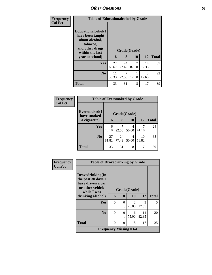| <b>Frequency</b> |                                                                                                                               | <b>Table of Educationalcohol by Grade</b> |                   |            |             |              |  |  |
|------------------|-------------------------------------------------------------------------------------------------------------------------------|-------------------------------------------|-------------------|------------|-------------|--------------|--|--|
| <b>Col Pct</b>   | Educationalcohol(I<br>have been taught<br>about alcohol,<br>tobacco,<br>and other drugs<br>within the last<br>year at school) | 6                                         | Grade(Grade)<br>8 | 10         | 12          | <b>Total</b> |  |  |
|                  | <b>Yes</b>                                                                                                                    | 22<br>66.67                               | 24<br>77.42       | 7<br>87.50 | 14<br>82.35 | 67           |  |  |
|                  | N <sub>0</sub>                                                                                                                | 11<br>33.33                               | 7<br>22.58        | 12.50      | 3<br>17.65  | 22           |  |  |
|                  | <b>Total</b>                                                                                                                  | 33                                        | 31                | 8          | 17          | 89           |  |  |

| Frequency      | <b>Table of Eversmoked by Grade</b> |                             |             |            |             |              |  |  |
|----------------|-------------------------------------|-----------------------------|-------------|------------|-------------|--------------|--|--|
| <b>Col Pct</b> | Eversmoked(I                        | Grade(Grade)<br>have smoked |             |            |             |              |  |  |
|                | a cigarette)                        | 6                           | 8           | <b>10</b>  | 12          | <b>Total</b> |  |  |
|                | Yes                                 | 6<br>18.18                  | 7<br>22.58  | 4<br>50.00 | 7<br>41.18  | 24           |  |  |
|                | N <sub>0</sub>                      | 27<br>81.82                 | 24<br>77.42 | 4<br>50.00 | 10<br>58.82 | 65           |  |  |
|                | <b>Total</b>                        | 33                          | 31          | 8          | 17          | 89           |  |  |

| <b>Frequency</b> | <b>Table of Drovedrinking by Grade</b>                                                         |          |                      |                               |       |              |
|------------------|------------------------------------------------------------------------------------------------|----------|----------------------|-------------------------------|-------|--------------|
| <b>Col Pct</b>   | Drovedrinking(In<br>the past 30 days I<br>have driven a car<br>or other vehicle<br>while I was |          | Grade(Grade)         |                               |       |              |
|                  | drinking alcohol)                                                                              | 6        | 8                    | 10                            | 12    | <b>Total</b> |
|                  | Yes                                                                                            | $\Omega$ | $\Omega$             | $\mathcal{D}_{\mathcal{L}}$   | 3     | 5            |
|                  |                                                                                                | ٠        | $\ddot{\phantom{0}}$ | 25.00                         | 17.65 |              |
|                  | N <sub>0</sub>                                                                                 | $\Omega$ | $\theta$             | 6                             | 14    | 20           |
|                  |                                                                                                |          | $\ddot{\phantom{0}}$ | 75.00                         | 82.35 |              |
|                  | <b>Total</b>                                                                                   | $\Omega$ | 0                    | 8                             | 17    | 25           |
|                  |                                                                                                |          |                      | <b>Frequency Missing = 64</b> |       |              |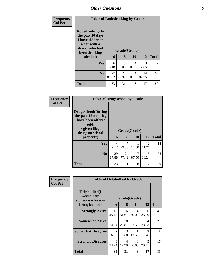| <b>Frequency</b> |                                                                                                                        | <b>Table of Rodedrinking by Grade</b> |             |                    |             |              |  |  |
|------------------|------------------------------------------------------------------------------------------------------------------------|---------------------------------------|-------------|--------------------|-------------|--------------|--|--|
| <b>Col Pct</b>   | Rodedrinking(In<br>the past 30 days<br>I have ridden in<br>a car with a<br>driver who had<br>been drinking<br>alcohol) | 6                                     | 8           | Grade(Grade)<br>10 | 12          | <b>Total</b> |  |  |
|                  | <b>Yes</b>                                                                                                             | 6<br>18.18                            | 9<br>29.03  | 4<br>50.00         | 3<br>17.65  | 22           |  |  |
|                  | N <sub>0</sub>                                                                                                         | 27<br>81.82                           | 22<br>70.97 | 4<br>50.00         | 14<br>82.35 | 67           |  |  |
|                  | <b>Total</b>                                                                                                           | 33                                    | 31          | 8                  | 17          | 89           |  |  |

| <b>Frequency</b> | <b>Table of Drugsschool by Grade</b>                                                                                                   |                                   |             |                    |                         |              |  |  |  |
|------------------|----------------------------------------------------------------------------------------------------------------------------------------|-----------------------------------|-------------|--------------------|-------------------------|--------------|--|--|--|
| <b>Col Pct</b>   | <b>Drugsschool</b> (During<br>the past 12 months,<br>I have been offered,<br>sold,<br>or given illegal<br>drugs on school<br>property) | 6                                 | 8           | Grade(Grade)<br>10 | 12                      | <b>Total</b> |  |  |  |
|                  | Yes                                                                                                                                    | $\overline{\mathcal{A}}$<br>12.12 | 7<br>22.58  | 12.50              | $\mathfrak{D}$<br>11.76 | 14           |  |  |  |
|                  | N <sub>0</sub>                                                                                                                         | 29<br>87.88                       | 24<br>77.42 | 7<br>87.50         | 15<br>88.24             | 75           |  |  |  |
|                  | <b>Total</b>                                                                                                                           | 33                                | 31          | 8                  | 17                      | 89           |  |  |  |

| <b>Frequency</b> | <b>Table of Helpbullied by Grade</b>                 |             |              |                  |                                   |              |
|------------------|------------------------------------------------------|-------------|--------------|------------------|-----------------------------------|--------------|
| <b>Col Pct</b>   | $Helpb$ ullied $(I$<br>would help<br>someone who was |             | Grade(Grade) |                  |                                   |              |
|                  | being bullied)                                       | 6           | 8            | 10               | 12                                | <b>Total</b> |
|                  | <b>Strongly Agree</b>                                | 15<br>45.45 | 16<br>51.61  | 4<br>50.00       | 6<br>35.29                        | 41           |
|                  | <b>Somewhat Agree</b>                                | 8<br>24.24  | 8<br>25.81   | 3<br>37.50       | 4<br>23.53                        | 23           |
|                  | <b>Somewhat Disagree</b>                             | 2<br>6.06   | 3<br>9.68    | 1<br>12.50       | $\mathcal{D}$<br>11.76            | 8            |
|                  | <b>Strongly Disagree</b>                             | 8<br>24.24  | 4<br>12.90   | $\Omega$<br>0.00 | $\overline{\phantom{0}}$<br>29.41 | 17           |
|                  | Total                                                | 33          | 31           | 8                | 17                                | 89           |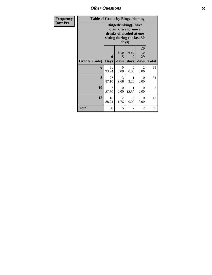*Other Questions* **55**

| Frequency      | <b>Table of Grade by Bingedrinking</b> |             |                  |                                                                                                             |                  |              |
|----------------|----------------------------------------|-------------|------------------|-------------------------------------------------------------------------------------------------------------|------------------|--------------|
| <b>Row Pct</b> |                                        |             | days)            | <b>Bingedrinking(I have</b><br>drunk five or more<br>drinks of alcohol at one<br>sitting during the last 30 |                  |              |
|                |                                        | 0           | 3 to<br>5        | 6 to<br>9                                                                                                   | 20<br>to<br>29   |              |
|                | Grade(Grade)                           | <b>Days</b> | days             | days                                                                                                        | days             | <b>Total</b> |
|                | 6                                      | 31<br>93.94 | $\Omega$<br>0.00 | $\Omega$<br>0.00                                                                                            | 2<br>6.06        | 33           |
|                | 8                                      | 27<br>87.10 | 3<br>9.68        | 1<br>3.23                                                                                                   | 0<br>0.00        | 31           |
|                | 10                                     | 7<br>87.50  | 0<br>0.00        | 1<br>12.50                                                                                                  | 0<br>0.00        | 8            |
|                | 12                                     | 15<br>88.24 | 2<br>11.76       | 0<br>0.00                                                                                                   | $\theta$<br>0.00 | 17           |
|                | <b>Total</b>                           | 80          | 5                | 2                                                                                                           | 2                | 89           |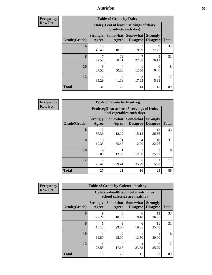**Frequency Row Pct**

| <b>Table of Grade by Dairy</b> |                          |                                                                 |                                    |                                    |              |  |  |  |  |
|--------------------------------|--------------------------|-----------------------------------------------------------------|------------------------------------|------------------------------------|--------------|--|--|--|--|
|                                |                          | Dairy (I eat at least 3 servings of dairy<br>products each day) |                                    |                                    |              |  |  |  |  |
| Grade(Grade)                   | <b>Strongly</b><br>Agree | Somewhat  <br>Agree                                             | <b>Somewhat</b><br><b>Disagree</b> | <b>Strongly</b><br><b>Disagree</b> | <b>Total</b> |  |  |  |  |
| 6                              | 15<br>45.45              | 6<br>18.18                                                      | 3<br>9.09                          | 9<br>27.27                         | 33           |  |  |  |  |
| 8                              | 7<br>22.58               | 12<br>38.71                                                     | 7<br>22.58                         | 5<br>16.13                         | 31           |  |  |  |  |
| 10                             | 3<br>37.50               | 4<br>50.00                                                      | 12.50                              | 0<br>0.00                          | 8            |  |  |  |  |
| 12                             | 6<br>35.29               | 7<br>3<br>41.18<br>17.65<br>5.88                                |                                    |                                    |              |  |  |  |  |
| <b>Total</b>                   | 31                       | 29                                                              | 14                                 | 15                                 | 89           |  |  |  |  |

**Frequency Row Pct**

| <b>Table of Grade by Fruitveg</b> |                                 |                                                                          |                                      |                                    |              |  |  |  |
|-----------------------------------|---------------------------------|--------------------------------------------------------------------------|--------------------------------------|------------------------------------|--------------|--|--|--|
|                                   |                                 | Fruitveg(I eat at least 5 servings of fruits<br>and vegetables each day) |                                      |                                    |              |  |  |  |
| Grade(Grade)                      | <b>Strongly</b><br><b>Agree</b> | Agree                                                                    | Somewhat Somewhat<br><b>Disagree</b> | <b>Strongly</b><br><b>Disagree</b> | <b>Total</b> |  |  |  |
| 6                                 | 12<br>36.36                     | 4<br>12.12                                                               | 5<br>15.15                           | 12<br>36.36                        | 33           |  |  |  |
| $\mathbf{8}$                      | 6<br>19.35                      | 11<br>35.48                                                              | 4<br>12.90                           | 10<br>32.26                        | 31           |  |  |  |
| 10                                | 4<br>50.00                      | 12.50                                                                    | 12.50                                | $\mathfrak{D}$<br>25.00            | 8            |  |  |  |
| 12                                | 5<br>29.41                      | 5<br>29.41                                                               | 6<br>35.29                           | 5.88                               | 17           |  |  |  |
| <b>Total</b>                      | 27                              | 21                                                                       | 16                                   | 25                                 | 89           |  |  |  |

**Frequency Row Pct**

| <b>Table of Grade by Cafeteriahealthy</b> |                          |                                                                       |                                    |                                    |              |  |  |  |
|-------------------------------------------|--------------------------|-----------------------------------------------------------------------|------------------------------------|------------------------------------|--------------|--|--|--|
|                                           |                          | Cafeteriahealthy (School meals in my<br>school cafeteria are healthy) |                                    |                                    |              |  |  |  |
| Grade(Grade)                              | <b>Strongly</b><br>Agree | Somewhat  <br>Agree                                                   | <b>Somewhat</b><br><b>Disagree</b> | <b>Strongly</b><br><b>Disagree</b> | <b>Total</b> |  |  |  |
| 6                                         | 9<br>27.27               | 6<br>18.18                                                            | 6<br>18.18                         | 12<br>36.36                        | 33           |  |  |  |
| 8                                         | 5<br>16.13               | Q<br>29.03                                                            | 6<br>19.35                         | 11<br>35.48                        | 31           |  |  |  |
| 10                                        | 12.50                    | $\mathfrak{D}$<br>25.00                                               | 1<br>12.50                         | 4<br>50.00                         | 8            |  |  |  |
| 12                                        | 4<br>23.53               | 3<br>17.65                                                            | 4<br>23.53                         | 6<br>35.29                         | 17           |  |  |  |
| <b>Total</b>                              | 19                       | 20                                                                    | 17                                 | 33                                 | 89           |  |  |  |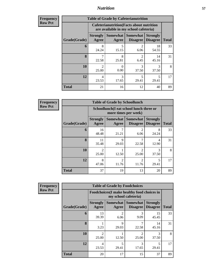| <b>Frequency</b> |              |                          |                   | <b>Table of Grade by Cafeterianutrition</b>                                               |                                    |              |
|------------------|--------------|--------------------------|-------------------|-------------------------------------------------------------------------------------------|------------------------------------|--------------|
| <b>Row Pct</b>   |              |                          |                   | <b>Cafeterianutrition</b> (Facts about nutrition<br>are available in my school cafeteria) |                                    |              |
|                  | Grade(Grade) | <b>Strongly</b><br>Agree | Somewhat<br>Agree | <b>Somewhat</b><br><b>Disagree</b>                                                        | <b>Strongly</b><br><b>Disagree</b> | <b>Total</b> |
|                  | 6            | 8<br>24.24               | 5<br>15.15        | $\mathfrak{D}$<br>6.06                                                                    | 18<br>54.55                        | 33           |
|                  | 8            | 7<br>22.58               | 8<br>25.81        | $\mathfrak{D}$<br>6.45                                                                    | 14<br>45.16                        | 31           |
|                  | 10           | $\mathfrak{D}$<br>25.00  | 0<br>0.00         | 3<br>37.50                                                                                | 3<br>37.50                         | 8            |
|                  | 12           | $\overline{4}$<br>23.53  | 3<br>17.65        | 5<br>29.41                                                                                | 5<br>29.41                         | 17           |
|                  | <b>Total</b> | 21                       | 16                | 12                                                                                        | 40                                 | 89           |

**Frequency Row Pct**

| <b>Table of Grade by Schoollunch</b> |                          |                                                                 |                             |                                    |              |  |  |  |
|--------------------------------------|--------------------------|-----------------------------------------------------------------|-----------------------------|------------------------------------|--------------|--|--|--|
|                                      |                          | Schoollunch(I eat school lunch three or<br>more times per week) |                             |                                    |              |  |  |  |
| Grade(Grade)                         | <b>Strongly</b><br>Agree | Somewhat  <br>Agree                                             | Somewhat<br><b>Disagree</b> | <b>Strongly</b><br><b>Disagree</b> | <b>Total</b> |  |  |  |
| 6                                    | 16<br>48.48              | 21.21                                                           | $\overline{c}$<br>6.06      | 8<br>24.24                         | 33           |  |  |  |
| 8                                    | 11<br>35.48              | q<br>29.03                                                      | 7<br>22.58                  | 4<br>12.90                         | 31           |  |  |  |
| 10                                   | $\mathfrak{D}$<br>25.00  | 12.50                                                           | $\mathcal{D}$<br>25.00      | 3<br>37.50                         | 8            |  |  |  |
| 12                                   | 8<br>47.06               | $\mathfrak{D}$<br>11.76                                         | $\overline{c}$<br>11.76     | 5<br>29.41                         | 17           |  |  |  |
| <b>Total</b>                         | 37                       | 19                                                              | 13                          | 20                                 | 89           |  |  |  |

**Frequency Row Pct**

| <b>Table of Grade by Foodchoices</b> |                          |                                                                    |                                    |                                    |              |  |  |
|--------------------------------------|--------------------------|--------------------------------------------------------------------|------------------------------------|------------------------------------|--------------|--|--|
|                                      |                          | Foodchoices(I make healthy food choices in<br>my school cafeteria) |                                    |                                    |              |  |  |
| Grade(Grade)                         | <b>Strongly</b><br>Agree | Somewhat<br>Agree                                                  | <b>Somewhat</b><br><b>Disagree</b> | <b>Strongly</b><br><b>Disagree</b> | <b>Total</b> |  |  |
| 6                                    | 13<br>39.39              | $\mathfrak{D}$<br>6.06                                             | 3<br>9.09                          | 15<br>45.45                        | 33           |  |  |
| 8                                    | 3.23                     | 9<br>29.03                                                         | 7<br>22.58                         | 14<br>45.16                        | 31           |  |  |
| 10                                   | 2<br>25.00               | 12.50                                                              | $\mathfrak{D}$<br>25.00            | 3<br>37.50                         | 8            |  |  |
| 12                                   | 4<br>23.53               | 5<br>29.41                                                         | 3<br>17.65                         | $\overline{\phantom{0}}$<br>29.41  | 17           |  |  |
| <b>Total</b>                         | 20                       | 17                                                                 | 15                                 | 37                                 | 89           |  |  |

┑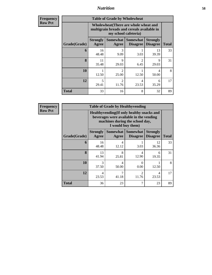**Frequency Row Pct**

| <b>Table of Grade by Wholewheat</b> |                                   |                                                                                                             |                                     |                                    |              |  |  |  |
|-------------------------------------|-----------------------------------|-------------------------------------------------------------------------------------------------------------|-------------------------------------|------------------------------------|--------------|--|--|--|
|                                     |                                   | Wholewheat (There are whole wheat and<br>multigrain breads and cereals available in<br>my school cafeteria) |                                     |                                    |              |  |  |  |
| Grade(Grade)                        | <b>Strongly</b><br>Agree          | Somewhat<br>Agree                                                                                           | <b>Somewhat</b><br><b>Disagree</b>  | <b>Strongly</b><br><b>Disagree</b> | <b>Total</b> |  |  |  |
| 6                                   | 16<br>48.48                       | 3<br>9.09                                                                                                   | 3.03                                | 13<br>39.39                        | 33           |  |  |  |
| 8                                   | 11<br>35.48                       | 9<br>29.03                                                                                                  | $\mathcal{D}_{\mathcal{A}}$<br>6.45 | Q<br>29.03                         | 31           |  |  |  |
| 10                                  | 12.50                             | $\mathcal{D}$<br>25.00                                                                                      | 12.50                               | 4<br>50.00                         | 8            |  |  |  |
| 12                                  | $\overline{\phantom{0}}$<br>29.41 | $\mathfrak{D}$<br>4<br>6<br>11.76<br>35.29<br>23.53                                                         |                                     |                                    |              |  |  |  |
| Total                               | 33                                | 16                                                                                                          | 8                                   | 32                                 | 89           |  |  |  |

**Frequency Row Pct**

| <b>Table of Grade by Healthyvending</b> |                                                                                                                                               |                     |                                    |                                    |              |  |  |  |
|-----------------------------------------|-----------------------------------------------------------------------------------------------------------------------------------------------|---------------------|------------------------------------|------------------------------------|--------------|--|--|--|
|                                         | Healthyvending (If only healthy snacks and<br>beverages were available in the vending<br>machines during the school day,<br>I would buy them) |                     |                                    |                                    |              |  |  |  |
| Grade(Grade)                            | <b>Strongly</b><br><b>Agree</b>                                                                                                               | Somewhat  <br>Agree | <b>Somewhat</b><br><b>Disagree</b> | <b>Strongly</b><br><b>Disagree</b> | <b>Total</b> |  |  |  |
| 6                                       | 16<br>48.48                                                                                                                                   | 4<br>12.12          | 3.03                               | 12<br>36.36                        | 33           |  |  |  |
| 8                                       | 13<br>41.94                                                                                                                                   | 8<br>25.81          | 4<br>12.90                         | 6<br>19.35                         | 31           |  |  |  |
| 10                                      | 3<br>37.50                                                                                                                                    | 4<br>50.00          | 0<br>0.00                          | 12.50                              | 8            |  |  |  |
| 12                                      | 4<br>23.53                                                                                                                                    | 7<br>41.18          | $\mathfrak{D}$<br>11.76            | 4<br>23.53                         | 17           |  |  |  |
| <b>Total</b>                            | 36                                                                                                                                            | 23                  | 7                                  | 23                                 | 89           |  |  |  |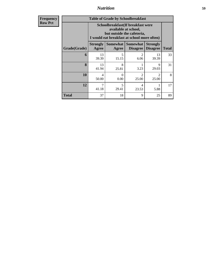**Frequency Row Pct**

| <b>Table of Grade by Schoolbreakfast</b> |                                                                                                                                         |            |                                               |                                      |              |  |  |  |
|------------------------------------------|-----------------------------------------------------------------------------------------------------------------------------------------|------------|-----------------------------------------------|--------------------------------------|--------------|--|--|--|
|                                          | Schoolbreakfast (If breakfast were<br>available at school,<br>but outside the cafeteria,<br>I would eat breakfast at school more often) |            |                                               |                                      |              |  |  |  |
| Grade(Grade)                             | <b>Strongly</b><br>Agree                                                                                                                | Agree      | <b>Somewhat   Somewhat</b><br><b>Disagree</b> | <b>Strongly</b><br><b>Disagree</b>   | <b>Total</b> |  |  |  |
| 6                                        | 13<br>39.39                                                                                                                             | 5<br>15.15 | 6.06                                          | 13<br>39.39                          | 33           |  |  |  |
| 8                                        | 13<br>41.94                                                                                                                             | 8<br>25.81 | 3.23                                          | 9<br>29.03                           | 31           |  |  |  |
| 10                                       | 4<br>50.00                                                                                                                              | 0<br>0.00  | $\mathfrak{D}$<br>25.00                       | $\mathcal{D}_{\mathcal{A}}$<br>25.00 | 8            |  |  |  |
| 12                                       | 5<br>4<br>41.18<br>29.41<br>23.53<br>5.88                                                                                               |            |                                               |                                      |              |  |  |  |
| Total                                    | 37                                                                                                                                      | 18         | 9                                             | 25                                   | 89           |  |  |  |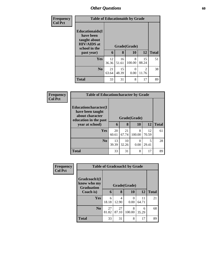| <b>Frequency</b> | <b>Table of Educationaids by Grade</b>                                                                    |             |             |                           |                         |              |
|------------------|-----------------------------------------------------------------------------------------------------------|-------------|-------------|---------------------------|-------------------------|--------------|
| <b>Col Pct</b>   | <b>Educationaids</b> (I<br>have been<br>taught about<br><b>HIV/AIDS</b> at<br>school in the<br>past year) | 6           | 8           | Grade(Grade)<br><b>10</b> | 12                      | <b>Total</b> |
|                  | <b>Yes</b>                                                                                                | 12<br>36.36 | 16<br>51.61 | 8<br>100.00               | 15<br>88.24             | 51           |
|                  | N <sub>0</sub>                                                                                            | 21<br>63.64 | 15<br>48.39 | 0<br>0.00                 | $\mathfrak{D}$<br>11.76 | 38           |
|                  | <b>Total</b>                                                                                              | 33          | 31          | 8                         | 17                      | 89           |

| Frequency      | <b>Table of Educationcharacter by Grade</b>                                                  |              |             |             |             |              |  |  |
|----------------|----------------------------------------------------------------------------------------------|--------------|-------------|-------------|-------------|--------------|--|--|
| <b>Col Pct</b> | <b>Educationcharacter(I)</b><br>have been taught<br>about character<br>education in the past | Grade(Grade) |             |             |             |              |  |  |
|                | year at school)                                                                              | 6            | 8           | 10          | <b>12</b>   | <b>Total</b> |  |  |
|                | <b>Yes</b>                                                                                   | 20<br>60.61  | 21<br>67.74 | 8<br>100.00 | 12<br>70.59 | 61           |  |  |
|                | N <sub>0</sub>                                                                               | 13<br>39.39  | 10<br>32.26 | 0<br>0.00   | 5<br>29.41  | 28           |  |  |
|                | <b>Total</b>                                                                                 | 33           | 31          | 8           | 17          | 89           |  |  |

| Frequency      | <b>Table of Gradcoach1 by Grade</b>              |              |             |             |             |              |
|----------------|--------------------------------------------------|--------------|-------------|-------------|-------------|--------------|
| <b>Col Pct</b> | Gradcoach1(I<br>know who my<br><b>Graduation</b> | Grade(Grade) |             |             |             |              |
|                | Coach is)                                        | 6            | 8           | 10          | 12          | <b>Total</b> |
|                | Yes                                              | 6<br>18.18   | 4<br>12.90  | 0<br>0.00   | 11<br>64.71 | 21           |
|                | N <sub>0</sub>                                   | 27<br>81.82  | 27<br>87.10 | 8<br>100.00 | 6<br>35.29  | 68           |
|                | <b>Total</b>                                     | 33           | 31          | 8           | 17          | 89           |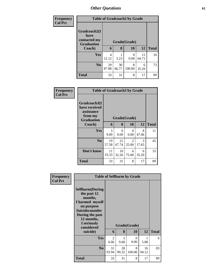| <b>Frequency</b> |                                   |              |             | <b>Table of Gradcoach2 by Grade</b> |             |              |
|------------------|-----------------------------------|--------------|-------------|-------------------------------------|-------------|--------------|
| <b>Col Pct</b>   | Gradcoach2(I<br>have              |              |             |                                     |             |              |
|                  | contacted my<br><b>Graduation</b> | Grade(Grade) |             |                                     |             |              |
|                  | Coach)                            | 6            | 8           | 10                                  | 12          | <b>Total</b> |
|                  | Yes                               | 4<br>12.12   | 3.23        | 0<br>0.00                           | 11<br>64.71 | 16           |
|                  | N <sub>0</sub>                    | 29<br>87.88  | 30<br>96.77 | 8<br>100.00                         | 6<br>35.29  | 73           |
|                  | <b>Total</b>                      | 33           | 31          | 8                                   | 17          | 89           |

| Frequency<br><b>Col Pct</b> |                                                                             | <b>Table of Gradcoach3 by Grade</b> |                  |                  |            |              |  |  |
|-----------------------------|-----------------------------------------------------------------------------|-------------------------------------|------------------|------------------|------------|--------------|--|--|
|                             | Gradcoach3(I<br>have received<br>assistance<br>from my<br><b>Graduation</b> |                                     | Grade(Grade)     |                  |            |              |  |  |
|                             | Coach)                                                                      | 6                                   | 8                | 10               | 12         | <b>Total</b> |  |  |
|                             | <b>Yes</b>                                                                  | 3<br>9.09                           | $\Omega$<br>0.00 | $\Omega$<br>0.00 | 8<br>47.06 | 11           |  |  |
|                             | N <sub>0</sub>                                                              | 19<br>57.58                         | 21<br>67.74      | 2<br>25.00       | 3<br>17.65 | 45           |  |  |
|                             | Don't know                                                                  | 11<br>33.33                         | 10<br>32.26      | 6<br>75.00       | 6<br>35.29 | 33           |  |  |
|                             | <b>Total</b>                                                                | 33                                  | 31               | 8                | 17         | 89           |  |  |

| Frequency<br><b>Col Pct</b> |                                                                                                                                                                                        |                        |             | <b>Table of Selfharm by Grade</b> |             |              |
|-----------------------------|----------------------------------------------------------------------------------------------------------------------------------------------------------------------------------------|------------------------|-------------|-----------------------------------|-------------|--------------|
|                             | <b>Selfharm</b> (During<br>the past 12<br>months,<br>I harmed myself<br>on purpose<br><b>Suicideconsider</b><br>During the past<br>12 months,<br>I seriously<br>considered<br>suicide) | 6                      | 8           | Grade(Grade)<br><b>10</b>         | 12          | <b>Total</b> |
|                             | Yes                                                                                                                                                                                    | $\mathfrak{D}$<br>6.06 | 3<br>9.68   | $\Omega$<br>0.00                  | 5.88        | 6            |
|                             | N <sub>0</sub>                                                                                                                                                                         | 31<br>93.94            | 28<br>90.32 | 8<br>100.00                       | 16<br>94.12 | 83           |
|                             | <b>Total</b>                                                                                                                                                                           | 33                     | 31          | 8                                 | 17          | 89           |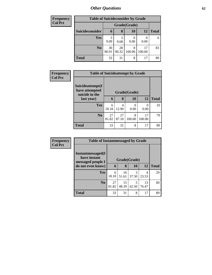| Frequency      | <b>Table of Suicideconsider by Grade</b> |             |             |              |              |              |  |  |
|----------------|------------------------------------------|-------------|-------------|--------------|--------------|--------------|--|--|
| <b>Col Pct</b> |                                          |             |             | Grade(Grade) |              |              |  |  |
|                | Suicideconsider                          | 6           | 8           | 10           | 12           | <b>Total</b> |  |  |
|                | <b>Yes</b>                               | 3<br>9.09   | 3<br>9.68   | 0.00         | 0.00         | 6            |  |  |
|                | N <sub>0</sub>                           | 30<br>90.91 | 28<br>90.32 | 8<br>100.00  | 17<br>100.00 | 83           |  |  |
|                | <b>Total</b>                             | 33          | 31          | 8            | 17           | 89           |  |  |

| <b>Frequency</b> | <b>Table of Suicideattempt by Grade</b>              |             |              |             |                  |              |
|------------------|------------------------------------------------------|-------------|--------------|-------------|------------------|--------------|
| <b>Col Pct</b>   | Suicideattempt(I<br>have attempted<br>suicide in the |             | Grade(Grade) |             |                  |              |
|                  | last year)                                           | 6           | 8            | <b>10</b>   | 12               | <b>Total</b> |
|                  | <b>Yes</b>                                           | 6<br>18.18  | 4<br>12.90   | 0<br>0.00   | $\left($<br>0.00 | 10           |
|                  | N <sub>0</sub>                                       | 27<br>81.82 | 27<br>87.10  | 8<br>100.00 | 17<br>100.00     | 79           |
|                  | <b>Total</b>                                         | 33          | 31           | 8           | 17               | 89           |

| Frequency      | <b>Table of Instantmessaged by Grade</b>               |              |             |            |             |              |
|----------------|--------------------------------------------------------|--------------|-------------|------------|-------------|--------------|
| <b>Col Pct</b> | Instantmessaged(I<br>have instant<br>messaged people I | Grade(Grade) |             |            |             |              |
|                | do not even know)                                      | 6            | 8           | 10         | 12          | <b>Total</b> |
|                | <b>Yes</b>                                             | 6<br>18.18   | 16<br>51.61 | 3<br>37.50 | 4<br>23.53  | 29           |
|                | N <sub>o</sub>                                         | 27<br>81.82  | 15<br>48.39 | 5<br>62.50 | 13<br>76.47 | 60           |
|                | <b>Total</b>                                           | 33           | 31          | 8          | 17          | 89           |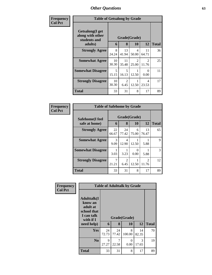| Frequency      | <b>Table of Getsalong by Grade</b>                  |             |                        |                                      |                         |              |
|----------------|-----------------------------------------------------|-------------|------------------------|--------------------------------------|-------------------------|--------------|
| <b>Col Pct</b> | Getsalong(I get<br>along with other<br>students and |             |                        | Grade(Grade)                         |                         |              |
|                | adults)                                             | 6           | 8                      | <b>10</b>                            | 12                      | <b>Total</b> |
|                | <b>Strongly Agree</b>                               | 8<br>24.24  | 13<br>41.94            | 4<br>50.00                           | 11<br>64.71             | 36           |
|                | <b>Somewhat Agree</b>                               | 10<br>30.30 | 11<br>35.48            | $\mathcal{D}_{\mathcal{L}}$<br>25.00 | $\mathfrak{D}$<br>11.76 | 25           |
|                | <b>Somewhat Disagree</b>                            | 5<br>15.15  | 5<br>16.13             | 12.50                                | $\Omega$<br>0.00        | 11           |
|                | <b>Strongly Disagree</b>                            | 10<br>30.30 | $\overline{2}$<br>6.45 | 12.50                                | 4<br>23.53              | 17           |
|                | Total                                               | 33          | 31                     | 8                                    | 17                      | 89           |

| Frequency      | <b>Table of Safehome by Grade</b> |                   |              |                           |                         |    |  |  |
|----------------|-----------------------------------|-------------------|--------------|---------------------------|-------------------------|----|--|--|
| <b>Col Pct</b> | Safehome(I feel<br>safe at home)  | Grade(Grade)<br>6 | <b>Total</b> |                           |                         |    |  |  |
|                | <b>Strongly Agree</b>             | 22<br>66.67       | 24<br>77.42  | 6<br>75.00                | 13<br>76.47             | 65 |  |  |
|                | <b>Somewhat Agree</b>             | 3<br>9.09         | 4<br>12.90   | 12.50                     | 5.88                    | 9  |  |  |
|                | <b>Somewhat Disagree</b>          | 3.03              | 3.23         | $\mathbf{\Omega}$<br>0.00 | 5.88                    | 3  |  |  |
|                | <b>Strongly Disagree</b>          | 21.21             | 2<br>6.45    | 12.50                     | $\mathfrak{D}$<br>11.76 | 12 |  |  |
|                | <b>Total</b>                      | 33                | 31           | 8                         | 17                      | 89 |  |  |

| Frequency      | <b>Table of Adulttalk by Grade</b>                                                                |             |             |                    |             |              |  |
|----------------|---------------------------------------------------------------------------------------------------|-------------|-------------|--------------------|-------------|--------------|--|
| <b>Col Pct</b> | <b>Adulttalk(I</b><br>know an<br>adult at<br>school that<br>I can talk<br>with if I<br>need help) | 6           | 8           | Grade(Grade)<br>10 | 12          | <b>Total</b> |  |
|                | Yes                                                                                               | 24<br>72.73 | 24<br>77.42 | 8<br>100.00        | 14<br>82.35 | 70           |  |
|                | N <sub>0</sub>                                                                                    | 9<br>27.27  | 7<br>22.58  | $\Omega$<br>0.00   | 3<br>17.65  | 19           |  |
|                | <b>Total</b>                                                                                      | 33          | 31          | 8                  | 17          | 89           |  |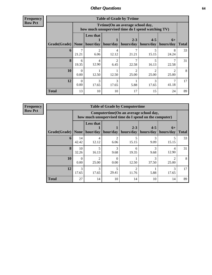**Frequency Row Pct**

| <b>Table of Grade by Tvtime</b> |                          |                                                                                        |                        |                      |                      |                   |              |  |  |
|---------------------------------|--------------------------|----------------------------------------------------------------------------------------|------------------------|----------------------|----------------------|-------------------|--------------|--|--|
|                                 |                          | Tvtime(On an average school day,<br>how much unsupervised time do I spend watching TV) |                        |                      |                      |                   |              |  |  |
| Grade(Grade)                    | None                     | <b>Less that</b>                                                                       | hour/day   hour/day    | $2 - 3$<br>hours/day | $4 - 5$<br>hours/day | $6+$<br>hours/day | <b>Total</b> |  |  |
| 6                               | 21.21                    | $\mathfrak{D}$<br>6.06                                                                 | 4<br>12.12             | 21.21                | 15.15                | 8<br>24.24        | 33           |  |  |
| 8                               | 6<br>19.35               | $\overline{4}$<br>12.90                                                                | $\mathfrak{D}$<br>6.45 | 22.58                | 5<br>16.13           | 22.58             | 31           |  |  |
| 10                              | $\left( \right)$<br>0.00 | 12.50                                                                                  | 12.50                  | っ<br>25.00           | っ<br>25.00           | 25.00             | 8            |  |  |
| 12                              | 0<br>0.00                | 3<br>17.65                                                                             | 3<br>17.65             | 5.88                 | 3<br>17.65           | 41.18             | 17           |  |  |
| <b>Total</b>                    | 13                       | 10                                                                                     | 10                     | 17                   | 15                   | 24                | 89           |  |  |

**Frequency Row Pct**

| <b>Table of Grade by Computertime</b> |                      |                                                                                                  |                     |                      |                      |                   |              |  |  |  |
|---------------------------------------|----------------------|--------------------------------------------------------------------------------------------------|---------------------|----------------------|----------------------|-------------------|--------------|--|--|--|
|                                       |                      | Computertime(On an average school day,<br>how much unsupervised time do I spend on the computer) |                     |                      |                      |                   |              |  |  |  |
| Grade(Grade)                          | <b>None</b>          | <b>Less that</b>                                                                                 | hour/day   hour/day | $2 - 3$<br>hours/day | $4 - 5$<br>hours/day | $6+$<br>hours/day | <b>Total</b> |  |  |  |
| 6                                     | 14<br>42.42          | 4<br>12.12                                                                                       | 2<br>6.06           | 5<br>15.15           | 3<br>9.09            | 15.15             | 33           |  |  |  |
| 8                                     | 10<br>32.26          | 5<br>16.13                                                                                       | 3<br>9.68           | 6<br>19.35           | 3<br>9.68            | 4<br>12.90        | 31           |  |  |  |
| 10                                    | $\mathbf{0}$<br>0.00 | $\mathcal{D}$<br>25.00                                                                           | $\theta$<br>0.00    | 12.50                | 3<br>37.50           | ↑<br>25.00        | 8            |  |  |  |
| 12                                    | 3<br>17.65           | 3<br>17.65                                                                                       | 5<br>29.41          | っ<br>11.76           | 5.88                 | 3<br>17.65        | 17           |  |  |  |
| <b>Total</b>                          | 27                   | 14                                                                                               | 10                  | 14                   | 10                   | 14                | 89           |  |  |  |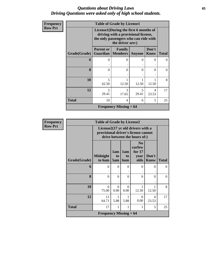### *Questions about Driving Laws* **65** *Driving Questions were asked only of high school students.*

| <b>Frequency</b> |              | <b>Table of Grade by License1</b> |                                                                                                                                           |            |                      |              |  |  |  |  |
|------------------|--------------|-----------------------------------|-------------------------------------------------------------------------------------------------------------------------------------------|------------|----------------------|--------------|--|--|--|--|
| <b>Row Pct</b>   |              |                                   | License1(During the first 6 months of<br>driving with a provisional license,<br>the only passengers who can ride with<br>the driver are:) |            |                      |              |  |  |  |  |
|                  | Grade(Grade) | <b>Parent or</b><br>Guardian      | Family<br><b>Members</b>                                                                                                                  | Anyone     | Don't<br><b>Know</b> | <b>Total</b> |  |  |  |  |
|                  | 6            | $\theta$                          | $\mathcal{O}$                                                                                                                             | 0          | 0                    | $\Omega$     |  |  |  |  |
|                  | $\mathbf{8}$ | $\Omega$                          | 0                                                                                                                                         | $\theta$   | $\Omega$             | $\Omega$     |  |  |  |  |
|                  | 10           | 5<br>62.50                        | 12.50                                                                                                                                     | 12.50      | 12.50                | 8            |  |  |  |  |
|                  | 12           | $\overline{5}$<br>29.41           | 3<br>17.65                                                                                                                                | 5<br>29.41 | 4<br>23.53           | 17           |  |  |  |  |
|                  | <b>Total</b> | 10                                | 4                                                                                                                                         | 6          | 5                    | 25           |  |  |  |  |
|                  |              |                                   | Frequency Missing $= 64$                                                                                                                  |            |                      |              |  |  |  |  |

| Frequency      |              | <b>Table of Grade by License2</b> |                  |                  |                                                                                                          |               |              |
|----------------|--------------|-----------------------------------|------------------|------------------|----------------------------------------------------------------------------------------------------------|---------------|--------------|
| <b>Row Pct</b> |              |                                   |                  |                  | License2(17 yr old drivers with a<br>provisional driver's license cannot<br>drive between the hours of:) |               |              |
|                | Grade(Grade) | <b>Midnight</b><br>to 6am         | 1am<br>to<br>5am | 1am<br>to<br>6am | N <sub>0</sub><br>curfew<br>for $17$<br>year<br>olds                                                     | Don't<br>Know | <b>Total</b> |
|                | 6            | $\theta$<br>$\ddot{\phantom{0}}$  | $\Omega$         | $\Omega$<br>۰    | $\theta$                                                                                                 | $\Omega$      | $\Omega$     |
|                | 8            | $\theta$                          | $\theta$         | $\theta$         | $\theta$                                                                                                 | $\theta$      | $\theta$     |
|                | 10           | 6<br>75.00                        | $\Omega$<br>0.00 | $\Omega$<br>0.00 | 1<br>12.50                                                                                               | 1<br>12.50    | 8            |
|                | 12           | 11<br>64.71                       | 1<br>5.88        | 5.88             | $\Omega$<br>0.00                                                                                         | 4<br>23.53    | 17           |
|                | <b>Total</b> | 17                                | 1                | 1                | 1                                                                                                        | 5             | 25           |
|                |              | <b>Frequency Missing = 64</b>     |                  |                  |                                                                                                          |               |              |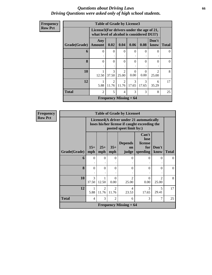#### *Questions about Driving Laws* **66** *Driving Questions were asked only of high school students.*

| Frequency      |              | <b>Table of Grade by License3</b>                                                      |                                      |                                      |            |                  |                         |              |
|----------------|--------------|----------------------------------------------------------------------------------------|--------------------------------------|--------------------------------------|------------|------------------|-------------------------|--------------|
| <b>Row Pct</b> |              | License3(For drivers under the age of 21,<br>what level of alcohol is considered DUI?) |                                      |                                      |            |                  |                         |              |
|                | Grade(Grade) | Any<br><b>Amount</b>                                                                   | 0.02                                 | 0.04                                 | 0.06       | 0.08             | Don't<br>know           | <b>Total</b> |
|                | 6            | $\Omega$                                                                               | $\Omega$                             | $\Omega$                             | $\Omega$   | 0                | $\Omega$                | 0            |
|                | 8            | $\Omega$                                                                               | $\Omega$                             | $\Omega$                             | $\Omega$   | $\Omega$         | $\Omega$                | $\Omega$     |
|                | 10           | 12.50                                                                                  | 3<br>37.50                           | $\mathfrak{D}$<br>25.00              | 0<br>0.00  | $\Omega$<br>0.00 | $\mathfrak{D}$<br>25.00 | 8            |
|                | 12           | 5.88                                                                                   | $\mathcal{D}_{\mathcal{A}}$<br>11.76 | $\mathcal{D}_{\mathcal{L}}$<br>11.76 | 3<br>17.65 | 3<br>17.65       | 6<br>35.29              | 17           |
|                | <b>Total</b> | $\mathfrak{D}$                                                                         | 5                                    | 4                                    | 3          | 3                | 8                       | 25           |
|                |              |                                                                                        |                                      | <b>Frequency Missing = 64</b>        |            |                  |                         |              |

**Frequency Row Pct**

| <b>Table of Grade by License4</b> |                |                                                                                                                      |                         |                                      |                                             |                                      |              |  |  |
|-----------------------------------|----------------|----------------------------------------------------------------------------------------------------------------------|-------------------------|--------------------------------------|---------------------------------------------|--------------------------------------|--------------|--|--|
|                                   |                | License4(A driver under 21 automatically<br>loses his/her license if caught exceeding the<br>posted speet limit by:) |                         |                                      |                                             |                                      |              |  |  |
| Grade(Grade)                      | $15+$<br>mph   | $25+$<br>mph                                                                                                         | $35+$<br>mph            | <b>Depends</b><br><b>on</b><br>judge | Can't<br>lose<br>license<br>for<br>speeding | Don't<br>know                        | <b>Total</b> |  |  |
| 6                                 | $\Omega$       | $\Omega$                                                                                                             | $\Omega$                | $\Omega$                             | 0                                           | $\Omega$                             | 0            |  |  |
| 8                                 | $\Omega$       | $\Omega$                                                                                                             | $\Omega$                | $\Omega$                             | $\Omega$                                    | $\Omega$                             | $\Omega$     |  |  |
| 10                                | 3<br>37.50     | 12.50                                                                                                                | $\Omega$<br>0.00        | $\mathcal{D}$<br>25.00               | $\Omega$<br>0.00                            | $\mathcal{D}_{\mathcal{L}}$<br>25.00 | 8            |  |  |
| 12                                | 5.88           | $\mathfrak{D}$<br>11.76                                                                                              | $\mathfrak{D}$<br>11.76 | 4<br>23.53                           | 3<br>17.65                                  | 5<br>29.41                           | 17           |  |  |
| <b>Total</b>                      | $\overline{4}$ | 3                                                                                                                    | 2                       | 6                                    | 3                                           | 7                                    | 25           |  |  |
|                                   |                |                                                                                                                      |                         | <b>Frequency Missing = 64</b>        |                                             |                                      |              |  |  |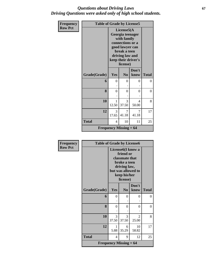### *Questions about Driving Laws* **67** *Driving Questions were asked only of high school students.*

| Frequency      | <b>Table of Grade by License5</b> |                       |                                                                                                                                                            |               |              |  |  |  |
|----------------|-----------------------------------|-----------------------|------------------------------------------------------------------------------------------------------------------------------------------------------------|---------------|--------------|--|--|--|
| <b>Row Pct</b> |                                   |                       | License5(A<br>Georgia teenager<br>with family<br>connections or a<br>good lawyer can<br>break a teen<br>driving law and<br>keep their driver's<br>license) |               |              |  |  |  |
|                | Grade(Grade)                      | Yes                   | N <sub>0</sub>                                                                                                                                             | Don't<br>know | <b>Total</b> |  |  |  |
|                | 6                                 | $\theta$              | $\Omega$                                                                                                                                                   | 0             | $\Omega$     |  |  |  |
|                | 8                                 | $\theta$              | $\theta$                                                                                                                                                   | $\theta$      | $\Omega$     |  |  |  |
|                | 10                                | $\mathbf{1}$<br>12.50 | 3<br>37.50                                                                                                                                                 | 4<br>50.00    | 8            |  |  |  |
|                | 12                                | 3<br>17.65            | 7<br>41.18                                                                                                                                                 | 7<br>41.18    | 17           |  |  |  |
|                | <b>Total</b>                      | 4                     | 10                                                                                                                                                         | 11            | 25           |  |  |  |
|                |                                   |                       | Frequency Missing $= 64$                                                                                                                                   |               |              |  |  |  |

| <b>Frequency</b> | <b>Table of Grade by License6</b>          |                                                                                                                                    |                |                                   |              |  |  |
|------------------|--------------------------------------------|------------------------------------------------------------------------------------------------------------------------------------|----------------|-----------------------------------|--------------|--|--|
| <b>Row Pct</b>   |                                            | License6(I know a<br>friend or<br>classmate that<br>broke a teen<br>driving law,<br>but was allowed to<br>keep his/her<br>license) |                |                                   |              |  |  |
|                  | Grade(Grade)                               | Yes                                                                                                                                | N <sub>0</sub> | Don't<br>know                     | <b>Total</b> |  |  |
|                  | 6                                          | $\theta$                                                                                                                           | $\theta$       | 0                                 | 0            |  |  |
|                  | 8                                          | $\Omega$                                                                                                                           | $\Omega$       | 0                                 | $\theta$     |  |  |
|                  | 10                                         | 3<br>37.50                                                                                                                         | 3<br>37.50     | $\overline{\mathcal{L}}$<br>25.00 | 8            |  |  |
|                  | 12                                         | 1<br>5.88                                                                                                                          | 6<br>35.29     | 10<br>58.82                       | 17           |  |  |
|                  | <b>Total</b>                               | $\overline{4}$                                                                                                                     | 9              | 12                                | 25           |  |  |
|                  | <b>Frequency Missing <math>= 64</math></b> |                                                                                                                                    |                |                                   |              |  |  |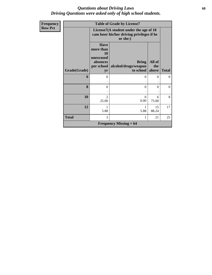### *Questions about Driving Laws* **68** *Driving Questions were asked only of high school students.*

| Frequency      |              |                                                                             | <b>Table of Grade by License7</b>                                                                |                        |              |
|----------------|--------------|-----------------------------------------------------------------------------|--------------------------------------------------------------------------------------------------|------------------------|--------------|
| <b>Row Pct</b> |              |                                                                             | License7(A student under the age of 18<br>cam loser his/her driving privileges if he<br>or she:) |                        |              |
|                | Grade(Grade) | <b>Have</b><br>more than<br>10<br>unexcused<br>absences<br>per school<br>yr | <b>Bring</b><br>alcohol/drugs/weapon<br>to school                                                | All of<br>the<br>above | <b>Total</b> |
|                | 6            | $\Omega$                                                                    | 0                                                                                                | 0                      | 0            |
|                | 8            | $\Omega$                                                                    | $\Omega$                                                                                         | $\Omega$               | $\Omega$     |
|                | 10           | $\mathcal{D}_{\mathcal{L}}$<br>25.00                                        | $\Omega$<br>0.00                                                                                 | 6<br>75.00             | 8            |
|                | 12           | 1<br>5.88                                                                   | 5.88                                                                                             | 15<br>88.24            | 17           |
|                | <b>Total</b> | 3                                                                           |                                                                                                  | 21                     | 25           |
|                |              |                                                                             | Frequency Missing $= 64$                                                                         |                        |              |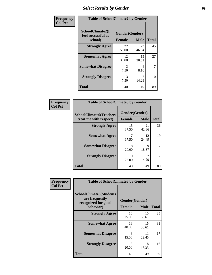# *Select Results by Gender* **69**

| Frequency      | <b>Table of SchoolClimate2 by Gender</b>          |                                 |                                  |              |  |  |  |
|----------------|---------------------------------------------------|---------------------------------|----------------------------------|--------------|--|--|--|
| <b>Col Pct</b> | SchoolClimate2(I<br>feel successful at<br>school) | Gender(Gender)<br><b>Female</b> | <b>Male</b>                      | <b>Total</b> |  |  |  |
|                | <b>Strongly Agree</b>                             | 22<br>55.00                     | 23<br>46.94                      | 45           |  |  |  |
|                | <b>Somewhat Agree</b>                             | 12<br>30.00                     | 15<br>30.61                      | 27           |  |  |  |
|                | <b>Somewhat Disagree</b>                          | 3<br>7.50                       | $\overline{\mathcal{A}}$<br>8.16 | 7            |  |  |  |
|                | <b>Strongly Disagree</b>                          | 3<br>7.50                       | 7<br>14.29                       | 10           |  |  |  |
|                | <b>Total</b>                                      | 40                              | 49                               | 89           |  |  |  |

| Frequency      | <b>Table of SchoolClimate6 by Gender</b>                 |                                 |             |              |
|----------------|----------------------------------------------------------|---------------------------------|-------------|--------------|
| <b>Col Pct</b> | <b>SchoolClimate6(Teachers</b><br>treat me with respect) | Gender(Gender)<br><b>Female</b> | <b>Male</b> | <b>Total</b> |
|                | <b>Strongly Agree</b>                                    | 15<br>37.50                     | 21<br>42.86 | 36           |
|                | <b>Somewhat Agree</b>                                    | 7<br>17.50                      | 12<br>24.49 | 19           |
|                | <b>Somewhat Disagree</b>                                 | 8<br>20.00                      | 9<br>18.37  | 17           |
|                | <b>Strongly Disagree</b>                                 | 10<br>25.00                     | 7<br>14.29  | 17           |
|                | <b>Total</b>                                             | 40                              | 49          | 89           |

| <b>Frequency</b> | <b>Table of SchoolClimate8 by Gender</b>                                             |               |                               |              |  |
|------------------|--------------------------------------------------------------------------------------|---------------|-------------------------------|--------------|--|
| <b>Col Pct</b>   | <b>SchoolClimate8(Students</b><br>are frequently<br>recognized for good<br>behavior) | <b>Female</b> | Gender(Gender)<br><b>Male</b> | <b>Total</b> |  |
|                  | <b>Strongly Agree</b>                                                                | 10            | 15                            | 25           |  |
|                  |                                                                                      | 25.00         | 30.61                         |              |  |
|                  | <b>Somewhat Agree</b>                                                                | 16<br>40.00   | 15<br>30.61                   | 31           |  |
|                  | <b>Somewhat Disagree</b>                                                             | 6<br>15.00    | 11<br>22.45                   | 17           |  |
|                  | <b>Strongly Disagree</b>                                                             | 8<br>20.00    | 8<br>16.33                    | 16           |  |
|                  | Total                                                                                | 40            | 49                            | 89           |  |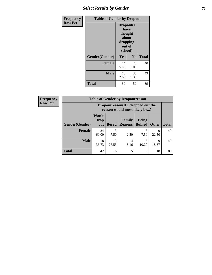## **Select Results by Gender 70**

| Frequency      | <b>Table of Gender by Dropout</b> |                                                              |                |              |  |  |
|----------------|-----------------------------------|--------------------------------------------------------------|----------------|--------------|--|--|
| <b>Row Pct</b> |                                   | Dropout(I<br>have<br>thought<br>about<br>dropping<br>school) | out of         |              |  |  |
|                | Gender(Gender)                    | Yes                                                          | N <sub>0</sub> | <b>Total</b> |  |  |
|                | <b>Female</b>                     | 14<br>35.00                                                  | 26<br>65.00    | 40           |  |  |
|                | <b>Male</b>                       | 16<br>32.65                                                  | 33<br>67.35    | 49           |  |  |
|                | <b>Total</b>                      | 30                                                           | 59             | 89           |  |  |

| <b>Frequency</b> | <b>Table of Gender by Dropoutreason</b> |                                                                     |              |                          |                                |                      |              |
|------------------|-----------------------------------------|---------------------------------------------------------------------|--------------|--------------------------|--------------------------------|----------------------|--------------|
| <b>Row Pct</b>   |                                         | Dropoutreason (If I dropped out the<br>reason would most likely be) |              |                          |                                |                      |              |
|                  | <b>Gender</b> (Gender)                  | Won't<br><b>Drop</b><br>out                                         | <b>Bored</b> | Family<br><b>Reasons</b> | <b>Being</b><br><b>Bullied</b> | <b>Other</b>         | <b>Total</b> |
|                  | <b>Female</b>                           | 24<br>60.00                                                         | 3<br>7.50    | 2.50                     | 3<br>7.50                      | $\mathbf Q$<br>22.50 | 40           |
|                  | <b>Male</b>                             | 18<br>36.73                                                         | 13<br>26.53  | 4<br>8.16                | 10.20                          | 9<br>18.37           | 49           |
|                  | <b>Total</b>                            | 42                                                                  | 16           | 5                        | 8                              | 18                   | 89           |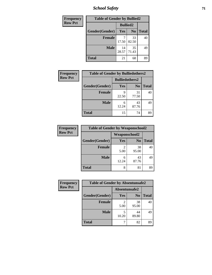*School Safety* **71**

| Frequency      |                | <b>Table of Gender by Bullied2</b> |                |              |  |
|----------------|----------------|------------------------------------|----------------|--------------|--|
| <b>Row Pct</b> |                | <b>Bullied2</b>                    |                |              |  |
|                | Gender(Gender) | Yes                                | N <sub>0</sub> | <b>Total</b> |  |
|                | <b>Female</b>  | 17.50                              | 33<br>82.50    | 40           |  |
|                | <b>Male</b>    | 14<br>28.57                        | 35<br>71.43    | 49           |  |
|                | <b>Total</b>   | 21                                 | 68             | 89           |  |

| Frequency      | <b>Table of Gender by Bulliedothers2</b> |                       |                |              |
|----------------|------------------------------------------|-----------------------|----------------|--------------|
| <b>Row Pct</b> |                                          | <b>Bulliedothers2</b> |                |              |
|                | Gender(Gender)                           | Yes                   | N <sub>0</sub> | <b>Total</b> |
|                | <b>Female</b>                            | Q<br>22.50            | 31<br>77.50    | 40           |
|                | <b>Male</b>                              | 6<br>12.24            | 43<br>87.76    | 49           |
|                | <b>Total</b>                             | 15                    | 74             | 89           |

| Frequency      | <b>Table of Gender by Weaponschool2</b> |                      |                |              |
|----------------|-----------------------------------------|----------------------|----------------|--------------|
| <b>Row Pct</b> |                                         | <b>Weaponschool2</b> |                |              |
|                | Gender(Gender)                          | Yes                  | N <sub>0</sub> | <b>Total</b> |
|                | <b>Female</b>                           | 5.00                 | 38<br>95.00    | 40           |
|                | <b>Male</b>                             | 6<br>12.24           | 43<br>87.76    | 49           |
|                | <b>Total</b>                            | 8                    | 81             | 89           |

| Frequency      |                | <b>Table of Gender by Absentunsafe2</b> |                |              |  |
|----------------|----------------|-----------------------------------------|----------------|--------------|--|
| <b>Row Pct</b> |                | Absentunsafe2                           |                |              |  |
|                | Gender(Gender) | Yes                                     | N <sub>0</sub> | <b>Total</b> |  |
|                | <b>Female</b>  | 5.00                                    | 38<br>95.00    | 40           |  |
|                | <b>Male</b>    | 10.20                                   | 44<br>89.80    | 49           |  |
|                | <b>Total</b>   |                                         | 82             | 89           |  |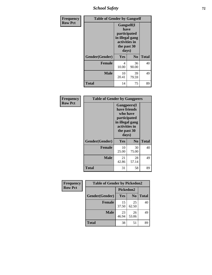*School Safety* **72**

| Frequency      | <b>Table of Gender by Gangself</b> |                                                                                                |                |              |  |
|----------------|------------------------------------|------------------------------------------------------------------------------------------------|----------------|--------------|--|
| <b>Row Pct</b> |                                    | Gangself(I<br>have<br>participated<br>in illegal gang<br>activities in<br>the past 30<br>days) |                |              |  |
|                | Gender(Gender)                     | Yes                                                                                            | N <sub>0</sub> | <b>Total</b> |  |
|                | <b>Female</b>                      | 4<br>10.00                                                                                     | 36<br>90.00    | 40           |  |
|                | <b>Male</b>                        | 10<br>20.41                                                                                    | 39<br>79.59    | 49           |  |
|                | <b>Total</b>                       | 14                                                                                             | 75             | 89           |  |

| Frequency      | <b>Table of Gender by Gangpeers</b> |                                                                                                                             |                |              |
|----------------|-------------------------------------|-----------------------------------------------------------------------------------------------------------------------------|----------------|--------------|
| <b>Row Pct</b> |                                     | <b>Gangpeers</b> (I<br>have friends<br>who have<br>participated<br>in illegal gang<br>activities in<br>the past 30<br>days) |                |              |
|                | Gender(Gender)                      | Yes                                                                                                                         | N <sub>0</sub> | <b>Total</b> |
|                | <b>Female</b>                       | 10<br>25.00                                                                                                                 | 30<br>75.00    | 40           |
|                | <b>Male</b>                         | 21<br>42.86                                                                                                                 | 28<br>57.14    | 49           |
|                | <b>Total</b>                        | 31                                                                                                                          | 58             | 89           |

| Frequency      | <b>Table of Gender by Pickedon2</b> |             |                |              |
|----------------|-------------------------------------|-------------|----------------|--------------|
| <b>Row Pct</b> |                                     | Pickedon2   |                |              |
|                | Gender(Gender)                      | <b>Yes</b>  | N <sub>0</sub> | <b>Total</b> |
|                | <b>Female</b>                       | 15<br>37.50 | 25<br>62.50    | 40           |
|                | <b>Male</b>                         | 23<br>46.94 | 26<br>53.06    | 49           |
|                | <b>Total</b>                        | 38          | 51             | 89           |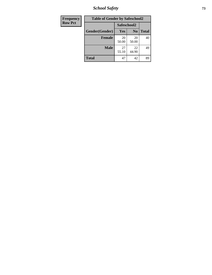*School Safety* **73**

| <b>Frequency</b> | <b>Table of Gender by Safeschool2</b> |             |                |              |
|------------------|---------------------------------------|-------------|----------------|--------------|
| <b>Row Pct</b>   |                                       | Safeschool2 |                |              |
|                  | Gender(Gender)                        | Yes         | N <sub>0</sub> | <b>Total</b> |
|                  | <b>Female</b>                         | 20<br>50.00 | 20<br>50.00    | 40           |
|                  | <b>Male</b>                           | 27<br>55.10 | 22<br>44.90    | 49           |
|                  | <b>Total</b>                          | 47          | 42             | 89           |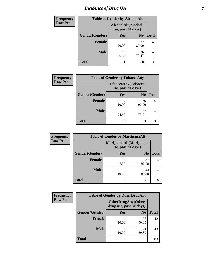# *Incidence of Drug Use* 74

| <b>Frequency</b> | <b>Table of Gender by AlcoholAlt</b> |                                          |                |              |
|------------------|--------------------------------------|------------------------------------------|----------------|--------------|
| <b>Row Pct</b>   |                                      | AlcoholAlt(Alcohol<br>use, past 30 days) |                |              |
|                  | Gender(Gender)                       | Yes                                      | N <sub>0</sub> | <b>Total</b> |
|                  | <b>Female</b>                        | 8<br>20.00                               | 32<br>80.00    | 40           |
|                  | <b>Male</b>                          | 13<br>26.53                              | 36<br>73.47    | 49           |
|                  | <b>Total</b>                         | 21                                       | 68             | 89           |

| <b>Frequency</b> | <b>Table of Gender by TobaccoAny</b> |                    |                    |              |
|------------------|--------------------------------------|--------------------|--------------------|--------------|
| <b>Row Pct</b>   |                                      | use, past 30 days) | TobaccoAny(Tobacco |              |
|                  | Gender(Gender)                       | Yes                | N <sub>0</sub>     | <b>Total</b> |
|                  | <b>Female</b>                        | 4<br>10.00         | 36<br>90.00        | 40           |
|                  | <b>Male</b>                          | 12<br>24.49        | 37<br>75.51        | 49           |
|                  | <b>Total</b>                         | 16                 | 73                 | 89           |

| <b>Frequency</b> | <b>Table of Gender by MarijuanaAlt</b> |            |                                              |              |
|------------------|----------------------------------------|------------|----------------------------------------------|--------------|
| <b>Row Pct</b>   |                                        |            | MarijuanaAlt(Marijuana<br>use, past 30 days) |              |
|                  | Gender(Gender)                         | <b>Yes</b> | N <sub>0</sub>                               | <b>Total</b> |
|                  | <b>Female</b>                          | 3<br>7.50  | 37<br>92.50                                  | 40           |
|                  | <b>Male</b>                            | 5<br>10.20 | 44<br>89.80                                  | 49           |
|                  | <b>Total</b>                           | 8          | 81                                           | 89           |

| <b>Frequency</b> | <b>Table of Gender by OtherDrugAny</b> |                                                      |                |              |
|------------------|----------------------------------------|------------------------------------------------------|----------------|--------------|
| <b>Row Pct</b>   |                                        | <b>OtherDrugAny(Other</b><br>drug use, past 30 days) |                |              |
|                  | Gender(Gender)                         | <b>Yes</b>                                           | N <sub>0</sub> | <b>Total</b> |
|                  | <b>Female</b>                          | 10.00                                                | 36<br>90.00    | 40           |
|                  | <b>Male</b>                            | 5<br>10.20                                           | 44<br>89.80    | 49           |
|                  | <b>Total</b>                           | 9                                                    | 80             | 89           |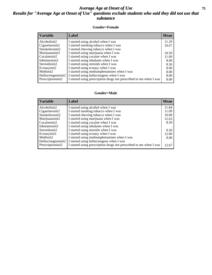### *Average Age at Onset of Use* **75** *Results for "Average Age at Onset of Use" questions exclude students who said they did not use that substance*

### **Gender=Female**

| Variable                        | Label                                                              | <b>Mean</b> |
|---------------------------------|--------------------------------------------------------------------|-------------|
| Alcoholinit2                    | I started using alcohol when I was                                 | 11.29       |
| Cigarettesinit2                 | I started smoking tobacco when I was                               | 10.67       |
| Smokelessinit2                  | I started chewing tobacco when I was                               |             |
| Marijuanainit2                  | I started using marijuana when I was                               | 10.50       |
| Cocaineinit2                    | I started using cocaine when I was                                 | 11.00       |
| Inhalantsinit2                  | I started using inhalants when I was                               | 8.00        |
| Steroidsinit2                   | I started using steroids when I was                                | 8.50        |
| Ecstasyinit2                    | I started using ecstasy when I was                                 | 8.00        |
| Methinit2                       | I started using methamphetamines when I was                        | 8.00        |
| Hallucinogensinit2              | I started using hallucinogens when I was                           | 8.00        |
| Prescription in it <sub>2</sub> | I started using prescription drugs not prescribed to me when I was | 8.00        |

### **Gender=Male**

| <b>Variable</b>                 | Label                                                              | <b>Mean</b> |
|---------------------------------|--------------------------------------------------------------------|-------------|
| Alcoholinit2                    | I started using alcohol when I was                                 | 11.84       |
| Cigarettesinit2                 | I started smoking tobacco when I was                               | 11.09       |
| Smokelessinit2                  | I started chewing tobacco when I was                               | 10.00       |
| Marijuanainit2                  | I started using marijuana when I was                               | 12.63       |
| Cocaineinit2                    | I started using cocaine when I was                                 | 8.50        |
| Inhalantsinit2                  | I started using inhalants when I was                               |             |
| Steroidsinit2                   | I started using steroids when I was                                | 9.50        |
| Ecstasyinit2                    | I started using ecstasy when I was                                 | 12.00       |
| Methinit2                       | I started using methamphetamines when I was                        | 8.00        |
| Hallucinogensinit2              | I started using hallucinogens when I was                           |             |
| Prescription in it <sub>2</sub> | I started using prescription drugs not prescribed to me when I was | 12.67       |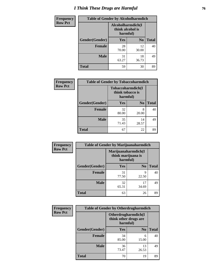# *I Think These Drugs are Harmful* **76**

| <b>Frequency</b> | <b>Table of Gender by Alcoholharmdich</b> |                                                   |                |              |
|------------------|-------------------------------------------|---------------------------------------------------|----------------|--------------|
| <b>Row Pct</b>   |                                           | Alcoholharmdich(I<br>think alcohol is<br>harmful) |                |              |
|                  | Gender(Gender)                            | Yes                                               | N <sub>0</sub> | <b>Total</b> |
|                  | <b>Female</b>                             | 28<br>70.00                                       | 12<br>30.00    | 40           |
|                  | <b>Male</b>                               | 31<br>63.27                                       | 18<br>36.73    | 49           |
|                  | <b>Total</b>                              | 59                                                | 30             | 89           |

| Frequency      | <b>Table of Gender by Tobaccoharmdich</b> |                  |                               |              |
|----------------|-------------------------------------------|------------------|-------------------------------|--------------|
| <b>Row Pct</b> |                                           | think tobacco is | Tobaccoharmdich(I<br>harmful) |              |
|                | Gender(Gender)                            | Yes              | N <sub>0</sub>                | <b>Total</b> |
|                | <b>Female</b>                             | 32<br>80.00      | 8<br>20.00                    | 40           |
|                | <b>Male</b>                               | 35<br>71.43      | 14<br>28.57                   | 49           |
|                | <b>Total</b>                              | 67               | 22                            | 89           |

| Frequency      | <b>Table of Gender by Marijuanaharmdich</b> |                                                       |                |              |  |
|----------------|---------------------------------------------|-------------------------------------------------------|----------------|--------------|--|
| <b>Row Pct</b> |                                             | Marijuanaharmdich(I<br>think marijuana is<br>harmful) |                |              |  |
|                | Gender(Gender)                              | <b>Yes</b>                                            | N <sub>0</sub> | <b>Total</b> |  |
|                | <b>Female</b>                               | 31<br>77.50                                           | 9<br>22.50     | 40           |  |
|                | <b>Male</b>                                 | 32<br>65.31                                           | 17<br>34.69    | 49           |  |
|                | <b>Total</b>                                | 63                                                    | 26             | 89           |  |

| Frequency      | <b>Table of Gender by Otherdrugharmdich</b> |                                                          |                |              |  |
|----------------|---------------------------------------------|----------------------------------------------------------|----------------|--------------|--|
| <b>Row Pct</b> |                                             | Otherdrugharmdich(I<br>think other drugs are<br>harmful) |                |              |  |
|                | Gender(Gender)                              | <b>Yes</b>                                               | N <sub>0</sub> | <b>Total</b> |  |
|                | <b>Female</b>                               | 34<br>85.00                                              | 6<br>15.00     | 40           |  |
|                | <b>Male</b>                                 | 36<br>73.47                                              | 13<br>26.53    | 49           |  |
|                | <b>Total</b>                                | 70                                                       | 19             | 89           |  |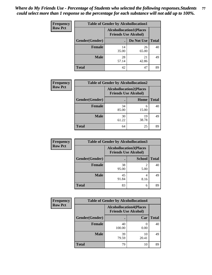| <b>Frequency</b> | <b>Table of Gender by Alcohollocation1</b> |                                                               |             |              |
|------------------|--------------------------------------------|---------------------------------------------------------------|-------------|--------------|
| <b>Row Pct</b>   |                                            | <b>Alcohollocation1(Places</b><br><b>Friends Use Alcohol)</b> |             |              |
|                  | Gender(Gender)                             |                                                               | Do Not Use  | <b>Total</b> |
|                  | <b>Female</b>                              | 14<br>35.00                                                   | 26<br>65.00 | 40           |
|                  | <b>Male</b>                                | 28<br>57.14                                                   | 21<br>42.86 | 49           |
|                  | Total                                      | 42                                                            | 47          | 89           |

| <b>Frequency</b> | <b>Table of Gender by Alcohollocation2</b> |                                                               |             |              |
|------------------|--------------------------------------------|---------------------------------------------------------------|-------------|--------------|
| <b>Row Pct</b>   |                                            | <b>Alcohollocation2(Places</b><br><b>Friends Use Alcohol)</b> |             |              |
|                  | Gender(Gender)                             |                                                               | <b>Home</b> | <b>Total</b> |
|                  | <b>Female</b>                              | 34<br>85.00                                                   | 6<br>15.00  | 40           |
|                  | <b>Male</b>                                | 30<br>61.22                                                   | 19<br>38.78 | 49           |
|                  | <b>Total</b>                               | 64                                                            | 25          | 89           |

| Frequency      | <b>Table of Gender by Alcohollocation3</b> |                                                               |               |              |
|----------------|--------------------------------------------|---------------------------------------------------------------|---------------|--------------|
| <b>Row Pct</b> |                                            | <b>Alcohollocation3(Places</b><br><b>Friends Use Alcohol)</b> |               |              |
|                | Gender(Gender)                             |                                                               | <b>School</b> | <b>Total</b> |
|                | <b>Female</b>                              | 38<br>95.00                                                   | 5.00          | 40           |
|                | <b>Male</b>                                | 45<br>91.84                                                   | 4<br>8.16     | 49           |
|                | <b>Total</b>                               | 83                                                            | 6             | 89           |

| <b>Frequency</b> | <b>Table of Gender by Alcohollocation4</b> |                                                               |                          |              |  |
|------------------|--------------------------------------------|---------------------------------------------------------------|--------------------------|--------------|--|
| <b>Row Pct</b>   |                                            | <b>Alcohollocation4(Places</b><br><b>Friends Use Alcohol)</b> |                          |              |  |
|                  | Gender(Gender)                             |                                                               | Car                      | <b>Total</b> |  |
|                  | <b>Female</b>                              | 40<br>100.00                                                  | $\left( \right)$<br>0.00 | 40           |  |
|                  | <b>Male</b>                                | 39<br>79.59                                                   | 10<br>20.41              | 49           |  |
|                  | <b>Total</b>                               | 79                                                            | 10                       | 89           |  |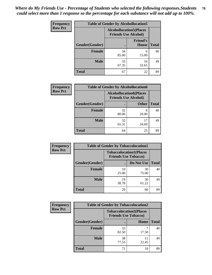| <b>Frequency</b> | <b>Table of Gender by Alcohollocation5</b> |                                                                |                          |              |
|------------------|--------------------------------------------|----------------------------------------------------------------|--------------------------|--------------|
| <b>Row Pct</b>   |                                            | <b>Alcohollocation5</b> (Places<br><b>Friends Use Alcohol)</b> |                          |              |
|                  | Gender(Gender)                             |                                                                | <b>Friend's</b><br>House | <b>Total</b> |
|                  | <b>Female</b>                              | 34<br>85.00                                                    | 6<br>15.00               | 40           |
|                  | <b>Male</b>                                | 33<br>67.35                                                    | 16<br>32.65              | 49           |
|                  | <b>Total</b>                               | 67                                                             | 22                       | 89           |

| <b>Frequency</b> | <b>Table of Gender by Alcohollocation6</b> |                                                               |              |              |  |
|------------------|--------------------------------------------|---------------------------------------------------------------|--------------|--------------|--|
| <b>Row Pct</b>   |                                            | <b>Alcohollocation6(Places</b><br><b>Friends Use Alcohol)</b> |              |              |  |
|                  | Gender(Gender)                             |                                                               | <b>Other</b> | <b>Total</b> |  |
|                  | Female                                     | 32<br>80.00                                                   | 8<br>20.00   | 40           |  |
|                  | <b>Male</b>                                | 32<br>65.31                                                   | 17<br>34.69  | 49           |  |
|                  | <b>Total</b>                               | 64                                                            | 25           | 89           |  |

| Frequency      | <b>Table of Gender by Tobaccolocation1</b> |                                                               |             |              |  |
|----------------|--------------------------------------------|---------------------------------------------------------------|-------------|--------------|--|
| <b>Row Pct</b> |                                            | <b>Tobaccolocation1(Places</b><br><b>Friends Use Tobacco)</b> |             |              |  |
|                | Gender(Gender)                             |                                                               | Do Not Use  | <b>Total</b> |  |
|                | Female                                     | 10<br>25.00                                                   | 30<br>75.00 | 40           |  |
|                | <b>Male</b>                                | 19<br>38.78                                                   | 30<br>61.22 | 49           |  |
|                | <b>Total</b>                               | 29                                                            | 60          | 89           |  |

| <b>Frequency</b> | <b>Table of Gender by Tobaccolocation2</b> |                                                               |             |              |
|------------------|--------------------------------------------|---------------------------------------------------------------|-------------|--------------|
| <b>Row Pct</b>   |                                            | <b>Tobaccolocation2(Places</b><br><b>Friends Use Tobacco)</b> |             |              |
|                  | Gender(Gender)                             |                                                               | Home        | <b>Total</b> |
|                  | Female                                     | 33<br>82.50                                                   | 17.50       | 40           |
|                  | <b>Male</b>                                | 38<br>77.55                                                   | 11<br>22.45 | 49           |
|                  | <b>Total</b>                               | 71                                                            | 18          | 89           |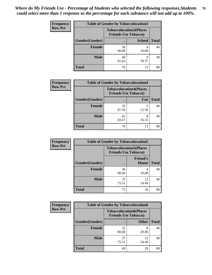| <b>Frequency</b> | <b>Table of Gender by Tobaccolocation3</b> |                                                               |               |              |
|------------------|--------------------------------------------|---------------------------------------------------------------|---------------|--------------|
| <b>Row Pct</b>   |                                            | <b>Tobaccolocation3(Places</b><br><b>Friends Use Tobacco)</b> |               |              |
|                  | Gender(Gender)                             |                                                               | <b>School</b> | <b>Total</b> |
|                  | <b>Female</b>                              | 36<br>90.00                                                   | 10.00         | 40           |
|                  | <b>Male</b>                                | 40<br>81.63                                                   | Q<br>18.37    | 49           |
|                  | <b>Total</b>                               | 76                                                            | 13            | 89           |

| <b>Frequency</b> | <b>Table of Gender by Tobaccolocation4</b> |                             |                                |              |
|------------------|--------------------------------------------|-----------------------------|--------------------------------|--------------|
| <b>Row Pct</b>   |                                            | <b>Friends Use Tobacco)</b> | <b>Tobaccolocation4(Places</b> |              |
|                  | Gender(Gender)                             |                             | Car                            | <b>Total</b> |
|                  | <b>Female</b>                              | 35<br>87.50                 | 12.50                          | 40           |
|                  | <b>Male</b>                                | 41<br>83.67                 | 16.33                          | 49           |
|                  | <b>Total</b>                               | 76                          | 13                             | 89           |

| <b>Frequency</b> | <b>Table of Gender by Tobaccolocation5</b> |                                                               |                                 |              |
|------------------|--------------------------------------------|---------------------------------------------------------------|---------------------------------|--------------|
| <b>Row Pct</b>   |                                            | <b>Tobaccolocation5(Places</b><br><b>Friends Use Tobacco)</b> |                                 |              |
|                  | Gender(Gender)                             |                                                               | <b>Friend's</b><br><b>House</b> | <b>Total</b> |
|                  | Female                                     | 36<br>90.00                                                   | 4<br>10.00                      | 40           |
|                  | <b>Male</b>                                | 37<br>75.51                                                   | 12<br>24.49                     | 49           |
|                  | <b>Total</b>                               | 73                                                            | 16                              | 89           |

| <b>Frequency</b> | <b>Table of Gender by Tobaccolocation6</b> |                                                               |              |              |
|------------------|--------------------------------------------|---------------------------------------------------------------|--------------|--------------|
| <b>Row Pct</b>   |                                            | <b>Tobaccolocation6(Places</b><br><b>Friends Use Tobacco)</b> |              |              |
|                  | <b>Gender</b> (Gender)                     |                                                               | <b>Other</b> | <b>Total</b> |
|                  | <b>Female</b>                              | 32<br>80.00                                                   | 8<br>20.00   | 40           |
|                  | <b>Male</b>                                | 37<br>75.51                                                   | 12<br>24.49  | 49           |
|                  | <b>Total</b>                               | 69                                                            | 20           | 89           |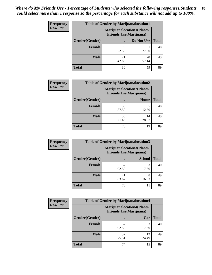| <b>Frequency</b> | <b>Table of Gender by Marijuanalocation1</b> |                                                                    |             |              |
|------------------|----------------------------------------------|--------------------------------------------------------------------|-------------|--------------|
| <b>Row Pct</b>   |                                              | <b>Marijuanalocation1(Places</b><br><b>Friends Use Marijuana</b> ) |             |              |
|                  | Gender(Gender)                               |                                                                    | Do Not Use  | <b>Total</b> |
|                  | <b>Female</b>                                | q<br>22.50                                                         | 31<br>77.50 | 40           |
|                  | <b>Male</b>                                  | 21<br>42.86                                                        | 28<br>57.14 | 49           |
|                  | Total                                        | 30                                                                 | 59          | 89           |

| <b>Frequency</b> | <b>Table of Gender by Marijuanalocation2</b> |             |                                                                    |              |
|------------------|----------------------------------------------|-------------|--------------------------------------------------------------------|--------------|
| <b>Row Pct</b>   |                                              |             | <b>Marijuanalocation2(Places</b><br><b>Friends Use Marijuana</b> ) |              |
|                  | Gender(Gender)                               |             | Home                                                               | <b>Total</b> |
|                  | Female                                       | 35<br>87.50 | 12.50                                                              | 40           |
|                  | <b>Male</b>                                  | 35<br>71.43 | 14<br>28.57                                                        | 49           |
|                  | <b>Total</b>                                 | 70          | 19                                                                 | 89           |

| Frequency      | <b>Table of Gender by Marijuanalocation3</b> |                                                                    |               |              |
|----------------|----------------------------------------------|--------------------------------------------------------------------|---------------|--------------|
| <b>Row Pct</b> |                                              | <b>Marijuanalocation3(Places</b><br><b>Friends Use Marijuana</b> ) |               |              |
|                | Gender(Gender)                               |                                                                    | <b>School</b> | <b>Total</b> |
|                | Female                                       | 37<br>92.50                                                        | 3<br>7.50     | 40           |
|                | <b>Male</b>                                  | 41<br>83.67                                                        | 8<br>16.33    | 49           |
|                | <b>Total</b>                                 | 78                                                                 | 11            | 89           |

| Frequency      | <b>Table of Gender by Marijuanalocation4</b> |                                                                    |             |              |
|----------------|----------------------------------------------|--------------------------------------------------------------------|-------------|--------------|
| <b>Row Pct</b> |                                              | <b>Marijuanalocation4(Places</b><br><b>Friends Use Marijuana</b> ) |             |              |
|                | Gender(Gender)                               |                                                                    | Car         | <b>Total</b> |
|                | <b>Female</b>                                | 37<br>92.50                                                        | 7.50        | 40           |
|                | <b>Male</b>                                  | 37<br>75.51                                                        | 12<br>24.49 | 49           |
|                | <b>Total</b>                                 | 74                                                                 | 15          | 89           |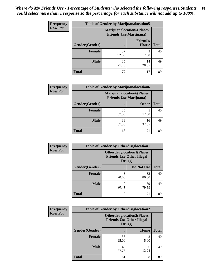| <b>Frequency</b> | <b>Table of Gender by Marijuanalocation5</b> |                                                                     |                                 |              |  |
|------------------|----------------------------------------------|---------------------------------------------------------------------|---------------------------------|--------------|--|
| <b>Row Pct</b>   |                                              | <b>Marijuanalocation5</b> (Places<br><b>Friends Use Marijuana</b> ) |                                 |              |  |
|                  | Gender(Gender)                               |                                                                     | <b>Friend's</b><br><b>House</b> | <b>Total</b> |  |
|                  | <b>Female</b>                                | 37<br>92.50                                                         | 3<br>7.50                       | 40           |  |
|                  | <b>Male</b>                                  | 35<br>71.43                                                         | 14<br>28.57                     | 49           |  |
|                  | <b>Total</b>                                 | 72                                                                  | 17                              | 89           |  |

| <b>Frequency</b> | <b>Table of Gender by Marijuanalocation6</b> |                                                                    |              |              |
|------------------|----------------------------------------------|--------------------------------------------------------------------|--------------|--------------|
| <b>Row Pct</b>   |                                              | <b>Marijuanalocation6(Places</b><br><b>Friends Use Marijuana</b> ) |              |              |
|                  | Gender(Gender)                               |                                                                    | <b>Other</b> | <b>Total</b> |
|                  | <b>Female</b>                                | 35<br>87.50                                                        | 12.50        | 40           |
|                  | <b>Male</b>                                  | 33<br>67.35                                                        | 16<br>32.65  | 49           |
|                  | Total                                        | 68                                                                 | 21           | 89           |

| <b>Frequency</b> | <b>Table of Gender by Otherdruglocation1</b> |                                                                                |             |              |
|------------------|----------------------------------------------|--------------------------------------------------------------------------------|-------------|--------------|
| <b>Row Pct</b>   |                                              | <b>Otherdruglocation1(Places</b><br><b>Friends Use Other Illegal</b><br>Drugs) |             |              |
|                  | Gender(Gender)                               |                                                                                | Do Not Use  | <b>Total</b> |
|                  | Female                                       | 8<br>20.00                                                                     | 32<br>80.00 | 40           |
|                  | <b>Male</b>                                  | 10<br>20.41                                                                    | 39<br>79.59 | 49           |
|                  | <b>Total</b>                                 | 18                                                                             | 71          | 89           |

| Frequency      | <b>Table of Gender by Otherdruglocation2</b> |                                                                                |            |              |
|----------------|----------------------------------------------|--------------------------------------------------------------------------------|------------|--------------|
| <b>Row Pct</b> |                                              | <b>Otherdruglocation2(Places</b><br><b>Friends Use Other Illegal</b><br>Drugs) |            |              |
|                | Gender(Gender)                               |                                                                                | Home       | <b>Total</b> |
|                | Female                                       | 38<br>95.00                                                                    | 2<br>5.00  | 40           |
|                | <b>Male</b>                                  | 43<br>87.76                                                                    | 6<br>12.24 | 49           |
|                | <b>Total</b>                                 | 81                                                                             | 8          | 89           |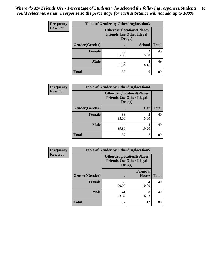| <b>Frequency</b> | <b>Table of Gender by Otherdruglocation3</b> |                                                                                |               |              |
|------------------|----------------------------------------------|--------------------------------------------------------------------------------|---------------|--------------|
| <b>Row Pct</b>   |                                              | <b>Otherdruglocation3(Places</b><br><b>Friends Use Other Illegal</b><br>Drugs) |               |              |
|                  | Gender(Gender)                               |                                                                                | <b>School</b> | <b>Total</b> |
|                  | <b>Female</b>                                | 38<br>95.00                                                                    | 5.00          | 40           |
|                  | <b>Male</b>                                  | 45<br>91.84                                                                    | 8.16          | 49           |
|                  | <b>Total</b>                                 | 83                                                                             | 6             | 89           |

| Frequency      | <b>Table of Gender by Otherdruglocation4</b> |                                                                                |            |              |
|----------------|----------------------------------------------|--------------------------------------------------------------------------------|------------|--------------|
| <b>Row Pct</b> |                                              | <b>Otherdruglocation4(Places</b><br><b>Friends Use Other Illegal</b><br>Drugs) |            |              |
|                | Gender(Gender)                               |                                                                                | Car        | <b>Total</b> |
|                | Female                                       | 38<br>95.00                                                                    | 2<br>5.00  | 40           |
|                | <b>Male</b>                                  | 44<br>89.80                                                                    | 5<br>10.20 | 49           |
|                | <b>Total</b>                                 | 82                                                                             | 7          | 89           |

| <b>Frequency</b> | <b>Table of Gender by Otherdruglocation5</b> |                                            |                                  |              |
|------------------|----------------------------------------------|--------------------------------------------|----------------------------------|--------------|
| <b>Row Pct</b>   |                                              | <b>Friends Use Other Illegal</b><br>Drugs) | <b>Otherdruglocation5(Places</b> |              |
|                  | Gender(Gender)                               |                                            | <b>Friend's</b><br><b>House</b>  | <b>Total</b> |
|                  | <b>Female</b>                                | 36<br>90.00                                | 10.00                            | 40           |
|                  | <b>Male</b>                                  | 41<br>83.67                                | 8<br>16.33                       | 49           |
|                  | <b>Total</b>                                 | 77                                         | 12                               | 89           |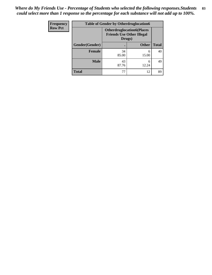| <b>Frequency</b> | <b>Table of Gender by Otherdruglocation6</b> |                                                                                |              |              |
|------------------|----------------------------------------------|--------------------------------------------------------------------------------|--------------|--------------|
| <b>Row Pct</b>   |                                              | <b>Otherdruglocation6(Places</b><br><b>Friends Use Other Illegal</b><br>Drugs) |              |              |
|                  | Gender(Gender)                               |                                                                                | <b>Other</b> | <b>Total</b> |
|                  | Female                                       | 34<br>85.00                                                                    | 6<br>15.00   | 40           |
|                  | <b>Male</b>                                  | 43<br>87.76                                                                    | 6<br>12.24   | 49           |
|                  | <b>Total</b>                                 | 77                                                                             | 12           | 89           |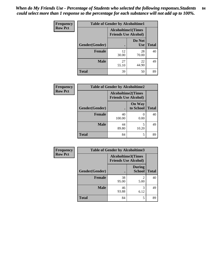| Frequency      | <b>Table of Gender by Alcoholtime1</b> |                                                          |                      |              |
|----------------|----------------------------------------|----------------------------------------------------------|----------------------|--------------|
| <b>Row Pct</b> |                                        | <b>Alcoholtime1(Times</b><br><b>Friends Use Alcohol)</b> |                      |              |
|                | <b>Gender</b> (Gender)                 |                                                          | Do Not<br><b>Use</b> | <b>Total</b> |
|                | <b>Female</b>                          | 12<br>30.00                                              | 28<br>70.00          | 40           |
|                | <b>Male</b>                            | 27<br>55.10                                              | 22<br>44.90          | 49           |
|                | <b>Total</b>                           | 39                                                       | 50                   | 89           |

| <b>Frequency</b> | <b>Table of Gender by Alcoholtime2</b> |                                                          |                            |              |
|------------------|----------------------------------------|----------------------------------------------------------|----------------------------|--------------|
| <b>Row Pct</b>   |                                        | <b>Alcoholtime2(Times</b><br><b>Friends Use Alcohol)</b> |                            |              |
|                  | Gender(Gender)                         |                                                          | <b>On Way</b><br>to School | <b>Total</b> |
|                  | <b>Female</b>                          | 40<br>100.00                                             | $\theta$<br>0.00           | 40           |
|                  | <b>Male</b>                            | 44<br>89.80                                              | 5<br>10.20                 | 49           |
|                  | <b>Total</b>                           | 84                                                       | 5                          | 89           |

| <b>Frequency</b> | <b>Table of Gender by Alcoholtime3</b> |                                                          |                                |              |
|------------------|----------------------------------------|----------------------------------------------------------|--------------------------------|--------------|
| <b>Row Pct</b>   |                                        | <b>Alcoholtime3(Times</b><br><b>Friends Use Alcohol)</b> |                                |              |
|                  | Gender(Gender)                         |                                                          | <b>During</b><br><b>School</b> | <b>Total</b> |
|                  | <b>Female</b>                          | 38<br>95.00                                              | 2<br>5.00                      | 40           |
|                  | <b>Male</b>                            | 46<br>93.88                                              | 3<br>6.12                      | 49           |
|                  | <b>Total</b>                           | 84                                                       | 5                              | 89           |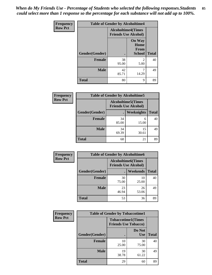*When do My Friends Use - Percentage of Students who selected the following responses.Students could select more than 1 response so the percentage for each substance will not add up to 100%.* **85**

| <b>Frequency</b> | <b>Table of Gender by Alcoholtime4</b> |                                                          |                                                       |              |
|------------------|----------------------------------------|----------------------------------------------------------|-------------------------------------------------------|--------------|
| <b>Row Pct</b>   |                                        | <b>Alcoholtime4(Times</b><br><b>Friends Use Alcohol)</b> |                                                       |              |
|                  | <b>Gender</b> (Gender)                 |                                                          | <b>On Way</b><br>Home<br><b>From</b><br><b>School</b> | <b>Total</b> |
|                  | <b>Female</b>                          | $\bullet$<br>38                                          | 2                                                     | 40           |
|                  |                                        | 95.00                                                    | 5.00                                                  |              |
|                  | <b>Male</b>                            | 42<br>85.71                                              | 7<br>14.29                                            | 49           |
|                  | <b>Total</b>                           | 80                                                       | 9                                                     | 89           |

| <b>Frequency</b> | <b>Table of Gender by Alcoholtime5</b> |             |                                                           |              |
|------------------|----------------------------------------|-------------|-----------------------------------------------------------|--------------|
| <b>Row Pct</b>   |                                        |             | <b>Alcoholtime5</b> (Times<br><b>Friends Use Alcohol)</b> |              |
|                  | Gender(Gender)                         |             | Weeknights                                                | <b>Total</b> |
|                  | <b>Female</b>                          | 34<br>85.00 | 6<br>15.00                                                | 40           |
|                  | <b>Male</b>                            | 34<br>69.39 | 15<br>30.61                                               | 49           |
|                  | <b>Total</b>                           | 68          | 21                                                        | 89           |

| <b>Frequency</b> | <b>Table of Gender by Alcoholtime6</b> |                           |                             |              |
|------------------|----------------------------------------|---------------------------|-----------------------------|--------------|
| <b>Row Pct</b>   |                                        | <b>Alcoholtime6(Times</b> | <b>Friends Use Alcohol)</b> |              |
|                  | Gender(Gender)                         |                           | Weekends                    | <b>Total</b> |
|                  | <b>Female</b>                          | 30<br>75.00               | 10<br>25.00                 | 40           |
|                  | <b>Male</b>                            | 23<br>46.94               | 26<br>53.06                 | 49           |
|                  | Total                                  | 53                        | 36                          | 89           |

| Frequency      | <b>Table of Gender by Tobaccotime1</b> |                                                          |                      |              |
|----------------|----------------------------------------|----------------------------------------------------------|----------------------|--------------|
| <b>Row Pct</b> |                                        | <b>Tobaccotime1(Times</b><br><b>Friends Use Tobacco)</b> |                      |              |
|                | Gender(Gender)                         |                                                          | Do Not<br><b>Use</b> | <b>Total</b> |
|                | <b>Female</b>                          | 10<br>25.00                                              | 30<br>75.00          | 40           |
|                | <b>Male</b>                            | 19<br>38.78                                              | 30<br>61.22          | 49           |
|                | <b>Total</b>                           | 29                                                       | 60                   | 89           |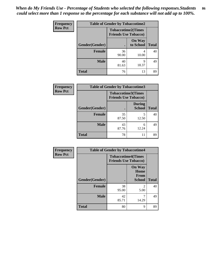| <b>Frequency</b> | <b>Table of Gender by Tobaccotime2</b> |                                                          |                            |              |
|------------------|----------------------------------------|----------------------------------------------------------|----------------------------|--------------|
| <b>Row Pct</b>   |                                        | <b>Tobaccotime2(Times</b><br><b>Friends Use Tobacco)</b> |                            |              |
|                  | Gender(Gender)                         | $\bullet$                                                | <b>On Way</b><br>to School | <b>Total</b> |
|                  | Female                                 | 36<br>90.00                                              | 4<br>10.00                 | 40           |
|                  | <b>Male</b>                            | 40<br>81.63                                              | 9<br>18.37                 | 49           |
|                  | <b>Total</b>                           | 76                                                       | 13                         | 89           |

| <b>Frequency</b> | <b>Table of Gender by Tobaccotime3</b> |                                                          |                                |              |
|------------------|----------------------------------------|----------------------------------------------------------|--------------------------------|--------------|
| <b>Row Pct</b>   |                                        | <b>Tobaccotime3(Times</b><br><b>Friends Use Tobacco)</b> |                                |              |
|                  | Gender(Gender)                         |                                                          | <b>During</b><br><b>School</b> | <b>Total</b> |
|                  | <b>Female</b>                          | 35<br>87.50                                              | 5<br>12.50                     | 40           |
|                  | <b>Male</b>                            | 43<br>87.76                                              | 6<br>12.24                     | 49           |
|                  | <b>Total</b>                           | 78                                                       | 11                             | 89           |

| Frequency      | <b>Table of Gender by Tobaccotime4</b> |                                                          |                                                |              |
|----------------|----------------------------------------|----------------------------------------------------------|------------------------------------------------|--------------|
| <b>Row Pct</b> |                                        | <b>Tobaccotime4(Times</b><br><b>Friends Use Tobacco)</b> |                                                |              |
|                | Gender(Gender)                         |                                                          | <b>On Way</b><br>Home<br>From<br><b>School</b> | <b>Total</b> |
|                | <b>Female</b>                          | 38<br>95.00                                              | $\mathfrak{D}$<br>5.00                         | 40           |
|                | <b>Male</b>                            | 42<br>85.71                                              | 7<br>14.29                                     | 49           |
|                | <b>Total</b>                           | 80                                                       | 9                                              | 89           |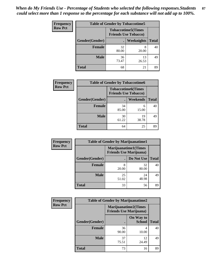| Frequency      | <b>Table of Gender by Tobaccotime5</b> |             |                                                           |              |  |
|----------------|----------------------------------------|-------------|-----------------------------------------------------------|--------------|--|
| <b>Row Pct</b> |                                        |             | <b>Tobaccotime5</b> (Times<br><b>Friends Use Tobacco)</b> |              |  |
|                | Gender(Gender)                         |             | <b>Weeknights</b>                                         | <b>Total</b> |  |
|                | Female                                 | 32<br>80.00 | 8<br>20.00                                                | 40           |  |
|                | <b>Male</b>                            | 36<br>73.47 | 13<br>26.53                                               | 49           |  |
|                | <b>Total</b>                           | 68          | 21                                                        | 89           |  |

| <b>Frequency</b> | <b>Table of Gender by Tobaccotime6</b> |                             |                           |              |
|------------------|----------------------------------------|-----------------------------|---------------------------|--------------|
| <b>Row Pct</b>   |                                        | <b>Friends Use Tobacco)</b> | <b>Tobaccotime6(Times</b> |              |
|                  | Gender(Gender)                         |                             | <b>Weekends</b>           | <b>Total</b> |
|                  | Female                                 | 34<br>85.00                 | 6<br>15.00                | 40           |
|                  | <b>Male</b>                            | 30<br>61.22                 | 19<br>38.78               | 49           |
|                  | <b>Total</b>                           | 64                          | 25                        | 89           |

| Frequency      | <b>Table of Gender by Marijuanatime1</b> |                                                               |             |              |
|----------------|------------------------------------------|---------------------------------------------------------------|-------------|--------------|
| <b>Row Pct</b> |                                          | <b>Marijuanatime1(Times</b><br><b>Friends Use Marijuana</b> ) |             |              |
|                | <b>Gender</b> (Gender)                   |                                                               | Do Not Use  | <b>Total</b> |
|                | Female                                   | 20.00                                                         | 32<br>80.00 | 40           |
|                | <b>Male</b>                              | 25<br>51.02                                                   | 24<br>48.98 | 49           |
|                | <b>Total</b>                             | 33                                                            | 56          | 89           |

| Frequency      |                | <b>Table of Gender by Marijuanatime2</b>                      |                            |              |  |
|----------------|----------------|---------------------------------------------------------------|----------------------------|--------------|--|
| <b>Row Pct</b> |                | <b>Marijuanatime2(Times</b><br><b>Friends Use Marijuana</b> ) |                            |              |  |
|                | Gender(Gender) |                                                               | On Way to<br><b>School</b> | <b>Total</b> |  |
|                | <b>Female</b>  | 36<br>90.00                                                   | 4<br>10.00                 | 40           |  |
|                | <b>Male</b>    | 37<br>75.51                                                   | 12<br>24.49                | 49           |  |
|                | <b>Total</b>   | 73                                                            | 16                         | 89           |  |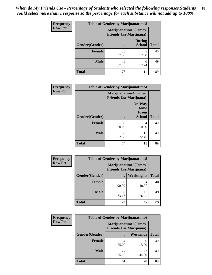| Frequency      | <b>Table of Gender by Marijuanatime3</b> |                                                        |                                |              |
|----------------|------------------------------------------|--------------------------------------------------------|--------------------------------|--------------|
| <b>Row Pct</b> |                                          | Marijuanatime3(Times<br><b>Friends Use Marijuana</b> ) |                                |              |
|                | Gender(Gender)                           |                                                        | <b>During</b><br><b>School</b> | <b>Total</b> |
|                | <b>Female</b>                            | 35<br>87.50                                            | 5<br>12.50                     | 40           |
|                | <b>Male</b>                              | 43<br>87.76                                            | 6<br>12.24                     | 49           |
|                | <b>Total</b>                             | 78                                                     | 11                             | 89           |

| Frequency      | <b>Table of Gender by Marijuanatime4</b> |                             |                                                       |              |
|----------------|------------------------------------------|-----------------------------|-------------------------------------------------------|--------------|
| <b>Row Pct</b> |                                          | <b>Marijuanatime4(Times</b> | <b>Friends Use Marijuana</b> )                        |              |
|                | Gender(Gender)                           |                             | <b>On Way</b><br>Home<br><b>From</b><br><b>School</b> | <b>Total</b> |
|                | <b>Female</b>                            | 36<br>90.00                 | 4<br>10.00                                            | 40           |
|                | <b>Male</b>                              | 38<br>77.55                 | 11<br>22.45                                           | 49           |
|                | <b>Total</b>                             | 74                          | 15                                                    | 89           |

| Frequency      |                | <b>Table of Gender by Marijuanatime5</b> |                                                                |              |
|----------------|----------------|------------------------------------------|----------------------------------------------------------------|--------------|
| <b>Row Pct</b> |                |                                          | <b>Marijuanatime5</b> (Times<br><b>Friends Use Marijuana</b> ) |              |
|                | Gender(Gender) |                                          | <b>Weeknights</b>                                              | <b>Total</b> |
|                | <b>Female</b>  | 36<br>90.00                              | 4<br>10.00                                                     | 40           |
|                | <b>Male</b>    | 36<br>73.47                              | 13<br>26.53                                                    | 49           |
|                | <b>Total</b>   | 72                                       | 17                                                             | 89           |

| Frequency      | <b>Table of Gender by Marijuanatime6</b> |                                                               |                 |              |
|----------------|------------------------------------------|---------------------------------------------------------------|-----------------|--------------|
| <b>Row Pct</b> |                                          | <b>Marijuanatime6(Times</b><br><b>Friends Use Marijuana</b> ) |                 |              |
|                | Gender(Gender)                           |                                                               | <b>Weekends</b> | <b>Total</b> |
|                | <b>Female</b>                            | 34<br>85.00                                                   | 6<br>15.00      | 40           |
|                | <b>Male</b>                              | 27<br>55.10                                                   | 22<br>44.90     | 49           |
|                | <b>Total</b>                             | 61                                                            | 28              | 89           |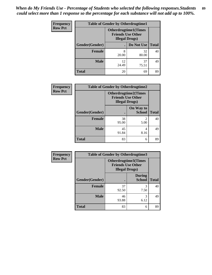| <b>Frequency</b> | <b>Table of Gender by Otherdrugtime1</b> |                                                                                   |             |              |
|------------------|------------------------------------------|-----------------------------------------------------------------------------------|-------------|--------------|
| <b>Row Pct</b>   |                                          | <b>Otherdrugtime1</b> (Times<br><b>Friends Use Other</b><br><b>Illegal Drugs)</b> |             |              |
|                  | Gender(Gender)                           |                                                                                   | Do Not Use  | <b>Total</b> |
|                  | <b>Female</b>                            | 8<br>20.00                                                                        | 32<br>80.00 | 40           |
|                  | <b>Male</b>                              | 12<br>24.49                                                                       | 37<br>75.51 | 49           |
|                  | <b>Total</b>                             | 20                                                                                | 69          | 89           |

| Frequency      | <b>Table of Gender by Otherdrugtime2</b> |                        |                                                         |              |
|----------------|------------------------------------------|------------------------|---------------------------------------------------------|--------------|
| <b>Row Pct</b> |                                          | <b>Illegal Drugs</b> ) | <b>Otherdrugtime2(Times</b><br><b>Friends Use Other</b> |              |
|                | Gender(Gender)                           |                        | On Way to<br><b>School</b>                              | <b>Total</b> |
|                | <b>Female</b>                            | 38<br>95.00            | $\mathfrak{D}$<br>5.00                                  | 40           |
|                | <b>Male</b>                              | 45<br>91.84            | 4<br>8.16                                               | 49           |
|                | <b>Total</b>                             | 83                     | 6                                                       | 89           |

| Frequency      | <b>Table of Gender by Otherdrugtime3</b> |                        |                                                  |              |
|----------------|------------------------------------------|------------------------|--------------------------------------------------|--------------|
| <b>Row Pct</b> |                                          | <b>Illegal Drugs</b> ) | Otherdrugtime3(Times<br><b>Friends Use Other</b> |              |
|                | Gender(Gender)                           |                        | <b>During</b><br><b>School</b>                   | <b>Total</b> |
|                | <b>Female</b>                            | 37<br>92.50            | 3<br>7.50                                        | 40           |
|                | <b>Male</b>                              | 46<br>93.88            | 3<br>6.12                                        | 49           |
|                | <b>Total</b>                             | 83                     | 6                                                | 89           |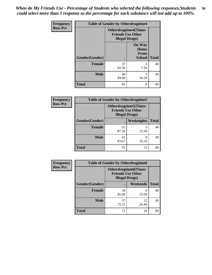*When do My Friends Use - Percentage of Students who selected the following responses.Students could select more than 1 response so the percentage for each substance will not add up to 100%.* **90**

| <b>Frequency</b> | <b>Table of Gender by Otherdrugtime4</b> |                        |                                                         |              |
|------------------|------------------------------------------|------------------------|---------------------------------------------------------|--------------|
| <b>Row Pct</b>   |                                          | <b>Illegal Drugs</b> ) | <b>Otherdrugtime4(Times</b><br><b>Friends Use Other</b> |              |
|                  | Gender(Gender)                           |                        | <b>On Way</b><br>Home<br><b>From</b><br><b>School</b>   | <b>Total</b> |
|                  | <b>Female</b>                            | 37<br>92.50            | 3<br>7.50                                               | 40           |
|                  | <b>Male</b>                              | 44<br>89.80            | 5<br>10.20                                              | 49           |
|                  | <b>Total</b>                             | 81                     | 8                                                       | 89           |

| <b>Frequency</b> | <b>Table of Gender by Otherdrugtime5</b> |                                                                                   |                   |              |
|------------------|------------------------------------------|-----------------------------------------------------------------------------------|-------------------|--------------|
| <b>Row Pct</b>   |                                          | <b>Otherdrugtime5(Times</b><br><b>Friends Use Other</b><br><b>Illegal Drugs</b> ) |                   |              |
|                  | Gender(Gender)                           |                                                                                   | <b>Weeknights</b> | <b>Total</b> |
|                  | <b>Female</b>                            | 35<br>87.50                                                                       | 12.50             | 40           |
|                  | <b>Male</b>                              | 41<br>83.67                                                                       | 8<br>16.33        | 49           |
|                  | Total                                    | 76                                                                                | 13                | 89           |

| <b>Frequency</b> | <b>Table of Gender by Otherdrugtime6</b> |                                                                                   |             |              |
|------------------|------------------------------------------|-----------------------------------------------------------------------------------|-------------|--------------|
| <b>Row Pct</b>   |                                          | <b>Otherdrugtime6(Times</b><br><b>Friends Use Other</b><br><b>Illegal Drugs</b> ) |             |              |
|                  | Gender(Gender)                           |                                                                                   | Weekends    | <b>Total</b> |
|                  | <b>Female</b>                            | 34<br>85.00                                                                       | 6<br>15.00  | 40           |
|                  | <b>Male</b>                              | 37<br>75.51                                                                       | 12<br>24.49 | 49           |
|                  | <b>Total</b>                             | 71                                                                                | 18          | 89           |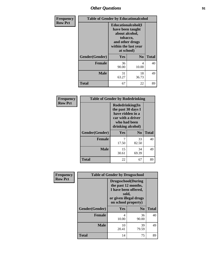## *Other Questions* **91**

| Frequency      |                | <b>Table of Gender by Educationalcohol</b>                                                                                    |                |              |  |
|----------------|----------------|-------------------------------------------------------------------------------------------------------------------------------|----------------|--------------|--|
| <b>Row Pct</b> |                | Educationalcohol(I<br>have been taught<br>about alcohol,<br>tobacco,<br>and other drugs<br>within the last year<br>at school) |                |              |  |
|                | Gender(Gender) | <b>Yes</b>                                                                                                                    | N <sub>0</sub> | <b>Total</b> |  |
|                | <b>Female</b>  | 36<br>90.00                                                                                                                   | 4<br>10.00     | 40           |  |
|                | <b>Male</b>    | 31<br>63.27                                                                                                                   | 18<br>36.73    | 49           |  |
|                | <b>Total</b>   | 67                                                                                                                            | 22             | 89           |  |

| Frequency      | <b>Table of Gender by Rodedrinking</b> |                                                                                                                     |                |              |
|----------------|----------------------------------------|---------------------------------------------------------------------------------------------------------------------|----------------|--------------|
| <b>Row Pct</b> |                                        | Rodedrinking(In<br>the past 30 days I<br>have ridden in a<br>car with a driver<br>who had been<br>drinking alcohol) |                |              |
|                | Gender(Gender)                         | Yes                                                                                                                 | N <sub>0</sub> | <b>Total</b> |
|                | <b>Female</b>                          | 17.50                                                                                                               | 33<br>82.50    | 40           |
|                | <b>Male</b>                            | 15<br>30.61                                                                                                         | 34<br>69.39    | 49           |
|                | <b>Total</b>                           | 22                                                                                                                  | 67             | 89           |

| Frequency      | <b>Table of Gender by Drugsschool</b> |                                                                                                                                     |                |              |
|----------------|---------------------------------------|-------------------------------------------------------------------------------------------------------------------------------------|----------------|--------------|
| <b>Row Pct</b> |                                       | <b>Drugsschool</b> (During<br>the past 12 months,<br>I have been offered,<br>sold,<br>or given illegal drugs<br>on school property) |                |              |
|                | Gender(Gender)                        | Yes                                                                                                                                 | N <sub>0</sub> | <b>Total</b> |
|                | <b>Female</b>                         | 4<br>10.00                                                                                                                          | 36<br>90.00    | 40           |
|                | <b>Male</b>                           | 10<br>20.41                                                                                                                         | 39<br>79.59    | 49           |
|                | <b>Total</b>                          | 14                                                                                                                                  | 75             | 89           |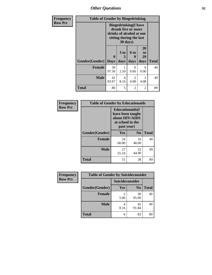*Other Questions* **92**

| <b>Frequency</b> | <b>Table of Gender by Bingedrinking</b> |                                                                                                                       |                   |                          |                        |              |
|------------------|-----------------------------------------|-----------------------------------------------------------------------------------------------------------------------|-------------------|--------------------------|------------------------|--------------|
| <b>Row Pct</b>   |                                         | <b>Bingedrinking</b> (I have<br>drunk five or more<br>drinks of alcohol at one<br>sitting during the last<br>30 days) |                   |                          |                        |              |
|                  | Gender(Gender)                          | $\mathbf{0}$<br><b>Days</b>                                                                                           | 3 to<br>5<br>days | <b>6 to</b><br>9<br>days | 20<br>to<br>29<br>days | <b>Total</b> |
|                  | <b>Female</b>                           | 39<br>97.50                                                                                                           | 2.50              | $\Omega$<br>0.00         | 0<br>0.00              | 40           |
|                  | <b>Male</b>                             | 41<br>83.67                                                                                                           | 4<br>8.16         | 2<br>4.08                | 2<br>4.08              | 49           |
|                  | <b>Total</b>                            | 80                                                                                                                    | 5                 | 2                        | 2                      | 89           |

| Frequency      | <b>Table of Gender by Educationaids</b> |                                                                                                 |                |              |
|----------------|-----------------------------------------|-------------------------------------------------------------------------------------------------|----------------|--------------|
| <b>Row Pct</b> |                                         | <b>Educationaids</b> (I<br>have been taught<br>about HIV/AIDS<br>at school in the<br>past year) |                |              |
|                | Gender(Gender)                          | Yes                                                                                             | N <sub>0</sub> | <b>Total</b> |
|                | <b>Female</b>                           | 24<br>60.00                                                                                     | 16<br>40.00    | 40           |
|                | <b>Male</b>                             | 27<br>55.10                                                                                     | 22<br>44.90    | 49           |
|                | <b>Total</b>                            | 51                                                                                              | 38             | 89           |

| Frequency      | <b>Table of Gender by Suicideconsider</b> |                 |                |              |
|----------------|-------------------------------------------|-----------------|----------------|--------------|
| <b>Row Pct</b> |                                           | Suicideconsider |                |              |
|                | Gender(Gender)                            | Yes             | N <sub>0</sub> | <b>Total</b> |
|                | <b>Female</b>                             | 5.00            | 38<br>95.00    | 40           |
|                | <b>Male</b>                               | 4<br>8.16       | 45<br>91.84    | 49           |
|                | <b>Total</b>                              | 6               | 83             | 89           |